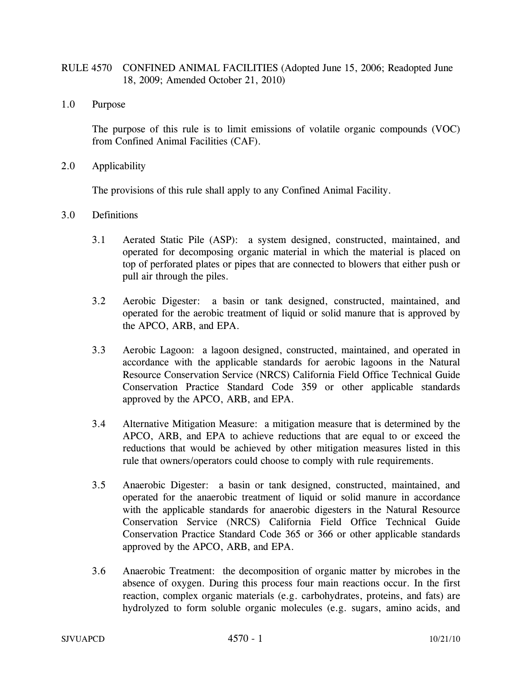## RULE 4570 CONFINED ANIMAL FACILITIES (Adopted June 15, 2006; Readopted June 18, 2009; Amended October 21, 2010)

1.0 Purpose

The purpose of this rule is to limit emissions of volatile organic compounds (VOC) from Confined Animal Facilities (CAF).

2.0 Applicability

The provisions of this rule shall apply to any Confined Animal Facility.

- 3.0 Definitions
	- 3.1 Aerated Static Pile (ASP): a system designed, constructed, maintained, and operated for decomposing organic material in which the material is placed on top of perforated plates or pipes that are connected to blowers that either push or pull air through the piles.
	- 3.2 Aerobic Digester: a basin or tank designed, constructed, maintained, and operated for the aerobic treatment of liquid or solid manure that is approved by the APCO, ARB, and EPA.
	- 3.3 Aerobic Lagoon: a lagoon designed, constructed, maintained, and operated in accordance with the applicable standards for aerobic lagoons in the Natural Resource Conservation Service (NRCS) California Field Office Technical Guide Conservation Practice Standard Code 359 or other applicable standards approved by the APCO, ARB, and EPA.
	- 3.4 Alternative Mitigation Measure: a mitigation measure that is determined by the APCO, ARB, and EPA to achieve reductions that are equal to or exceed the reductions that would be achieved by other mitigation measures listed in this rule that owners/operators could choose to comply with rule requirements.
	- 3.5 Anaerobic Digester: a basin or tank designed, constructed, maintained, and operated for the anaerobic treatment of liquid or solid manure in accordance with the applicable standards for anaerobic digesters in the Natural Resource Conservation Service (NRCS) California Field Office Technical Guide Conservation Practice Standard Code 365 or 366 or other applicable standards approved by the APCO, ARB, and EPA.
	- 3.6 Anaerobic Treatment: the decomposition of organic matter by microbes in the absence of oxygen. During this process four main reactions occur. In the first reaction, complex organic materials (e.g. carbohydrates, proteins, and fats) are hydrolyzed to form soluble organic molecules (e.g. sugars, amino acids, and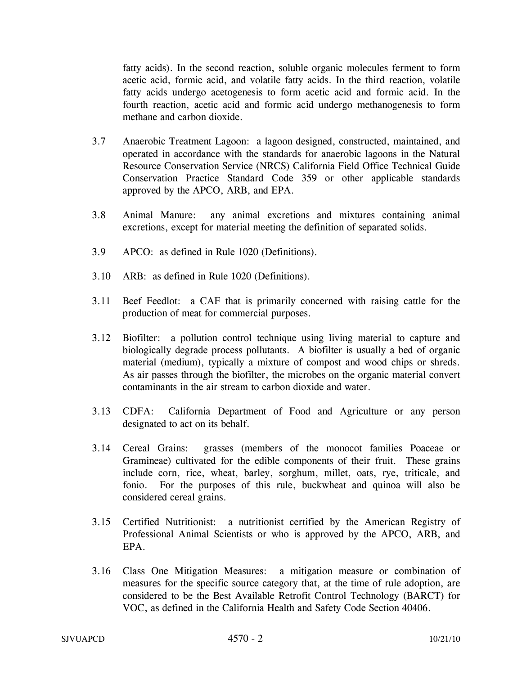fatty acids). In the second reaction, soluble organic molecules ferment to form acetic acid, formic acid, and volatile fatty acids. In the third reaction, volatile fatty acids undergo acetogenesis to form acetic acid and formic acid. In the fourth reaction, acetic acid and formic acid undergo methanogenesis to form methane and carbon dioxide.

- 3.7 Anaerobic Treatment Lagoon: a lagoon designed, constructed, maintained, and operated in accordance with the standards for anaerobic lagoons in the Natural Resource Conservation Service (NRCS) California Field Office Technical Guide Conservation Practice Standard Code 359 or other applicable standards approved by the APCO, ARB, and EPA.
- 3.8 Animal Manure: any animal excretions and mixtures containing animal excretions, except for material meeting the definition of separated solids.
- 3.9 APCO: as defined in Rule 1020 (Definitions).
- 3.10 ARB: as defined in Rule 1020 (Definitions).
- 3.11 Beef Feedlot: a CAF that is primarily concerned with raising cattle for the production of meat for commercial purposes.
- 3.12 Biofilter: a pollution control technique using living material to capture and biologically degrade process pollutants. A biofilter is usually a bed of organic material (medium), typically a mixture of compost and wood chips or shreds. As air passes through the biofilter, the microbes on the organic material convert contaminants in the air stream to carbon dioxide and water.
- 3.13 CDFA: California Department of Food and Agriculture or any person designated to act on its behalf.
- 3.14 Cereal Grains: grasses (members of the monocot families Poaceae or Gramineae) cultivated for the edible components of their fruit. These grains include corn, rice, wheat, barley, sorghum, millet, oats, rye, triticale, and fonio. For the purposes of this rule, buckwheat and quinoa will also be considered cereal grains.
- 3.15 Certified Nutritionist: a nutritionist certified by the American Registry of Professional Animal Scientists or who is approved by the APCO, ARB, and EPA.
- 3.16 Class One Mitigation Measures: a mitigation measure or combination of measures for the specific source category that, at the time of rule adoption, are considered to be the Best Available Retrofit Control Technology (BARCT) for VOC, as defined in the California Health and Safety Code Section 40406.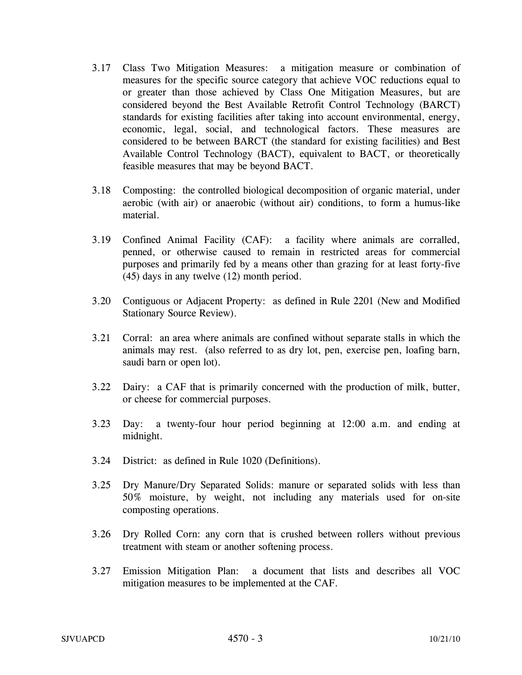- 3.17 Class Two Mitigation Measures: a mitigation measure or combination of measures for the specific source category that achieve VOC reductions equal to or greater than those achieved by Class One Mitigation Measures, but are considered beyond the Best Available Retrofit Control Technology (BARCT) standards for existing facilities after taking into account environmental, energy, economic, legal, social, and technological factors. These measures are considered to be between BARCT (the standard for existing facilities) and Best Available Control Technology (BACT), equivalent to BACT, or theoretically feasible measures that may be beyond BACT.
- 3.18 Composting: the controlled biological decomposition of organic material, under aerobic (with air) or anaerobic (without air) conditions, to form a humus-like material.
- 3.19 Confined Animal Facility (CAF): a facility where animals are corralled, penned, or otherwise caused to remain in restricted areas for commercial purposes and primarily fed by a means other than grazing for at least forty-five (45) days in any twelve (12) month period.
- 3.20 Contiguous or Adjacent Property: as defined in Rule 2201 (New and Modified Stationary Source Review).
- 3.21 Corral: an area where animals are confined without separate stalls in which the animals may rest. (also referred to as dry lot, pen, exercise pen, loafing barn, saudi barn or open lot).
- 3.22 Dairy: a CAF that is primarily concerned with the production of milk, butter, or cheese for commercial purposes.
- 3.23 Day: a twenty-four hour period beginning at 12:00 a.m. and ending at midnight.
- 3.24 District: as defined in Rule 1020 (Definitions).
- 3.25 Dry Manure/Dry Separated Solids: manure or separated solids with less than 50% moisture, by weight, not including any materials used for on-site composting operations.
- 3.26 Dry Rolled Corn: any corn that is crushed between rollers without previous treatment with steam or another softening process.
- 3.27 Emission Mitigation Plan: a document that lists and describes all VOC mitigation measures to be implemented at the CAF.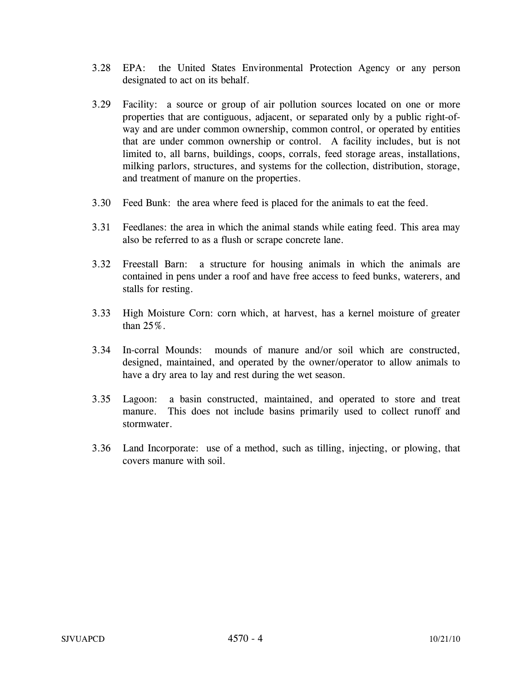- 3.28 EPA: the United States Environmental Protection Agency or any person designated to act on its behalf.
- 3.29 Facility: a source or group of air pollution sources located on one or more properties that are contiguous, adjacent, or separated only by a public right-ofway and are under common ownership, common control, or operated by entities that are under common ownership or control. A facility includes, but is not limited to, all barns, buildings, coops, corrals, feed storage areas, installations, milking parlors, structures, and systems for the collection, distribution, storage, and treatment of manure on the properties.
- 3.30 Feed Bunk: the area where feed is placed for the animals to eat the feed.
- 3.31 Feedlanes: the area in which the animal stands while eating feed. This area may also be referred to as a flush or scrape concrete lane.
- 3.32 Freestall Barn: a structure for housing animals in which the animals are contained in pens under a roof and have free access to feed bunks, waterers, and stalls for resting.
- 3.33 High Moisture Corn: corn which, at harvest, has a kernel moisture of greater than 25%.
- 3.34 In-corral Mounds: mounds of manure and/or soil which are constructed, designed, maintained, and operated by the owner/operator to allow animals to have a dry area to lay and rest during the wet season.
- 3.35 Lagoon: a basin constructed, maintained, and operated to store and treat manure. This does not include basins primarily used to collect runoff and stormwater.
- 3.36 Land Incorporate: use of a method, such as tilling, injecting, or plowing, that covers manure with soil.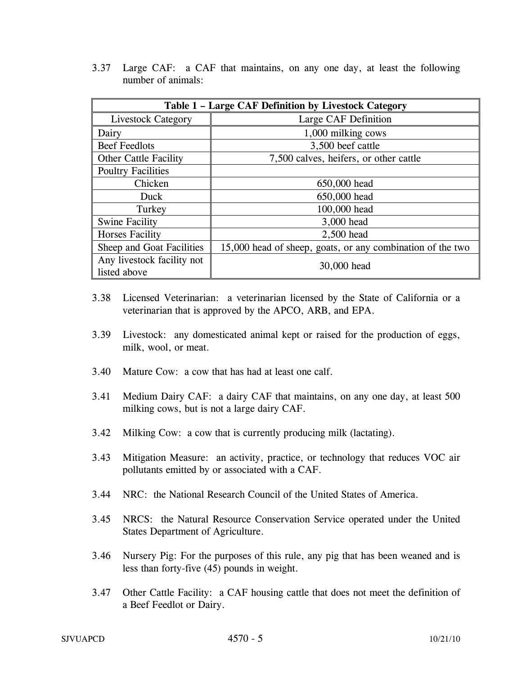3.37 Large CAF: a CAF that maintains, on any one day, at least the following number of animals:

| Table 1 - Large CAF Definition by Livestock Category |                                                            |  |
|------------------------------------------------------|------------------------------------------------------------|--|
| Livestock Category                                   | Large CAF Definition                                       |  |
| Dairy                                                | 1,000 milking cows                                         |  |
| <b>Beef Feedlots</b>                                 | 3,500 beef cattle                                          |  |
| <b>Other Cattle Facility</b>                         | 7,500 calves, heifers, or other cattle                     |  |
| <b>Poultry Facilities</b>                            |                                                            |  |
| Chicken                                              | 650,000 head                                               |  |
| Duck                                                 | 650,000 head                                               |  |
| Turkey                                               | 100,000 head                                               |  |
| <b>Swine Facility</b>                                | 3,000 head                                                 |  |
| <b>Horses Facility</b>                               | 2,500 head                                                 |  |
| Sheep and Goat Facilities                            | 15,000 head of sheep, goats, or any combination of the two |  |
| Any livestock facility not                           | 30,000 head                                                |  |
| listed above                                         |                                                            |  |

- 3.38 Licensed Veterinarian: a veterinarian licensed by the State of California or a veterinarian that is approved by the APCO, ARB, and EPA.
- 3.39 Livestock: any domesticated animal kept or raised for the production of eggs, milk, wool, or meat.
- 3.40 Mature Cow: a cow that has had at least one calf.
- 3.41 Medium Dairy CAF: a dairy CAF that maintains, on any one day, at least 500 milking cows, but is not a large dairy CAF.
- 3.42 Milking Cow: a cow that is currently producing milk (lactating).
- 3.43 Mitigation Measure: an activity, practice, or technology that reduces VOC air pollutants emitted by or associated with a CAF.
- 3.44 NRC: the National Research Council of the United States of America.
- 3.45 NRCS: the Natural Resource Conservation Service operated under the United States Department of Agriculture.
- 3.46 Nursery Pig: For the purposes of this rule, any pig that has been weaned and is less than forty-five (45) pounds in weight.
- 3.47 Other Cattle Facility: a CAF housing cattle that does not meet the definition of a Beef Feedlot or Dairy.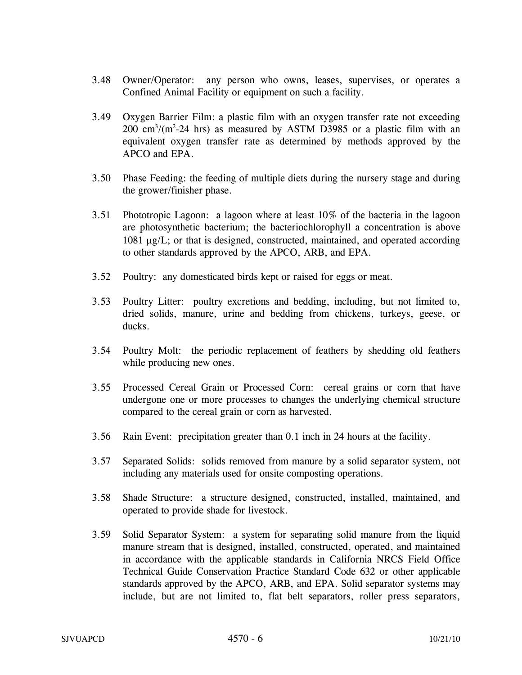- 3.48 Owner/Operator: any person who owns, leases, supervises, or operates a Confined Animal Facility or equipment on such a facility.
- 3.49 Oxygen Barrier Film: a plastic film with an oxygen transfer rate not exceeding  $200 \text{ cm}^3/\text{(m}^2-24 \text{ hrs})$  as measured by ASTM D3985 or a plastic film with an equivalent oxygen transfer rate as determined by methods approved by the APCO and EPA.
- 3.50 Phase Feeding: the feeding of multiple diets during the nursery stage and during the grower/finisher phase.
- 3.51 Phototropic Lagoon: a lagoon where at least 10% of the bacteria in the lagoon are photosynthetic bacterium; the bacteriochlorophyll a concentration is above 1081 μg/L; or that is designed, constructed, maintained, and operated according to other standards approved by the APCO, ARB, and EPA.
- 3.52 Poultry: any domesticated birds kept or raised for eggs or meat.
- 3.53 Poultry Litter: poultry excretions and bedding, including, but not limited to, dried solids, manure, urine and bedding from chickens, turkeys, geese, or ducks.
- 3.54 Poultry Molt: the periodic replacement of feathers by shedding old feathers while producing new ones.
- 3.55 Processed Cereal Grain or Processed Corn: cereal grains or corn that have undergone one or more processes to changes the underlying chemical structure compared to the cereal grain or corn as harvested.
- 3.56 Rain Event: precipitation greater than 0.1 inch in 24 hours at the facility.
- 3.57 Separated Solids: solids removed from manure by a solid separator system, not including any materials used for onsite composting operations.
- 3.58 Shade Structure: a structure designed, constructed, installed, maintained, and operated to provide shade for livestock.
- 3.59 Solid Separator System: a system for separating solid manure from the liquid manure stream that is designed, installed, constructed, operated, and maintained in accordance with the applicable standards in California NRCS Field Office Technical Guide Conservation Practice Standard Code 632 or other applicable standards approved by the APCO, ARB, and EPA. Solid separator systems may include, but are not limited to, flat belt separators, roller press separators,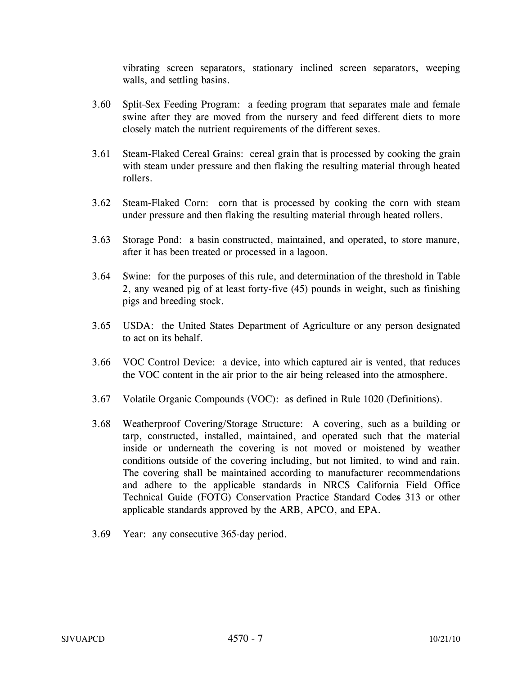vibrating screen separators, stationary inclined screen separators, weeping walls, and settling basins.

- 3.60 Split-Sex Feeding Program: a feeding program that separates male and female swine after they are moved from the nursery and feed different diets to more closely match the nutrient requirements of the different sexes.
- 3.61 Steam-Flaked Cereal Grains: cereal grain that is processed by cooking the grain with steam under pressure and then flaking the resulting material through heated rollers.
- 3.62 Steam-Flaked Corn: corn that is processed by cooking the corn with steam under pressure and then flaking the resulting material through heated rollers.
- 3.63 Storage Pond: a basin constructed, maintained, and operated, to store manure, after it has been treated or processed in a lagoon.
- 3.64 Swine: for the purposes of this rule, and determination of the threshold in Table 2, any weaned pig of at least forty-five (45) pounds in weight, such as finishing pigs and breeding stock.
- 3.65 USDA: the United States Department of Agriculture or any person designated to act on its behalf.
- 3.66 VOC Control Device: a device, into which captured air is vented, that reduces the VOC content in the air prior to the air being released into the atmosphere.
- 3.67 Volatile Organic Compounds (VOC): as defined in Rule 1020 (Definitions).
- 3.68 Weatherproof Covering/Storage Structure: A covering, such as a building or tarp, constructed, installed, maintained, and operated such that the material inside or underneath the covering is not moved or moistened by weather conditions outside of the covering including, but not limited, to wind and rain. The covering shall be maintained according to manufacturer recommendations and adhere to the applicable standards in NRCS California Field Office Technical Guide (FOTG) Conservation Practice Standard Codes 313 or other applicable standards approved by the ARB, APCO, and EPA.
- 3.69 Year: any consecutive 365-day period.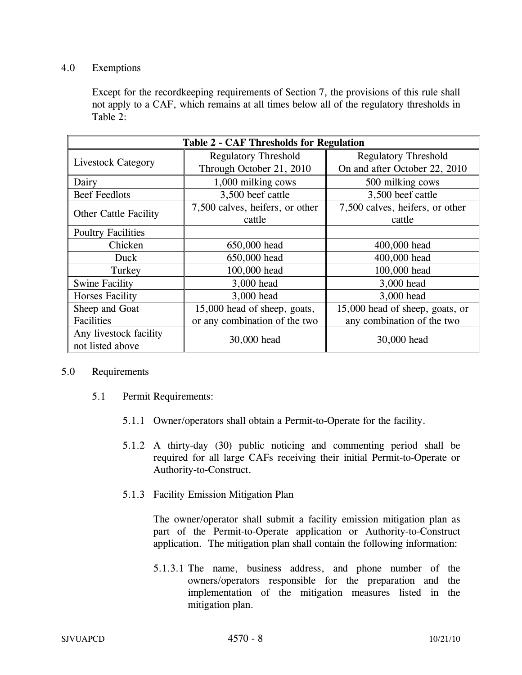### 4.0 Exemptions

Except for the recordkeeping requirements of Section 7, the provisions of this rule shall not apply to a CAF, which remains at all times below all of the regulatory thresholds in Table 2:

| <b>Table 2 - CAF Thresholds for Regulation</b> |                                 |                                 |  |
|------------------------------------------------|---------------------------------|---------------------------------|--|
|                                                | <b>Regulatory Threshold</b>     | <b>Regulatory Threshold</b>     |  |
| <b>Livestock Category</b>                      | Through October 21, 2010        | On and after October 22, 2010   |  |
| Dairy                                          | 1,000 milking cows              | 500 milking cows                |  |
| <b>Beef Feedlots</b>                           | 3,500 beef cattle               | 3,500 beef cattle               |  |
|                                                | 7,500 calves, heifers, or other | 7,500 calves, heifers, or other |  |
| <b>Other Cattle Facility</b>                   | cattle                          | cattle                          |  |
| <b>Poultry Facilities</b>                      |                                 |                                 |  |
| Chicken                                        | 650,000 head                    | 400,000 head                    |  |
| Duck                                           | 650,000 head                    | 400,000 head                    |  |
| Turkey                                         | 100,000 head                    | 100,000 head                    |  |
| <b>Swine Facility</b>                          | 3,000 head                      | 3,000 head                      |  |
| <b>Horses Facility</b>                         | 3,000 head                      | 3,000 head                      |  |
| Sheep and Goat                                 | 15,000 head of sheep, goats,    | 15,000 head of sheep, goats, or |  |
| Facilities                                     | or any combination of the two   | any combination of the two      |  |
| Any livestock facility                         |                                 | 30,000 head                     |  |
| not listed above                               | 30,000 head                     |                                 |  |

#### 5.0 Requirements

- 5.1 Permit Requirements:
	- 5.1.1 Owner/operators shall obtain a Permit-to-Operate for the facility.
	- 5.1.2 A thirty-day (30) public noticing and commenting period shall be required for all large CAFs receiving their initial Permit-to-Operate or Authority-to-Construct.
	- 5.1.3 Facility Emission Mitigation Plan

The owner/operator shall submit a facility emission mitigation plan as part of the Permit-to-Operate application or Authority-to-Construct application. The mitigation plan shall contain the following information:

5.1.3.1 The name, business address, and phone number of the owners/operators responsible for the preparation and the implementation of the mitigation measures listed in the mitigation plan.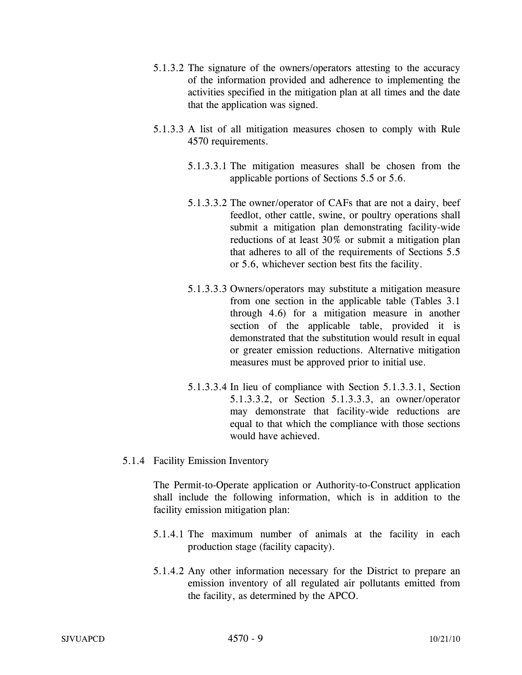- 5.1.3.2 The signature of the owners/operators attesting to the accuracy of the information provided and adherence to implementing the activities specified in the mitigation plan at all times and the date that the application was signed.
- 5.1.3.3 A list of all mitigation measures chosen to comply with Rule 4570 requirements.
	- 5.1.3.3.1 The mitigation measures shall be chosen from the applicable portions of Sections 5.5 or 5.6.
	- 5.1.3.3.2 The owner/operator of CAFs that are not a dairy, beef feedlot, other cattle, swine, or poultry operations shall submit a mitigation plan demonstrating facility-wide reductions of at least 30% or submit a mitigation plan that adheres to all of the requirements of Sections 5.5 or 5.6, whichever section best fits the facility.
	- 5.1.3.3.3 Owners/operators may substitute a mitigation measure from one section in the applicable table (Tables 3.1 through 4.6) for a mitigation measure in another section of the applicable table, provided it is demonstrated that the substitution would result in equal or greater emission reductions. Alternative mitigation measures must be approved prior to initial use.
	- 5.1.3.3.4 In lieu of compliance with Section 5.1.3.3.1, Section 5.1.3.3.2, or Section 5.1.3.3.3, an owner/operator may demonstrate that facility-wide reductions are equal to that which the compliance with those sections would have achieved.
- 5.1.4 Facility Emission Inventory

The Permit-to-Operate application or Authority-to-Construct application shall include the following information, which is in addition to the facility emission mitigation plan:

- 5.1.4.1 The maximum number of animals at the facility in each production stage (facility capacity).
- 5.1.4.2 Any other information necessary for the District to prepare an emission inventory of all regulated air pollutants emitted from the facility, as determined by the APCO.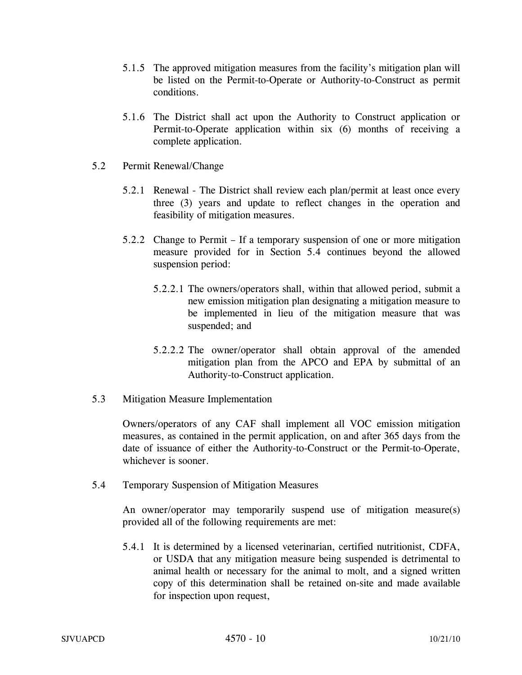- 5.1.5 The approved mitigation measures from the facility's mitigation plan will be listed on the Permit-to-Operate or Authority-to-Construct as permit conditions.
- 5.1.6 The District shall act upon the Authority to Construct application or Permit-to-Operate application within six (6) months of receiving a complete application.
- 5.2 Permit Renewal/Change
	- 5.2.1 Renewal The District shall review each plan/permit at least once every three (3) years and update to reflect changes in the operation and feasibility of mitigation measures.
	- 5.2.2 Change to Permit If a temporary suspension of one or more mitigation measure provided for in Section 5.4 continues beyond the allowed suspension period:
		- 5.2.2.1 The owners/operators shall, within that allowed period, submit a new emission mitigation plan designating a mitigation measure to be implemented in lieu of the mitigation measure that was suspended; and
		- 5.2.2.2 The owner/operator shall obtain approval of the amended mitigation plan from the APCO and EPA by submittal of an Authority-to-Construct application.
- 5.3 Mitigation Measure Implementation

Owners/operators of any CAF shall implement all VOC emission mitigation measures, as contained in the permit application, on and after 365 days from the date of issuance of either the Authority-to-Construct or the Permit-to-Operate, whichever is sooner.

5.4 Temporary Suspension of Mitigation Measures

An owner/operator may temporarily suspend use of mitigation measure(s) provided all of the following requirements are met:

5.4.1 It is determined by a licensed veterinarian, certified nutritionist, CDFA, or USDA that any mitigation measure being suspended is detrimental to animal health or necessary for the animal to molt, and a signed written copy of this determination shall be retained on-site and made available for inspection upon request,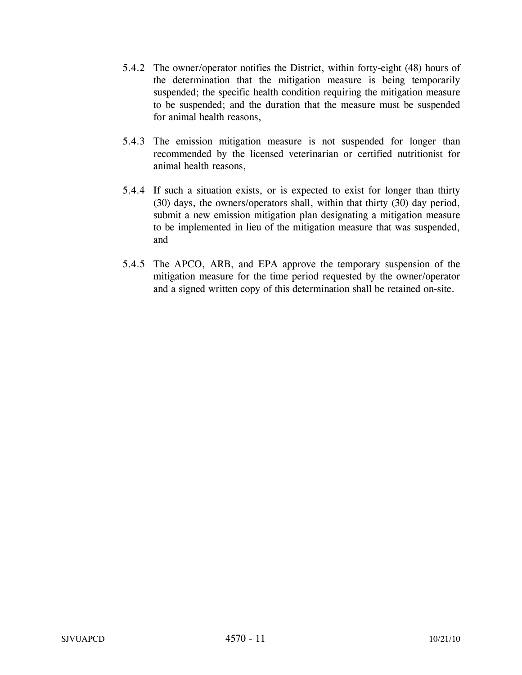- 5.4.2 The owner/operator notifies the District, within forty-eight (48) hours of the determination that the mitigation measure is being temporarily suspended; the specific health condition requiring the mitigation measure to be suspended; and the duration that the measure must be suspended for animal health reasons,
- 5.4.3 The emission mitigation measure is not suspended for longer than recommended by the licensed veterinarian or certified nutritionist for animal health reasons,
- 5.4.4 If such a situation exists, or is expected to exist for longer than thirty (30) days, the owners/operators shall, within that thirty (30) day period, submit a new emission mitigation plan designating a mitigation measure to be implemented in lieu of the mitigation measure that was suspended, and
- 5.4.5 The APCO, ARB, and EPA approve the temporary suspension of the mitigation measure for the time period requested by the owner/operator and a signed written copy of this determination shall be retained on-site.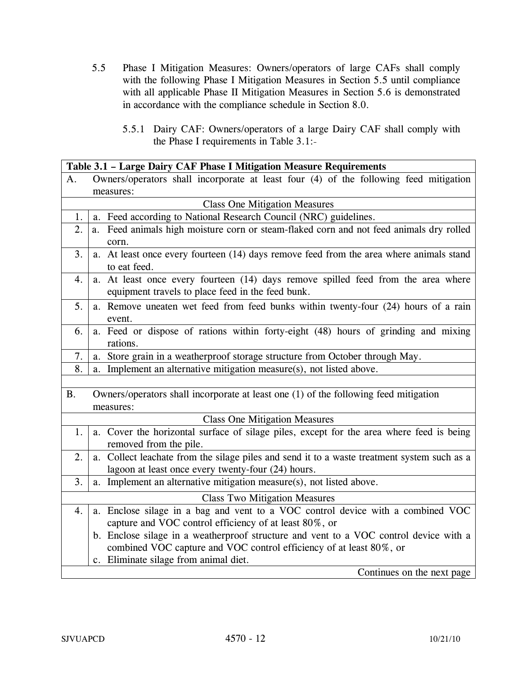- 5.5 Phase I Mitigation Measures: Owners/operators of large CAFs shall comply with the following Phase I Mitigation Measures in Section 5.5 until compliance with all applicable Phase II Mitigation Measures in Section 5.6 is demonstrated in accordance with the compliance schedule in Section 8.0.
	- 5.5.1 Dairy CAF: Owners/operators of a large Dairy CAF shall comply with the Phase I requirements in Table 3.1:

|           | Table 3.1 - Large Dairy CAF Phase I Mitigation Measure Requirements                                                                                          |
|-----------|--------------------------------------------------------------------------------------------------------------------------------------------------------------|
| А.        | Owners/operators shall incorporate at least four (4) of the following feed mitigation                                                                        |
|           | measures:                                                                                                                                                    |
|           | <b>Class One Mitigation Measures</b>                                                                                                                         |
| 1.        | a. Feed according to National Research Council (NRC) guidelines.                                                                                             |
| 2.        | a. Feed animals high moisture corn or steam-flaked corn and not feed animals dry rolled<br>corn.                                                             |
| 3.        | a. At least once every fourteen (14) days remove feed from the area where animals stand<br>to eat feed.                                                      |
| 4.        | a. At least once every fourteen (14) days remove spilled feed from the area where<br>equipment travels to place feed in the feed bunk.                       |
| 5.        | a. Remove uneaten wet feed from feed bunks within twenty-four (24) hours of a rain<br>event.                                                                 |
| 6.        | a. Feed or dispose of rations within forty-eight (48) hours of grinding and mixing<br>rations.                                                               |
| 7.        | Store grain in a weatherproof storage structure from October through May.<br>a.                                                                              |
| 8.        | a. Implement an alternative mitigation measure(s), not listed above.                                                                                         |
|           |                                                                                                                                                              |
| <b>B.</b> | Owners/operators shall incorporate at least one (1) of the following feed mitigation<br>measures:                                                            |
|           | <b>Class One Mitigation Measures</b>                                                                                                                         |
| 1.        | a. Cover the horizontal surface of silage piles, except for the area where feed is being<br>removed from the pile.                                           |
| 2.        | a. Collect leachate from the silage piles and send it to a waste treatment system such as a<br>lagoon at least once every twenty-four (24) hours.            |
| 3.        | a. Implement an alternative mitigation measure(s), not listed above.                                                                                         |
|           | <b>Class Two Mitigation Measures</b>                                                                                                                         |
| 4.        | a. Enclose silage in a bag and vent to a VOC control device with a combined VOC<br>capture and VOC control efficiency of at least 80%, or                    |
|           | b. Enclose silage in a weatherproof structure and vent to a VOC control device with a<br>combined VOC capture and VOC control efficiency of at least 80%, or |
|           | c. Eliminate silage from animal diet.                                                                                                                        |
|           | Continues on the next page                                                                                                                                   |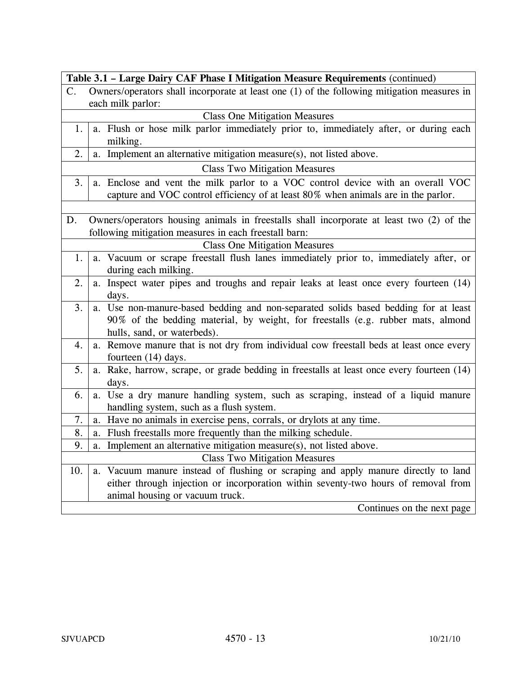|               | Table 3.1 - Large Dairy CAF Phase I Mitigation Measure Requirements (continued)             |  |
|---------------|---------------------------------------------------------------------------------------------|--|
| $\mathsf{C}.$ | Owners/operators shall incorporate at least one (1) of the following mitigation measures in |  |
|               | each milk parlor:                                                                           |  |
|               | <b>Class One Mitigation Measures</b>                                                        |  |
| 1.            | a. Flush or hose milk parlor immediately prior to, immediately after, or during each        |  |
|               | milking.                                                                                    |  |
| 2.            | a. Implement an alternative mitigation measure(s), not listed above.                        |  |
|               | <b>Class Two Mitigation Measures</b>                                                        |  |
| 3.            | a. Enclose and vent the milk parlor to a VOC control device with an overall VOC             |  |
|               | capture and VOC control efficiency of at least 80% when animals are in the parlor.          |  |
|               |                                                                                             |  |
| D.            | Owners/operators housing animals in freestalls shall incorporate at least two (2) of the    |  |
|               | following mitigation measures in each freestall barn:                                       |  |
|               | <b>Class One Mitigation Measures</b>                                                        |  |
| 1.            | a. Vacuum or scrape freestall flush lanes immediately prior to, immediately after, or       |  |
|               | during each milking.                                                                        |  |
| 2.            | a. Inspect water pipes and troughs and repair leaks at least once every fourteen (14)       |  |
|               | days.                                                                                       |  |
| 3.            | a. Use non-manure-based bedding and non-separated solids based bedding for at least         |  |
|               | 90% of the bedding material, by weight, for freestalls (e.g. rubber mats, almond            |  |
|               | hulls, sand, or waterbeds).                                                                 |  |
| 4.            | a. Remove manure that is not dry from individual cow freestall beds at least once every     |  |
|               | fourteen (14) days.                                                                         |  |
| 5.            | a. Rake, harrow, scrape, or grade bedding in freestalls at least once every fourteen (14)   |  |
|               | days.                                                                                       |  |
| 6.            | a. Use a dry manure handling system, such as scraping, instead of a liquid manure           |  |
|               | handling system, such as a flush system.                                                    |  |
| 7.            | Have no animals in exercise pens, corrals, or drylots at any time.<br>a.                    |  |
| 8.            | a. Flush freestalls more frequently than the milking schedule.                              |  |
| 9.            | a. Implement an alternative mitigation measure(s), not listed above.                        |  |
|               | <b>Class Two Mitigation Measures</b>                                                        |  |
| 10.           | a. Vacuum manure instead of flushing or scraping and apply manure directly to land          |  |
|               | either through injection or incorporation within seventy-two hours of removal from          |  |
|               | animal housing or vacuum truck.                                                             |  |
|               | Continues on the next page                                                                  |  |

 $\mathbf{r}$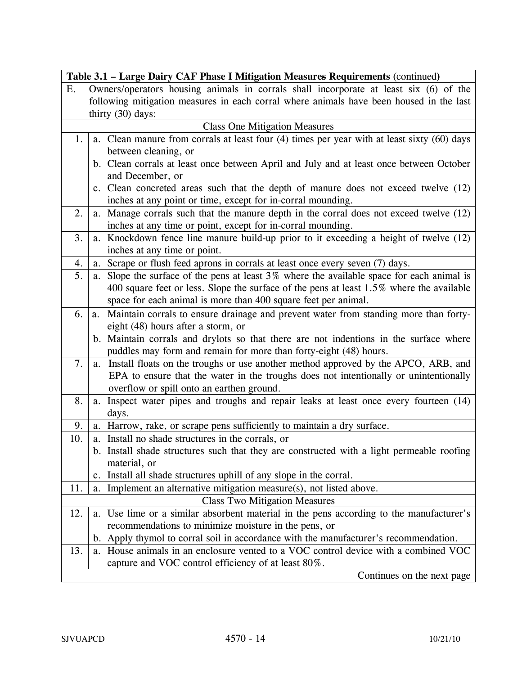|     | Table 3.1 - Large Dairy CAF Phase I Mitigation Measures Requirements (continued)            |
|-----|---------------------------------------------------------------------------------------------|
| Ε.  | Owners/operators housing animals in corrals shall incorporate at least six (6) of the       |
|     | following mitigation measures in each corral where animals have been housed in the last     |
|     | thirty $(30)$ days:                                                                         |
|     | <b>Class One Mitigation Measures</b>                                                        |
| 1.  | a. Clean manure from corrals at least four (4) times per year with at least sixty (60) days |
|     | between cleaning, or                                                                        |
|     | b. Clean corrals at least once between April and July and at least once between October     |
|     | and December, or                                                                            |
|     | c. Clean concreted areas such that the depth of manure does not exceed twelve (12)          |
|     | inches at any point or time, except for in-corral mounding.                                 |
| 2.  | a. Manage corrals such that the manure depth in the corral does not exceed twelve (12)      |
|     | inches at any time or point, except for in-corral mounding.                                 |
| 3.  | a. Knockdown fence line manure build-up prior to it exceeding a height of twelve (12)       |
|     | inches at any time or point.                                                                |
| 4.  | Scrape or flush feed aprons in corrals at least once every seven (7) days.<br>a.            |
| 5.  | a. Slope the surface of the pens at least 3% where the available space for each animal is   |
|     | 400 square feet or less. Slope the surface of the pens at least 1.5% where the available    |
|     | space for each animal is more than 400 square feet per animal.                              |
| 6.  | Maintain corrals to ensure drainage and prevent water from standing more than forty-<br>a.  |
|     | eight (48) hours after a storm, or                                                          |
|     | b. Maintain corrals and drylots so that there are not indentions in the surface where       |
|     | puddles may form and remain for more than forty-eight (48) hours.                           |
| 7.  | Install floats on the troughs or use another method approved by the APCO, ARB, and<br>a.    |
|     | EPA to ensure that the water in the troughs does not intentionally or unintentionally       |
|     | overflow or spill onto an earthen ground.                                                   |
| 8.  | Inspect water pipes and troughs and repair leaks at least once every fourteen (14)<br>a.    |
|     | days.                                                                                       |
| 9.  | a. Harrow, rake, or scrape pens sufficiently to maintain a dry surface.                     |
| 10. | a. Install no shade structures in the corrals, or                                           |
|     | b. Install shade structures such that they are constructed with a light permeable roofing   |
|     | material, or                                                                                |
|     | Install all shade structures uphill of any slope in the corral.<br>c.                       |
| 11. | Implement an alternative mitigation measure(s), not listed above.<br>a.                     |
|     | <b>Class Two Mitigation Measures</b>                                                        |
| 12. | Use lime or a similar absorbent material in the pens according to the manufacturer's<br>a.  |
|     | recommendations to minimize moisture in the pens, or                                        |
|     | b. Apply thymol to corral soil in accordance with the manufacturer's recommendation.        |
| 13. | a. House animals in an enclosure vented to a VOC control device with a combined VOC         |
|     | capture and VOC control efficiency of at least 80%.                                         |
|     | Continues on the next page                                                                  |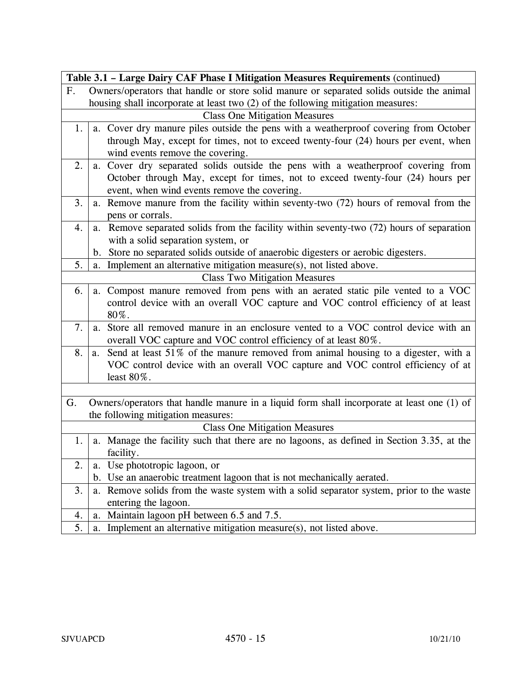|             | Table 3.1 - Large Dairy CAF Phase I Mitigation Measures Requirements (continued)            |  |
|-------------|---------------------------------------------------------------------------------------------|--|
| $F_{\cdot}$ | Owners/operators that handle or store solid manure or separated solids outside the animal   |  |
|             | housing shall incorporate at least two (2) of the following mitigation measures:            |  |
|             | <b>Class One Mitigation Measures</b>                                                        |  |
| 1.          | a. Cover dry manure piles outside the pens with a weatherproof covering from October        |  |
|             | through May, except for times, not to exceed twenty-four (24) hours per event, when         |  |
|             | wind events remove the covering.                                                            |  |
| 2.          | a. Cover dry separated solids outside the pens with a weatherproof covering from            |  |
|             | October through May, except for times, not to exceed twenty-four (24) hours per             |  |
|             | event, when wind events remove the covering.                                                |  |
| 3.          | a. Remove manure from the facility within seventy-two (72) hours of removal from the        |  |
|             | pens or corrals.                                                                            |  |
| 4.          | Remove separated solids from the facility within seventy-two (72) hours of separation<br>a. |  |
|             | with a solid separation system, or                                                          |  |
|             | Store no separated solids outside of anaerobic digesters or aerobic digesters.<br>b.        |  |
| 5.          | Implement an alternative mitigation measure(s), not listed above.<br>a.                     |  |
|             | <b>Class Two Mitigation Measures</b>                                                        |  |
| 6.          | Compost manure removed from pens with an aerated static pile vented to a VOC<br>a.          |  |
|             | control device with an overall VOC capture and VOC control efficiency of at least           |  |
|             | 80%.                                                                                        |  |
| 7.          | a. Store all removed manure in an enclosure vented to a VOC control device with an          |  |
|             | overall VOC capture and VOC control efficiency of at least 80%.                             |  |
| 8.          | Send at least 51% of the manure removed from animal housing to a digester, with a<br>a.     |  |
|             | VOC control device with an overall VOC capture and VOC control efficiency of at             |  |
|             | least $80\%$ .                                                                              |  |
|             |                                                                                             |  |
| G.          | Owners/operators that handle manure in a liquid form shall incorporate at least one (1) of  |  |
|             | the following mitigation measures:                                                          |  |
|             | <b>Class One Mitigation Measures</b>                                                        |  |
| 1.          | a. Manage the facility such that there are no lagoons, as defined in Section 3.35, at the   |  |
|             | facility.                                                                                   |  |
| 2.          | Use phototropic lagoon, or<br>a.                                                            |  |
|             | Use an anaerobic treatment lagoon that is not mechanically aerated.<br>$\mathbf{b}$ .       |  |
| 3.          | Remove solids from the waste system with a solid separator system, prior to the waste<br>a. |  |
|             | entering the lagoon.                                                                        |  |
| 4.          | Maintain lagoon pH between 6.5 and 7.5.<br>a.                                               |  |
| 5.          | Implement an alternative mitigation measure(s), not listed above.<br>a.                     |  |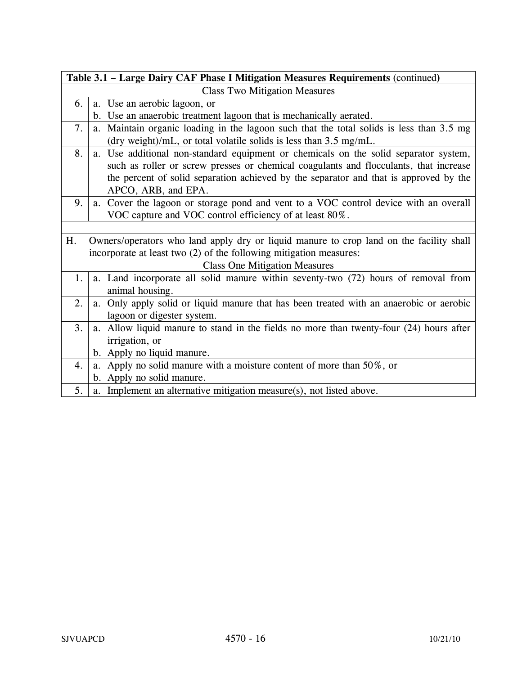| Table 3.1 - Large Dairy CAF Phase I Mitigation Measures Requirements (continued) |                                                                                          |
|----------------------------------------------------------------------------------|------------------------------------------------------------------------------------------|
| <b>Class Two Mitigation Measures</b>                                             |                                                                                          |
| 6.                                                                               | a. Use an aerobic lagoon, or                                                             |
|                                                                                  | b. Use an anaerobic treatment lagoon that is mechanically aerated.                       |
| 7.                                                                               | a. Maintain organic loading in the lagoon such that the total solids is less than 3.5 mg |
|                                                                                  | (dry weight)/mL, or total volatile solids is less than 3.5 mg/mL.                        |
| 8.                                                                               | a. Use additional non-standard equipment or chemicals on the solid separator system,     |
|                                                                                  | such as roller or screw presses or chemical coagulants and flocculants, that increase    |
|                                                                                  | the percent of solid separation achieved by the separator and that is approved by the    |
|                                                                                  | APCO, ARB, and EPA.                                                                      |
| 9.                                                                               | a. Cover the lagoon or storage pond and vent to a VOC control device with an overall     |
|                                                                                  | VOC capture and VOC control efficiency of at least 80%.                                  |
|                                                                                  |                                                                                          |
| H.                                                                               | Owners/operators who land apply dry or liquid manure to crop land on the facility shall  |
|                                                                                  | incorporate at least two (2) of the following mitigation measures:                       |
|                                                                                  | <b>Class One Mitigation Measures</b>                                                     |
| 1.                                                                               | a. Land incorporate all solid manure within seventy-two (72) hours of removal from       |
|                                                                                  | animal housing.                                                                          |
| 2.                                                                               | a. Only apply solid or liquid manure that has been treated with an anaerobic or aerobic  |
|                                                                                  | lagoon or digester system.                                                               |
| 3.                                                                               | a. Allow liquid manure to stand in the fields no more than twenty-four (24) hours after  |
|                                                                                  | irrigation, or                                                                           |
|                                                                                  | b. Apply no liquid manure.                                                               |
| $\overline{4}$ .                                                                 | a. Apply no solid manure with a moisture content of more than 50%, or                    |
|                                                                                  | b. Apply no solid manure.                                                                |
| 5.                                                                               | a. Implement an alternative mitigation measure(s), not listed above.                     |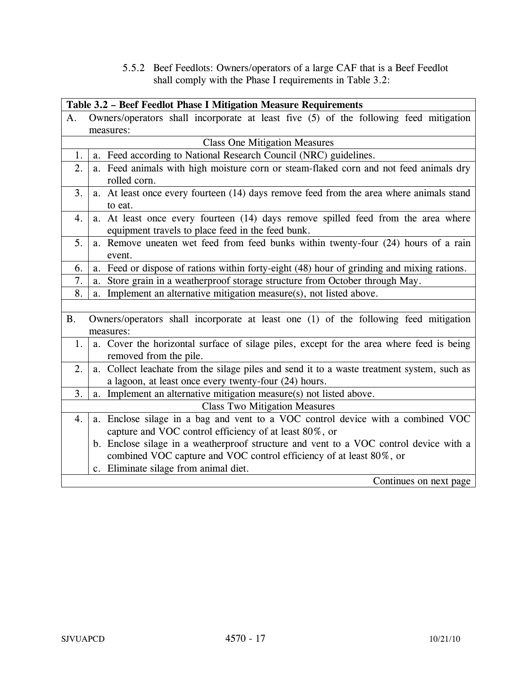5.5.2 Beef Feedlots: Owners/operators of a large CAF that is a Beef Feedlot shall comply with the Phase I requirements in Table 3.2:

|           | Table 3.2 - Beef Feedlot Phase I Mitigation Measure Requirements                                                                       |
|-----------|----------------------------------------------------------------------------------------------------------------------------------------|
| A.        | Owners/operators shall incorporate at least five (5) of the following feed mitigation                                                  |
|           | measures:                                                                                                                              |
|           | <b>Class One Mitigation Measures</b>                                                                                                   |
| 1.        | a. Feed according to National Research Council (NRC) guidelines.                                                                       |
| 2.        | a. Feed animals with high moisture corn or steam-flaked corn and not feed animals dry<br>rolled corn.                                  |
| 3.        | a. At least once every fourteen (14) days remove feed from the area where animals stand<br>to eat.                                     |
| 4.        | a. At least once every fourteen (14) days remove spilled feed from the area where<br>equipment travels to place feed in the feed bunk. |
| 5.        | a. Remove uneaten wet feed from feed bunks within twenty-four (24) hours of a rain<br>event.                                           |
| 6.        | a. Feed or dispose of rations within forty-eight (48) hour of grinding and mixing rations.                                             |
| 7.        | Store grain in a weatherproof storage structure from October through May.<br>a.                                                        |
| 8.        | a. Implement an alternative mitigation measure(s), not listed above.                                                                   |
|           |                                                                                                                                        |
| <b>B.</b> | Owners/operators shall incorporate at least one (1) of the following feed mitigation<br>measures:                                      |
| 1.        | a. Cover the horizontal surface of silage piles, except for the area where feed is being<br>removed from the pile.                     |
| 2.        | a. Collect leachate from the silage piles and send it to a waste treatment system, such as                                             |
|           | a lagoon, at least once every twenty-four (24) hours.                                                                                  |
| 3.        | a. Implement an alternative mitigation measure(s) not listed above.                                                                    |
|           | <b>Class Two Mitigation Measures</b>                                                                                                   |
| 4.        | a. Enclose silage in a bag and vent to a VOC control device with a combined VOC                                                        |
|           | capture and VOC control efficiency of at least 80%, or                                                                                 |
|           | b. Enclose silage in a weatherproof structure and vent to a VOC control device with a                                                  |
|           | combined VOC capture and VOC control efficiency of at least 80%, or                                                                    |
|           | c. Eliminate silage from animal diet.                                                                                                  |
|           | Continues on next page                                                                                                                 |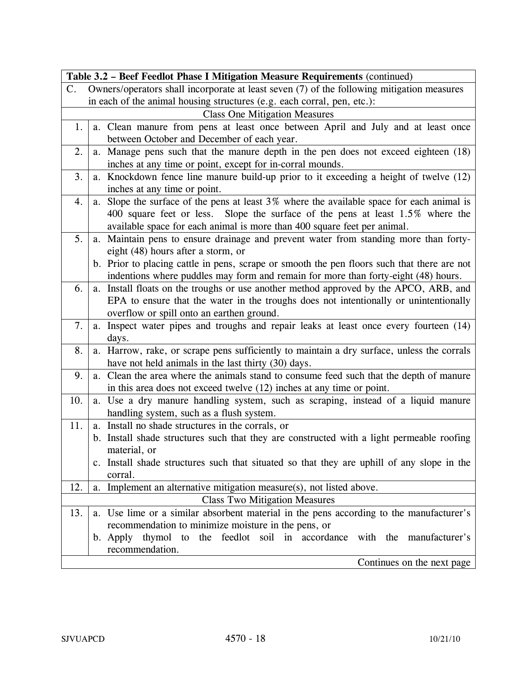|     | Table 3.2 - Beef Feedlot Phase I Mitigation Measure Requirements (continued)                |  |
|-----|---------------------------------------------------------------------------------------------|--|
| C.  | Owners/operators shall incorporate at least seven (7) of the following mitigation measures  |  |
|     | in each of the animal housing structures (e.g. each corral, pen, etc.):                     |  |
|     | <b>Class One Mitigation Measures</b>                                                        |  |
| 1.  | a. Clean manure from pens at least once between April and July and at least once            |  |
|     | between October and December of each year.                                                  |  |
| 2.  | a. Manage pens such that the manure depth in the pen does not exceed eighteen (18)          |  |
|     | inches at any time or point, except for in-corral mounds.                                   |  |
| 3.  | a. Knockdown fence line manure build-up prior to it exceeding a height of twelve (12)       |  |
|     | inches at any time or point.                                                                |  |
| 4.  | a. Slope the surface of the pens at least 3% where the available space for each animal is   |  |
|     | 400 square feet or less. Slope the surface of the pens at least 1.5% where the              |  |
|     | available space for each animal is more than 400 square feet per animal.                    |  |
| 5.  | a. Maintain pens to ensure drainage and prevent water from standing more than forty-        |  |
|     | eight (48) hours after a storm, or                                                          |  |
|     | b. Prior to placing cattle in pens, scrape or smooth the pen floors such that there are not |  |
|     | indentions where puddles may form and remain for more than forty-eight (48) hours.          |  |
| 6.  | a. Install floats on the troughs or use another method approved by the APCO, ARB, and       |  |
|     | EPA to ensure that the water in the troughs does not intentionally or unintentionally       |  |
|     | overflow or spill onto an earthen ground.                                                   |  |
| 7.  | a. Inspect water pipes and troughs and repair leaks at least once every fourteen (14)       |  |
|     | days.                                                                                       |  |
| 8.  | a. Harrow, rake, or scrape pens sufficiently to maintain a dry surface, unless the corrals  |  |
|     | have not held animals in the last thirty (30) days.                                         |  |
| 9.  | a. Clean the area where the animals stand to consume feed such that the depth of manure     |  |
|     | in this area does not exceed twelve (12) inches at any time or point.                       |  |
| 10. | a. Use a dry manure handling system, such as scraping, instead of a liquid manure           |  |
|     | handling system, such as a flush system.                                                    |  |
| 11. | a. Install no shade structures in the corrals, or                                           |  |
|     | b. Install shade structures such that they are constructed with a light permeable roofing   |  |
|     | material, or                                                                                |  |
|     | c. Install shade structures such that situated so that they are uphill of any slope in the  |  |
|     | corral.                                                                                     |  |
| 12. | a. Implement an alternative mitigation measure(s), not listed above.                        |  |
|     | <b>Class Two Mitigation Measures</b>                                                        |  |
| 13. | a. Use lime or a similar absorbent material in the pens according to the manufacturer's     |  |
|     | recommendation to minimize moisture in the pens, or                                         |  |
|     | the feedlot soil in accordance with the manufacturer's<br>thymol<br>b. Apply<br>to          |  |
|     | recommendation.                                                                             |  |
|     | Continues on the next page                                                                  |  |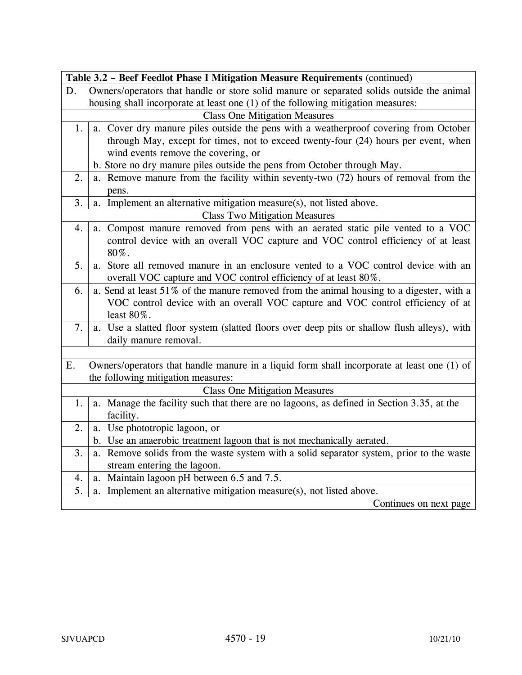|    | Table 3.2 - Beef Feedlot Phase I Mitigation Measure Requirements (continued)                |
|----|---------------------------------------------------------------------------------------------|
| D. | Owners/operators that handle or store solid manure or separated solids outside the animal   |
|    | housing shall incorporate at least one (1) of the following mitigation measures:            |
|    | <b>Class One Mitigation Measures</b>                                                        |
| 1. | a. Cover dry manure piles outside the pens with a weatherproof covering from October        |
|    | through May, except for times, not to exceed twenty-four (24) hours per event, when         |
|    | wind events remove the covering, or                                                         |
|    | b. Store no dry manure piles outside the pens from October through May.                     |
| 2. | a. Remove manure from the facility within seventy-two (72) hours of removal from the        |
|    | pens.                                                                                       |
| 3. | Implement an alternative mitigation measure(s), not listed above.<br>a.                     |
|    | <b>Class Two Mitigation Measures</b>                                                        |
| 4. | a. Compost manure removed from pens with an aerated static pile vented to a VOC             |
|    | control device with an overall VOC capture and VOC control efficiency of at least           |
|    | 80%.                                                                                        |
| 5. | a. Store all removed manure in an enclosure vented to a VOC control device with an          |
|    | overall VOC capture and VOC control efficiency of at least 80%.                             |
| 6. | a. Send at least 51% of the manure removed from the animal housing to a digester, with a    |
|    | VOC control device with an overall VOC capture and VOC control efficiency of at             |
|    | least $80\%$ .                                                                              |
| 7. | a. Use a slatted floor system (slatted floors over deep pits or shallow flush alleys), with |
|    | daily manure removal.                                                                       |
|    |                                                                                             |
| E. | Owners/operators that handle manure in a liquid form shall incorporate at least one (1) of  |
|    | the following mitigation measures:                                                          |
|    | <b>Class One Mitigation Measures</b>                                                        |
| 1. | a. Manage the facility such that there are no lagoons, as defined in Section 3.35, at the   |
|    | facility.                                                                                   |
| 2. | a. Use phototropic lagoon, or                                                               |
|    | b. Use an anaerobic treatment lagoon that is not mechanically aerated.                      |
| 3. | a. Remove solids from the waste system with a solid separator system, prior to the waste    |
|    | stream entering the lagoon.                                                                 |
| 4. | Maintain lagoon pH between 6.5 and 7.5.<br>a.                                               |
| 5. | Implement an alternative mitigation measure(s), not listed above.<br>a.                     |
|    | Continues on next page                                                                      |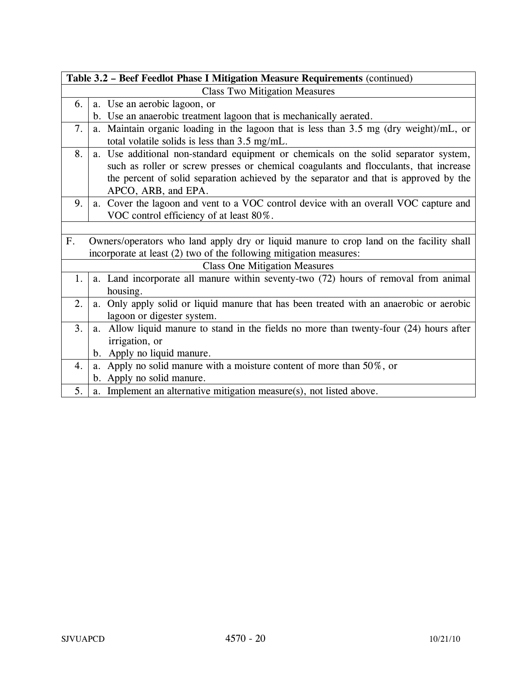| Table 3.2 - Beef Feedlot Phase I Mitigation Measure Requirements (continued) |                                                                                                                                                                                                                                                                                               |  |
|------------------------------------------------------------------------------|-----------------------------------------------------------------------------------------------------------------------------------------------------------------------------------------------------------------------------------------------------------------------------------------------|--|
|                                                                              | <b>Class Two Mitigation Measures</b>                                                                                                                                                                                                                                                          |  |
| 6.                                                                           | a. Use an aerobic lagoon, or                                                                                                                                                                                                                                                                  |  |
|                                                                              | b. Use an anaerobic treatment lagoon that is mechanically aerated.                                                                                                                                                                                                                            |  |
| 7.                                                                           | a. Maintain organic loading in the lagoon that is less than 3.5 mg (dry weight)/mL, or<br>total volatile solids is less than 3.5 mg/mL.                                                                                                                                                       |  |
| 8.                                                                           | a. Use additional non-standard equipment or chemicals on the solid separator system,<br>such as roller or screw presses or chemical coagulants and flocculants, that increase<br>the percent of solid separation achieved by the separator and that is approved by the<br>APCO, ARB, and EPA. |  |
| 9.                                                                           | a. Cover the lagoon and vent to a VOC control device with an overall VOC capture and<br>VOC control efficiency of at least 80%.                                                                                                                                                               |  |
|                                                                              |                                                                                                                                                                                                                                                                                               |  |
| F.                                                                           | Owners/operators who land apply dry or liquid manure to crop land on the facility shall<br>incorporate at least (2) two of the following mitigation measures:                                                                                                                                 |  |
|                                                                              | <b>Class One Mitigation Measures</b>                                                                                                                                                                                                                                                          |  |
| 1.                                                                           | a. Land incorporate all manure within seventy-two (72) hours of removal from animal<br>housing.                                                                                                                                                                                               |  |
| 2.                                                                           | Only apply solid or liquid manure that has been treated with an anaerobic or aerobic<br>a.<br>lagoon or digester system.                                                                                                                                                                      |  |
| 3.                                                                           | Allow liquid manure to stand in the fields no more than twenty-four (24) hours after<br>a.<br>irrigation, or                                                                                                                                                                                  |  |
|                                                                              | b. Apply no liquid manure.                                                                                                                                                                                                                                                                    |  |
| $\overline{4}$ .                                                             | Apply no solid manure with a moisture content of more than $50\%$ , or<br>a.                                                                                                                                                                                                                  |  |
|                                                                              | b. Apply no solid manure.                                                                                                                                                                                                                                                                     |  |
| 5.                                                                           | a. Implement an alternative mitigation measure(s), not listed above.                                                                                                                                                                                                                          |  |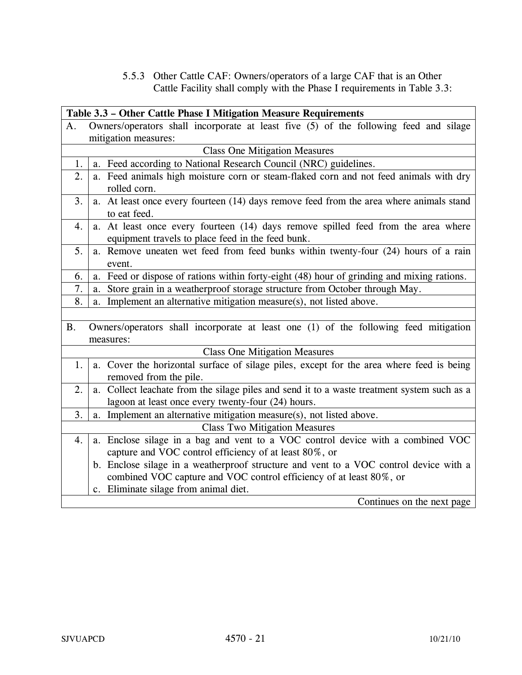5.5.3 Other Cattle CAF: Owners/operators of a large CAF that is an Other Cattle Facility shall comply with the Phase I requirements in Table 3.3:

|           | Table 3.3 - Other Cattle Phase I Mitigation Measure Requirements                            |  |
|-----------|---------------------------------------------------------------------------------------------|--|
| A.        | Owners/operators shall incorporate at least five (5) of the following feed and silage       |  |
|           | mitigation measures:                                                                        |  |
|           | <b>Class One Mitigation Measures</b>                                                        |  |
| 1.        | a. Feed according to National Research Council (NRC) guidelines.                            |  |
| 2.        | a. Feed animals high moisture corn or steam-flaked corn and not feed animals with dry       |  |
|           | rolled corn.                                                                                |  |
| 3.        | a. At least once every fourteen (14) days remove feed from the area where animals stand     |  |
|           | to eat feed.                                                                                |  |
| 4.        | a. At least once every fourteen (14) days remove spilled feed from the area where           |  |
|           | equipment travels to place feed in the feed bunk.                                           |  |
| 5.        | a. Remove uneaten wet feed from feed bunks within twenty-four (24) hours of a rain          |  |
|           | event.                                                                                      |  |
| 6.        | a. Feed or dispose of rations within forty-eight (48) hour of grinding and mixing rations.  |  |
| 7.        | Store grain in a weatherproof storage structure from October through May.<br>a.             |  |
| 8.        | Implement an alternative mitigation measure(s), not listed above.<br>a.                     |  |
|           |                                                                                             |  |
| <b>B.</b> | Owners/operators shall incorporate at least one (1) of the following feed mitigation        |  |
|           | measures:                                                                                   |  |
|           | <b>Class One Mitigation Measures</b>                                                        |  |
| 1.        | a. Cover the horizontal surface of silage piles, except for the area where feed is being    |  |
|           | removed from the pile.                                                                      |  |
| 2.        | a. Collect leachate from the silage piles and send it to a waste treatment system such as a |  |
|           | lagoon at least once every twenty-four (24) hours.                                          |  |
| 3.        | a. Implement an alternative mitigation measure(s), not listed above.                        |  |
|           | <b>Class Two Mitigation Measures</b>                                                        |  |
| 4.        | a. Enclose silage in a bag and vent to a VOC control device with a combined VOC             |  |
|           | capture and VOC control efficiency of at least 80%, or                                      |  |
|           | b. Enclose silage in a weatherproof structure and vent to a VOC control device with a       |  |
|           | combined VOC capture and VOC control efficiency of at least 80%, or                         |  |
|           | c. Eliminate silage from animal diet.                                                       |  |
|           | Continues on the next page                                                                  |  |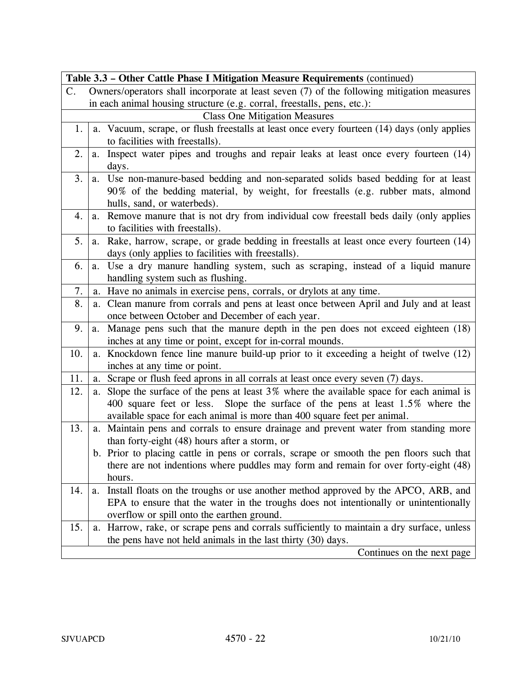| Table 3.3 – Other Cattle Phase I Mitigation Measure Requirements (continued) |                                                                                                |                                                                                            |  |  |
|------------------------------------------------------------------------------|------------------------------------------------------------------------------------------------|--------------------------------------------------------------------------------------------|--|--|
| $\mathbf{C}$ .                                                               |                                                                                                | Owners/operators shall incorporate at least seven (7) of the following mitigation measures |  |  |
|                                                                              |                                                                                                | in each animal housing structure (e.g. corral, freestalls, pens, etc.):                    |  |  |
|                                                                              | <b>Class One Mitigation Measures</b>                                                           |                                                                                            |  |  |
| 1.                                                                           | Vacuum, scrape, or flush freestalls at least once every fourteen (14) days (only applies<br>a. |                                                                                            |  |  |
|                                                                              |                                                                                                | to facilities with freestalls).                                                            |  |  |
| 2.                                                                           | a.                                                                                             | Inspect water pipes and troughs and repair leaks at least once every fourteen (14)         |  |  |
|                                                                              |                                                                                                | days.                                                                                      |  |  |
| 3.                                                                           |                                                                                                | a. Use non-manure-based bedding and non-separated solids based bedding for at least        |  |  |
|                                                                              |                                                                                                | 90% of the bedding material, by weight, for freestalls (e.g. rubber mats, almond           |  |  |
|                                                                              |                                                                                                | hulls, sand, or waterbeds).                                                                |  |  |
| 4.                                                                           | a.                                                                                             | Remove manure that is not dry from individual cow freestall beds daily (only applies       |  |  |
|                                                                              |                                                                                                | to facilities with freestalls).                                                            |  |  |
| 5.                                                                           | a.                                                                                             | Rake, harrow, scrape, or grade bedding in freestalls at least once every fourteen (14)     |  |  |
|                                                                              |                                                                                                | days (only applies to facilities with freestalls).                                         |  |  |
| 6.                                                                           | a.                                                                                             | Use a dry manure handling system, such as scraping, instead of a liquid manure             |  |  |
|                                                                              |                                                                                                | handling system such as flushing.                                                          |  |  |
| 7.                                                                           | a.                                                                                             | Have no animals in exercise pens, corrals, or drylots at any time.                         |  |  |
| 8.                                                                           |                                                                                                | a. Clean manure from corrals and pens at least once between April and July and at least    |  |  |
|                                                                              |                                                                                                | once between October and December of each year.                                            |  |  |
| 9.                                                                           | a.                                                                                             | Manage pens such that the manure depth in the pen does not exceed eighteen (18)            |  |  |
|                                                                              |                                                                                                | inches at any time or point, except for in-corral mounds.                                  |  |  |
| 10.                                                                          |                                                                                                | a. Knockdown fence line manure build-up prior to it exceeding a height of twelve (12)      |  |  |
|                                                                              |                                                                                                | inches at any time or point.                                                               |  |  |
| 11.                                                                          | a.                                                                                             | Scrape or flush feed aprons in all corrals at least once every seven (7) days.             |  |  |
| 12.                                                                          | a.                                                                                             | Slope the surface of the pens at least 3% where the available space for each animal is     |  |  |
|                                                                              |                                                                                                | 400 square feet or less. Slope the surface of the pens at least 1.5% where the             |  |  |
|                                                                              |                                                                                                | available space for each animal is more than 400 square feet per animal.                   |  |  |
| 13.                                                                          |                                                                                                | a. Maintain pens and corrals to ensure drainage and prevent water from standing more       |  |  |
|                                                                              |                                                                                                | than forty-eight (48) hours after a storm, or                                              |  |  |
|                                                                              |                                                                                                | b. Prior to placing cattle in pens or corrals, scrape or smooth the pen floors such that   |  |  |
|                                                                              |                                                                                                | there are not indentions where puddles may form and remain for over forty-eight (48)       |  |  |
|                                                                              |                                                                                                | hours.                                                                                     |  |  |
| 14.                                                                          | a.                                                                                             | Install floats on the troughs or use another method approved by the APCO, ARB, and         |  |  |
|                                                                              |                                                                                                | EPA to ensure that the water in the troughs does not intentionally or unintentionally      |  |  |
|                                                                              |                                                                                                | overflow or spill onto the earthen ground.                                                 |  |  |
| 15.                                                                          |                                                                                                | a. Harrow, rake, or scrape pens and corrals sufficiently to maintain a dry surface, unless |  |  |
|                                                                              |                                                                                                | the pens have not held animals in the last thirty (30) days.                               |  |  |
|                                                                              |                                                                                                | Continues on the next page                                                                 |  |  |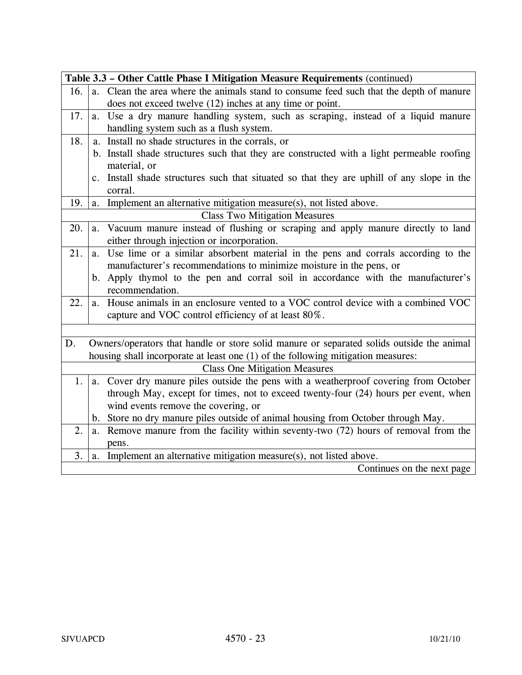|     |    | Table 3.3 - Other Cattle Phase I Mitigation Measure Requirements (continued)               |
|-----|----|--------------------------------------------------------------------------------------------|
| 16. |    | a. Clean the area where the animals stand to consume feed such that the depth of manure    |
|     |    | does not exceed twelve (12) inches at any time or point.                                   |
| 17. | a. | Use a dry manure handling system, such as scraping, instead of a liquid manure             |
|     |    | handling system such as a flush system.                                                    |
| 18. |    | a. Install no shade structures in the corrals, or                                          |
|     |    | b. Install shade structures such that they are constructed with a light permeable roofing  |
|     |    | material, or                                                                               |
|     |    | c. Install shade structures such that situated so that they are uphill of any slope in the |
|     |    | corral.                                                                                    |
| 19. | a. | Implement an alternative mitigation measure(s), not listed above.                          |
|     |    | <b>Class Two Mitigation Measures</b>                                                       |
| 20. | a. | Vacuum manure instead of flushing or scraping and apply manure directly to land            |
|     |    | either through injection or incorporation.                                                 |
| 21. | a. | Use lime or a similar absorbent material in the pens and corrals according to the          |
|     |    | manufacturer's recommendations to minimize moisture in the pens, or                        |
|     |    | b. Apply thymol to the pen and corral soil in accordance with the manufacturer's           |
|     |    | recommendation.                                                                            |
| 22. |    | a. House animals in an enclosure vented to a VOC control device with a combined VOC        |
|     |    | capture and VOC control efficiency of at least 80%.                                        |
|     |    |                                                                                            |
| D.  |    | Owners/operators that handle or store solid manure or separated solids outside the animal  |
|     |    | housing shall incorporate at least one (1) of the following mitigation measures:           |
|     |    | <b>Class One Mitigation Measures</b>                                                       |
| 1.  | a. | Cover dry manure piles outside the pens with a weatherproof covering from October          |
|     |    | through May, except for times, not to exceed twenty-four (24) hours per event, when        |
|     |    | wind events remove the covering, or                                                        |
|     |    | b. Store no dry manure piles outside of animal housing from October through May.           |
| 2.  | a. | Remove manure from the facility within seventy-two (72) hours of removal from the          |
|     |    | pens.                                                                                      |
| 3.  | a. | Implement an alternative mitigation measure(s), not listed above.                          |
|     |    | Continues on the next page                                                                 |
|     |    |                                                                                            |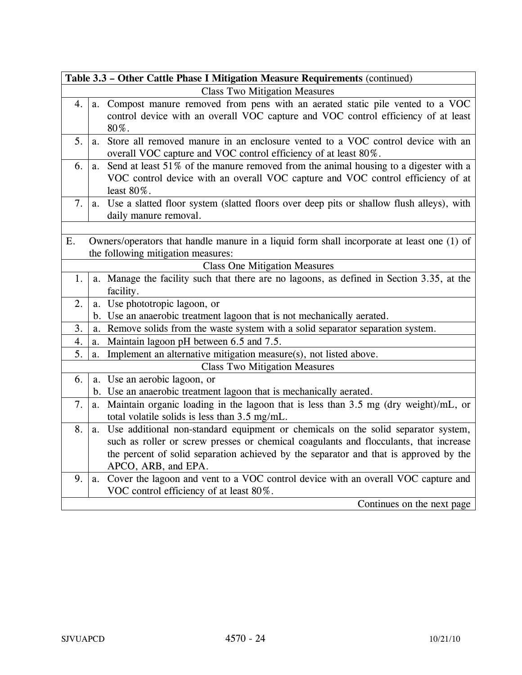|    | Table 3.3 – Other Cattle Phase I Mitigation Measure Requirements (continued)                |
|----|---------------------------------------------------------------------------------------------|
|    | <b>Class Two Mitigation Measures</b>                                                        |
| 4. | a. Compost manure removed from pens with an aerated static pile vented to a VOC             |
|    | control device with an overall VOC capture and VOC control efficiency of at least           |
|    | 80%.                                                                                        |
| 5. | a. Store all removed manure in an enclosure vented to a VOC control device with an          |
|    | overall VOC capture and VOC control efficiency of at least 80%.                             |
| 6. | Send at least 51% of the manure removed from the animal housing to a digester with a<br>a.  |
|    | VOC control device with an overall VOC capture and VOC control efficiency of at             |
|    | least 80%.                                                                                  |
| 7. | a. Use a slatted floor system (slatted floors over deep pits or shallow flush alleys), with |
|    | daily manure removal.                                                                       |
|    |                                                                                             |
| Ε. | Owners/operators that handle manure in a liquid form shall incorporate at least one (1) of  |
|    | the following mitigation measures:                                                          |
|    | <b>Class One Mitigation Measures</b>                                                        |
| 1. | a. Manage the facility such that there are no lagoons, as defined in Section 3.35, at the   |
|    | facility.                                                                                   |
| 2. | a. Use phototropic lagoon, or                                                               |
|    | b. Use an anaerobic treatment lagoon that is not mechanically aerated.                      |
| 3. | a. Remove solids from the waste system with a solid separator separation system.            |
| 4. | Maintain lagoon pH between 6.5 and 7.5.<br>a.                                               |
| 5. | Implement an alternative mitigation measure(s), not listed above.<br>a.                     |
|    | <b>Class Two Mitigation Measures</b>                                                        |
| 6. | a. Use an aerobic lagoon, or                                                                |
|    | b. Use an anaerobic treatment lagoon that is mechanically aerated.                          |
| 7. | Maintain organic loading in the lagoon that is less than 3.5 mg (dry weight)/mL, or<br>a.   |
|    | total volatile solids is less than 3.5 mg/mL.                                               |
| 8. | Use additional non-standard equipment or chemicals on the solid separator system,<br>a.     |
|    | such as roller or screw presses or chemical coagulants and flocculants, that increase       |
|    | the percent of solid separation achieved by the separator and that is approved by the       |
|    | APCO, ARB, and EPA.                                                                         |
| 9. | a. Cover the lagoon and vent to a VOC control device with an overall VOC capture and        |
|    | VOC control efficiency of at least 80%.                                                     |
|    | Continues on the next page                                                                  |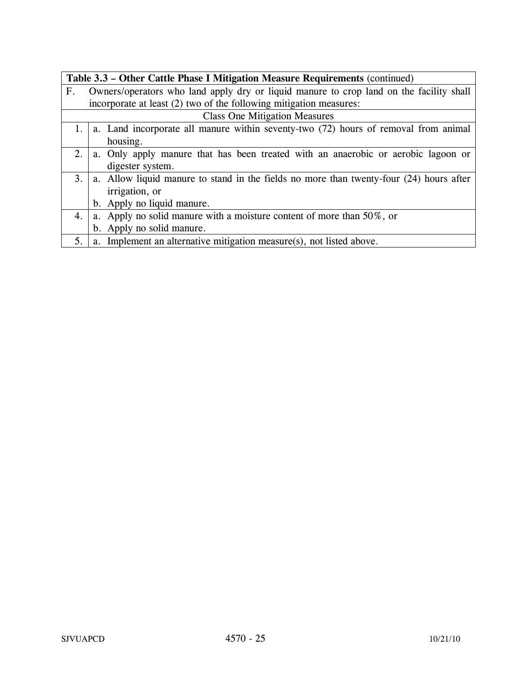| Table 3.3 – Other Cattle Phase I Mitigation Measure Requirements (continued) |                                                                                            |  |
|------------------------------------------------------------------------------|--------------------------------------------------------------------------------------------|--|
| $F_{\cdot}$                                                                  | Owners/operators who land apply dry or liquid manure to crop land on the facility shall    |  |
|                                                                              | incorporate at least (2) two of the following mitigation measures:                         |  |
|                                                                              | <b>Class One Mitigation Measures</b>                                                       |  |
|                                                                              | 1.   a. Land incorporate all manure within seventy-two $(72)$ hours of removal from animal |  |
|                                                                              | housing.                                                                                   |  |
| 2.1                                                                          | a. Only apply manure that has been treated with an anaerobic or aerobic lagoon or          |  |
|                                                                              | digester system.                                                                           |  |
| 3.                                                                           | a. Allow liquid manure to stand in the fields no more than twenty-four (24) hours after    |  |
|                                                                              | irrigation, or                                                                             |  |
|                                                                              | b. Apply no liquid manure.                                                                 |  |
| 4.                                                                           | a. Apply no solid manure with a moisture content of more than 50%, or                      |  |
|                                                                              | b. Apply no solid manure.                                                                  |  |
| 5.                                                                           | a. Implement an alternative mitigation measure(s), not listed above.                       |  |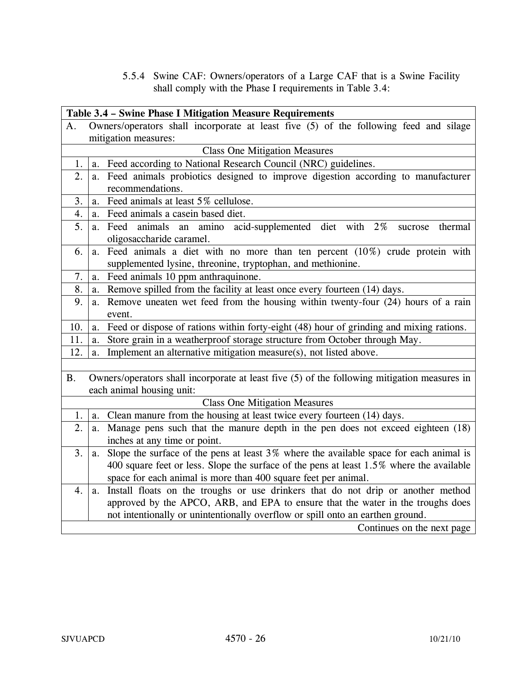5.5.4 Swine CAF: Owners/operators of a Large CAF that is a Swine Facility shall comply with the Phase I requirements in Table 3.4:

|           |    | Table 3.4 - Swine Phase I Mitigation Measure Requirements                                           |
|-----------|----|-----------------------------------------------------------------------------------------------------|
| А.        |    | Owners/operators shall incorporate at least five (5) of the following feed and silage               |
|           |    | mitigation measures:                                                                                |
|           |    | <b>Class One Mitigation Measures</b>                                                                |
| 1.        | a. | Feed according to National Research Council (NRC) guidelines.                                       |
| 2.        | a. | Feed animals probiotics designed to improve digestion according to manufacturer<br>recommendations. |
| 3.        | a. | Feed animals at least 5% cellulose.                                                                 |
| 4.        | a. | Feed animals a casein based diet.                                                                   |
| 5.        | a. | acid-supplemented diet with 2%<br>Feed<br>animals an amino<br>thermal<br>sucrose                    |
|           |    | oligosaccharide caramel.                                                                            |
| 6.        | a. | Feed animals a diet with no more than ten percent $(10\%)$ crude protein with                       |
|           |    | supplemented lysine, threonine, tryptophan, and methionine.                                         |
| 7.        | a. | Feed animals 10 ppm anthraquinone.                                                                  |
| 8.        | a. | Remove spilled from the facility at least once every fourteen (14) days.                            |
| 9.        | a. | Remove uneaten wet feed from the housing within twenty-four (24) hours of a rain                    |
|           |    | event.                                                                                              |
| 10.       | a. | Feed or dispose of rations within forty-eight (48) hour of grinding and mixing rations.             |
| 11.       | a. | Store grain in a weatherproof storage structure from October through May.                           |
| 12.       | a. | Implement an alternative mitigation measure(s), not listed above.                                   |
|           |    |                                                                                                     |
| <b>B.</b> |    | Owners/operators shall incorporate at least five (5) of the following mitigation measures in        |
|           |    | each animal housing unit:                                                                           |
|           |    | <b>Class One Mitigation Measures</b>                                                                |
| 1.        | a. | Clean manure from the housing at least twice every fourteen (14) days.                              |
| 2.        | a. | Manage pens such that the manure depth in the pen does not exceed eighteen (18)                     |
|           |    | inches at any time or point.                                                                        |
| 3.        | a. | Slope the surface of the pens at least $3\%$ where the available space for each animal is           |
|           |    | 400 square feet or less. Slope the surface of the pens at least 1.5% where the available            |
|           |    | space for each animal is more than 400 square feet per animal.                                      |
| 4.        | a. | Install floats on the troughs or use drinkers that do not drip or another method                    |
|           |    | approved by the APCO, ARB, and EPA to ensure that the water in the troughs does                     |
|           |    | not intentionally or unintentionally overflow or spill onto an earthen ground.                      |
|           |    | Continues on the next page                                                                          |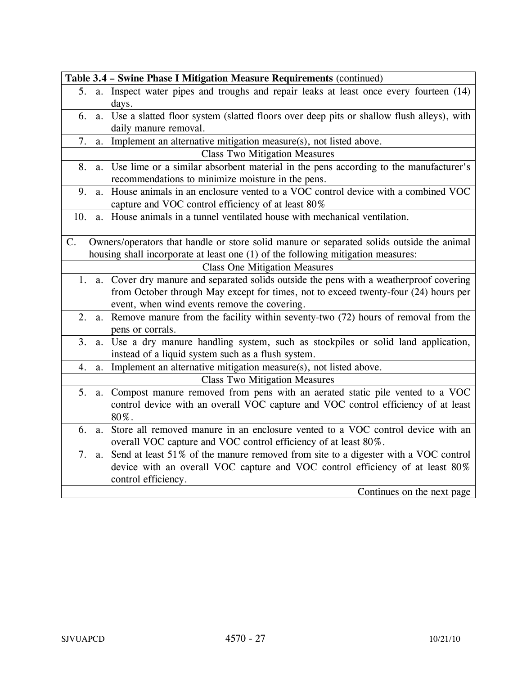|                |                | Table 3.4 - Swine Phase I Mitigation Measure Requirements (continued)                                                                                                         |
|----------------|----------------|-------------------------------------------------------------------------------------------------------------------------------------------------------------------------------|
| 5 <sub>1</sub> |                | a. Inspect water pipes and troughs and repair leaks at least once every fourteen (14)<br>days.                                                                                |
| 6.             |                | a. Use a slatted floor system (slatted floors over deep pits or shallow flush alleys), with<br>daily manure removal.                                                          |
| 7.             | a.             | Implement an alternative mitigation measure(s), not listed above.                                                                                                             |
|                |                | <b>Class Two Mitigation Measures</b>                                                                                                                                          |
| 8.             | a.             | Use lime or a similar absorbent material in the pens according to the manufacturer's<br>recommendations to minimize moisture in the pens.                                     |
| 9.             | a.             | House animals in an enclosure vented to a VOC control device with a combined VOC<br>capture and VOC control efficiency of at least 80%                                        |
| 10.            | a.             | House animals in a tunnel ventilated house with mechanical ventilation.                                                                                                       |
|                |                |                                                                                                                                                                               |
| C.             |                | Owners/operators that handle or store solid manure or separated solids outside the animal<br>housing shall incorporate at least one (1) of the following mitigation measures: |
|                |                | <b>Class One Mitigation Measures</b>                                                                                                                                          |
| 1.             | a.             | Cover dry manure and separated solids outside the pens with a weatherproof covering                                                                                           |
|                |                | from October through May except for times, not to exceed twenty-four (24) hours per                                                                                           |
|                |                | event, when wind events remove the covering.                                                                                                                                  |
| 2.             | a.             | Remove manure from the facility within seventy-two (72) hours of removal from the<br>pens or corrals.                                                                         |
| 3.             | a.             | Use a dry manure handling system, such as stockpiles or solid land application,                                                                                               |
|                |                | instead of a liquid system such as a flush system.                                                                                                                            |
| 4.             | a.             | Implement an alternative mitigation measure(s), not listed above.                                                                                                             |
|                |                | <b>Class Two Mitigation Measures</b>                                                                                                                                          |
| 5.             | a.             | Compost manure removed from pens with an aerated static pile vented to a VOC<br>control device with an overall VOC capture and VOC control efficiency of at least<br>80%.     |
| 6.             | a.             | Store all removed manure in an enclosure vented to a VOC control device with an<br>overall VOC capture and VOC control efficiency of at least 80%.                            |
| 7.             | a <sub>1</sub> | Send at least 51% of the manure removed from site to a digester with a VOC control                                                                                            |
|                |                | device with an overall VOC capture and VOC control efficiency of at least 80%<br>control efficiency.                                                                          |
|                |                | Continues on the next page                                                                                                                                                    |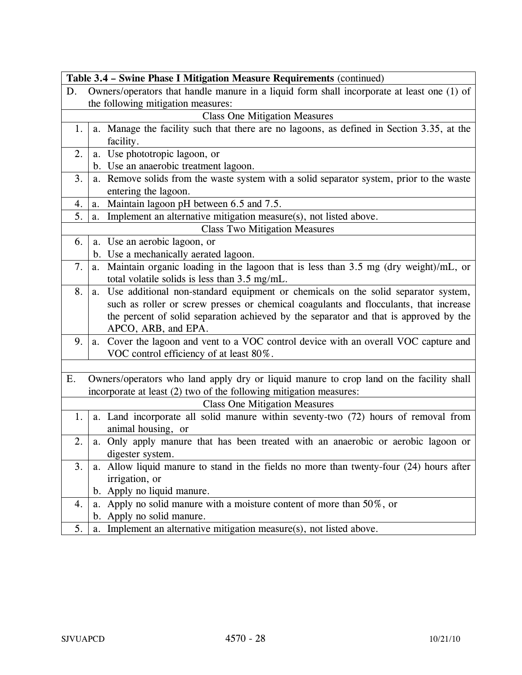|    | Table 3.4 - Swine Phase I Mitigation Measure Requirements (continued)                                                                   |
|----|-----------------------------------------------------------------------------------------------------------------------------------------|
| D. | Owners/operators that handle manure in a liquid form shall incorporate at least one (1) of                                              |
|    | the following mitigation measures:                                                                                                      |
|    | <b>Class One Mitigation Measures</b>                                                                                                    |
| 1. | a. Manage the facility such that there are no lagoons, as defined in Section 3.35, at the<br>facility.                                  |
| 2. | a. Use phototropic lagoon, or                                                                                                           |
|    | b. Use an anaerobic treatment lagoon.                                                                                                   |
| 3. | a. Remove solids from the waste system with a solid separator system, prior to the waste<br>entering the lagoon.                        |
| 4. | Maintain lagoon pH between 6.5 and 7.5.<br>a.                                                                                           |
| 5. | Implement an alternative mitigation measure(s), not listed above.<br>a.                                                                 |
|    | <b>Class Two Mitigation Measures</b>                                                                                                    |
| 6. | a. Use an aerobic lagoon, or                                                                                                            |
|    | b. Use a mechanically aerated lagoon.                                                                                                   |
| 7. | a. Maintain organic loading in the lagoon that is less than 3.5 mg (dry weight)/mL, or<br>total volatile solids is less than 3.5 mg/mL. |
| 8. | Use additional non-standard equipment or chemicals on the solid separator system,<br>a.                                                 |
|    | such as roller or screw presses or chemical coagulants and flocculants, that increase                                                   |
|    | the percent of solid separation achieved by the separator and that is approved by the                                                   |
|    | APCO, ARB, and EPA.                                                                                                                     |
| 9. | a. Cover the lagoon and vent to a VOC control device with an overall VOC capture and                                                    |
|    | VOC control efficiency of at least 80%.                                                                                                 |
|    |                                                                                                                                         |
| Ε. | Owners/operators who land apply dry or liquid manure to crop land on the facility shall                                                 |
|    | incorporate at least (2) two of the following mitigation measures:                                                                      |
|    | <b>Class One Mitigation Measures</b>                                                                                                    |
| 1. | a. Land incorporate all solid manure within seventy-two (72) hours of removal from                                                      |
|    | animal housing, or                                                                                                                      |
| 2. | a. Only apply manure that has been treated with an anaerobic or aerobic lagoon or                                                       |
|    | digester system.                                                                                                                        |
| 3. | a. Allow liquid manure to stand in the fields no more than twenty-four (24) hours after                                                 |
|    | irrigation, or                                                                                                                          |
|    | b. Apply no liquid manure.                                                                                                              |
| 4. | a. Apply no solid manure with a moisture content of more than 50%, or                                                                   |
|    | b. Apply no solid manure.                                                                                                               |
| 5. | a. Implement an alternative mitigation measure(s), not listed above.                                                                    |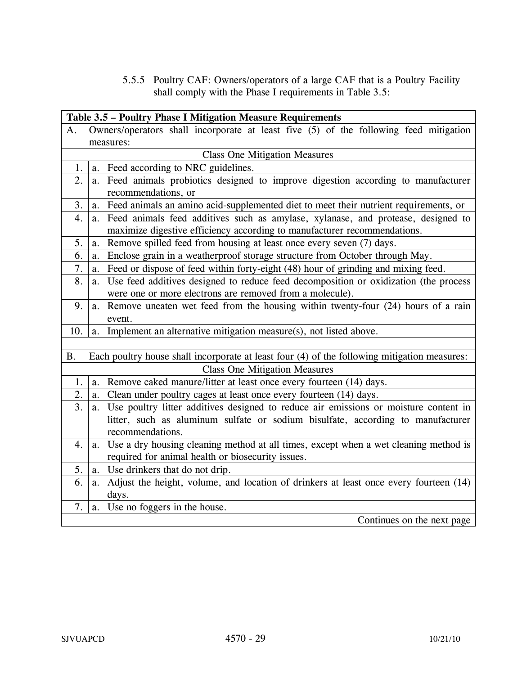5.5.5 Poultry CAF: Owners/operators of a large CAF that is a Poultry Facility shall comply with the Phase I requirements in Table 3.5:

|           |    | Table 3.5 - Poultry Phase I Mitigation Measure Requirements                                            |
|-----------|----|--------------------------------------------------------------------------------------------------------|
| А.        |    | Owners/operators shall incorporate at least five (5) of the following feed mitigation                  |
|           |    | measures:                                                                                              |
|           |    | <b>Class One Mitigation Measures</b>                                                                   |
| 1.        | a. | Feed according to NRC guidelines.                                                                      |
| 2.        | a. | Feed animals probiotics designed to improve digestion according to manufacturer<br>recommendations, or |
| 3.        | a. | Feed animals an amino acid-supplemented diet to meet their nutrient requirements, or                   |
| 4.        | a. | Feed animals feed additives such as amylase, xylanase, and protease, designed to                       |
|           |    | maximize digestive efficiency according to manufacturer recommendations.                               |
| 5.        | a. | Remove spilled feed from housing at least once every seven (7) days.                                   |
| 6.        | a. | Enclose grain in a weatherproof storage structure from October through May.                            |
| 7.        | a. | Feed or dispose of feed within forty-eight (48) hour of grinding and mixing feed.                      |
| 8.        | a. | Use feed additives designed to reduce feed decomposition or oxidization (the process                   |
|           |    | were one or more electrons are removed from a molecule).                                               |
| 9.        | a. | Remove uneaten wet feed from the housing within twenty-four (24) hours of a rain                       |
|           |    | event.                                                                                                 |
| 10.       | a. | Implement an alternative mitigation measure(s), not listed above.                                      |
|           |    |                                                                                                        |
| <b>B.</b> |    | Each poultry house shall incorporate at least four (4) of the following mitigation measures:           |
|           |    | <b>Class One Mitigation Measures</b>                                                                   |
| 1.        | a. | Remove caked manure/litter at least once every fourteen (14) days.                                     |
| 2.        | a. | Clean under poultry cages at least once every fourteen (14) days.                                      |
| 3.        | a. | Use poultry litter additives designed to reduce air emissions or moisture content in                   |
|           |    | litter, such as aluminum sulfate or sodium bisulfate, according to manufacturer                        |
|           |    | recommendations.                                                                                       |
| 4.        | a. | Use a dry housing cleaning method at all times, except when a wet cleaning method is                   |
|           |    | required for animal health or biosecurity issues.                                                      |
| 5.        | a. | Use drinkers that do not drip.                                                                         |
| 6.        | a. | Adjust the height, volume, and location of drinkers at least once every fourteen (14)                  |
|           |    | days.                                                                                                  |
| 7.        | a. | Use no foggers in the house.                                                                           |
|           |    | Continues on the next page                                                                             |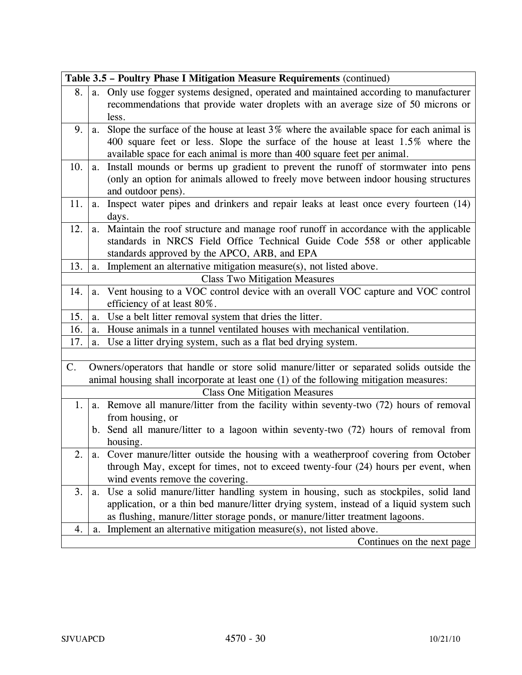|     |    | Table 3.5 - Poultry Phase I Mitigation Measure Requirements (continued)                                                                                                                                                                                |
|-----|----|--------------------------------------------------------------------------------------------------------------------------------------------------------------------------------------------------------------------------------------------------------|
| 8.  | a. | Only use fogger systems designed, operated and maintained according to manufacturer<br>recommendations that provide water droplets with an average size of 50 microns or<br>less.                                                                      |
| 9.  | a. | Slope the surface of the house at least 3% where the available space for each animal is<br>400 square feet or less. Slope the surface of the house at least 1.5% where the<br>available space for each animal is more than 400 square feet per animal. |
| 10. | a. | Install mounds or berms up gradient to prevent the runoff of stormwater into pens<br>(only an option for animals allowed to freely move between indoor housing structures<br>and outdoor pens).                                                        |
| 11. | a. | Inspect water pipes and drinkers and repair leaks at least once every fourteen (14)<br>days.                                                                                                                                                           |
| 12. | a. | Maintain the roof structure and manage roof runoff in accordance with the applicable<br>standards in NRCS Field Office Technical Guide Code 558 or other applicable<br>standards approved by the APCO, ARB, and EPA                                    |
| 13. | a. | Implement an alternative mitigation measure(s), not listed above.                                                                                                                                                                                      |
|     |    | <b>Class Two Mitigation Measures</b>                                                                                                                                                                                                                   |
| 14. | a. | Vent housing to a VOC control device with an overall VOC capture and VOC control<br>efficiency of at least 80%.                                                                                                                                        |
| 15. | a. | Use a belt litter removal system that dries the litter.                                                                                                                                                                                                |
| 16. | a. | House animals in a tunnel ventilated houses with mechanical ventilation.                                                                                                                                                                               |
| 17. | a. | Use a litter drying system, such as a flat bed drying system.                                                                                                                                                                                          |
|     |    |                                                                                                                                                                                                                                                        |
| C.  |    | Owners/operators that handle or store solid manure/litter or separated solids outside the                                                                                                                                                              |
|     |    | animal housing shall incorporate at least one (1) of the following mitigation measures:                                                                                                                                                                |
|     |    | <b>Class One Mitigation Measures</b>                                                                                                                                                                                                                   |
| 1.  |    | a. Remove all manure/litter from the facility within seventy-two (72) hours of removal                                                                                                                                                                 |
|     |    | from housing, or                                                                                                                                                                                                                                       |
|     |    | b. Send all manure/litter to a lagoon within seventy-two (72) hours of removal from                                                                                                                                                                    |
|     |    | housing.                                                                                                                                                                                                                                               |
|     |    | Cover manure/litter outside the housing with a weatherproof covering from October                                                                                                                                                                      |
|     |    | through May, except for times, not to exceed twenty-four (24) hours per event, when                                                                                                                                                                    |
|     |    | wind events remove the covering.                                                                                                                                                                                                                       |
| 3.  | a. | Use a solid manure/litter handling system in housing, such as stockpiles, solid land                                                                                                                                                                   |
|     |    | application, or a thin bed manure/litter drying system, instead of a liquid system such                                                                                                                                                                |
|     |    | as flushing, manure/litter storage ponds, or manure/litter treatment lagoons.                                                                                                                                                                          |
| 4.  | a. | Implement an alternative mitigation measure(s), not listed above.                                                                                                                                                                                      |
|     |    | Continues on the next page                                                                                                                                                                                                                             |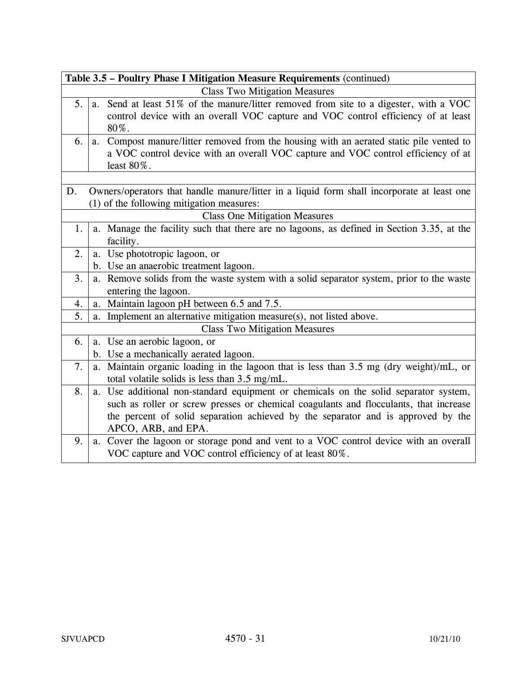|    | Table 3.5 - Poultry Phase I Mitigation Measure Requirements (continued)                                                                                                                                                                                                                  |
|----|------------------------------------------------------------------------------------------------------------------------------------------------------------------------------------------------------------------------------------------------------------------------------------------|
|    | <b>Class Two Mitigation Measures</b>                                                                                                                                                                                                                                                     |
| 5. | Send at least 51% of the manure/litter removed from site to a digester, with a VOC<br>a.<br>control device with an overall VOC capture and VOC control efficiency of at least<br>80%.                                                                                                    |
| 6. | Compost manure/litter removed from the housing with an aerated static pile vented to<br>a.<br>a VOC control device with an overall VOC capture and VOC control efficiency of at<br>least 80%.                                                                                            |
|    |                                                                                                                                                                                                                                                                                          |
| D. | Owners/operators that handle manure/litter in a liquid form shall incorporate at least one<br>(1) of the following mitigation measures:                                                                                                                                                  |
|    | <b>Class One Mitigation Measures</b>                                                                                                                                                                                                                                                     |
| 1. | a. Manage the facility such that there are no lagoons, as defined in Section 3.35, at the<br>facility.                                                                                                                                                                                   |
| 2. | a. Use phototropic lagoon, or                                                                                                                                                                                                                                                            |
|    | b. Use an anaerobic treatment lagoon.                                                                                                                                                                                                                                                    |
| 3. | a. Remove solids from the waste system with a solid separator system, prior to the waste                                                                                                                                                                                                 |
|    | entering the lagoon.                                                                                                                                                                                                                                                                     |
| 4. | Maintain lagoon pH between 6.5 and 7.5.<br>a.                                                                                                                                                                                                                                            |
| 5. | a. Implement an alternative mitigation measure(s), not listed above.                                                                                                                                                                                                                     |
|    | <b>Class Two Mitigation Measures</b>                                                                                                                                                                                                                                                     |
| 6. | a. Use an aerobic lagoon, or                                                                                                                                                                                                                                                             |
|    | b. Use a mechanically aerated lagoon.                                                                                                                                                                                                                                                    |
| 7. | a. Maintain organic loading in the lagoon that is less than 3.5 mg (dry weight)/mL, or<br>total volatile solids is less than 3.5 mg/mL.                                                                                                                                                  |
| 8. | a. Use additional non-standard equipment or chemicals on the solid separator system,<br>such as roller or screw presses or chemical coagulants and flocculants, that increase<br>the percent of solid separation achieved by the separator and is approved by the<br>APCO, ARB, and EPA. |
| 9. | Cover the lagoon or storage pond and vent to a VOC control device with an overall<br>a.<br>VOC capture and VOC control efficiency of at least 80%.                                                                                                                                       |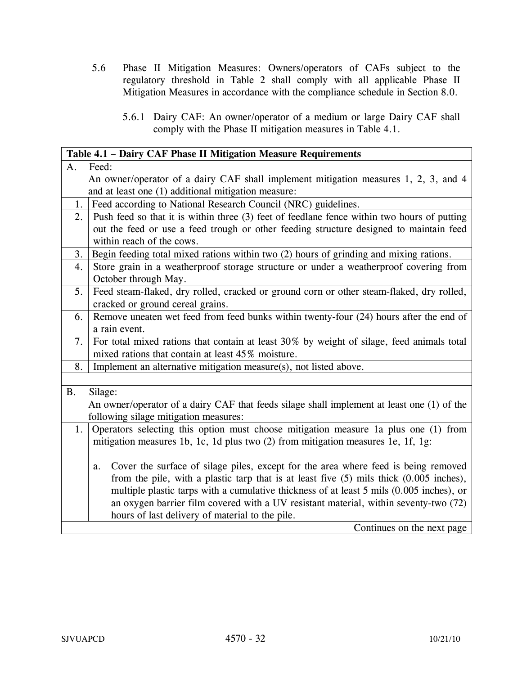- 5.6 Phase II Mitigation Measures: Owners/operators of CAFs subject to the regulatory threshold in Table 2 shall comply with all applicable Phase II Mitigation Measures in accordance with the compliance schedule in Section 8.0.
	- 5.6.1 Dairy CAF: An owner/operator of a medium or large Dairy CAF shall comply with the Phase II mitigation measures in Table 4.1.

|           | Table 4.1 - Dairy CAF Phase II Mitigation Measure Requirements                              |
|-----------|---------------------------------------------------------------------------------------------|
| A.        | Feed:                                                                                       |
|           | An owner/operator of a dairy CAF shall implement mitigation measures 1, 2, 3, and 4         |
|           | and at least one (1) additional mitigation measure:                                         |
| 1.        | Feed according to National Research Council (NRC) guidelines.                               |
| 2.        | Push feed so that it is within three (3) feet of feedlane fence within two hours of putting |
|           | out the feed or use a feed trough or other feeding structure designed to maintain feed      |
|           | within reach of the cows.                                                                   |
| 3.        | Begin feeding total mixed rations within two (2) hours of grinding and mixing rations.      |
| 4.        | Store grain in a weatherproof storage structure or under a weatherproof covering from       |
|           | October through May.                                                                        |
| 5.        | Feed steam-flaked, dry rolled, cracked or ground corn or other steam-flaked, dry rolled,    |
|           | cracked or ground cereal grains.                                                            |
| 6.        | Remove uneaten wet feed from feed bunks within twenty-four (24) hours after the end of      |
|           | a rain event.                                                                               |
| 7.        | For total mixed rations that contain at least 30% by weight of silage, feed animals total   |
|           | mixed rations that contain at least 45% moisture.                                           |
| 8.        | Implement an alternative mitigation measure(s), not listed above.                           |
|           |                                                                                             |
| <b>B.</b> | Silage:                                                                                     |
|           | An owner/operator of a dairy CAF that feeds silage shall implement at least one (1) of the  |
|           | following silage mitigation measures:                                                       |
| 1.        | Operators selecting this option must choose mitigation measure 1a plus one (1) from         |
|           | mitigation measures 1b, 1c, 1d plus two (2) from mitigation measures 1e, 1f, 1g:            |
|           |                                                                                             |
|           | Cover the surface of silage piles, except for the area where feed is being removed<br>a.    |
|           | from the pile, with a plastic tarp that is at least five $(5)$ mils thick $(0.005$ inches), |
|           | multiple plastic tarps with a cumulative thickness of at least 5 mils (0.005 inches), or    |
|           | an oxygen barrier film covered with a UV resistant material, within seventy-two (72)        |
|           | hours of last delivery of material to the pile.                                             |
|           | Continues on the next page                                                                  |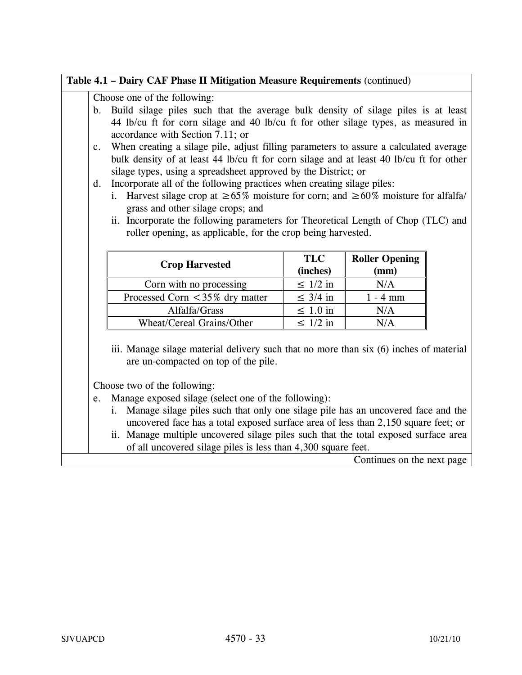## **Table 4.1 – Dairy CAF Phase II Mitigation Measure Requirements** (continued)

Choose one of the following:

- b. Build silage piles such that the average bulk density of silage piles is at least 44 lb/cu ft for corn silage and 40 lb/cu ft for other silage types, as measured in accordance with Section 7.11; or
- c. When creating a silage pile, adjust filling parameters to assure a calculated average bulk density of at least 44 lb/cu ft for corn silage and at least 40 lb/cu ft for other silage types, using a spreadsheet approved by the District; or
- d. Incorporate all of the following practices when creating silage piles:
	- i. Harvest silage crop at  $\geq 65\%$  moisture for corn; and  $\geq 60\%$  moisture for alfalfa/ grass and other silage crops; and

| Folici opening, as applicable, for the crop being harvested. |                        |                               |  |
|--------------------------------------------------------------|------------------------|-------------------------------|--|
| <b>Crop Harvested</b>                                        | <b>TLC</b><br>(inches) | <b>Roller Opening</b><br>(mm) |  |
| Corn with no processing                                      | $\leq 1/2$ in          | N/A                           |  |
| Processed Corn $\leq$ 35% dry matter                         | $\leq$ 3/4 in          | $1 - 4$ mm                    |  |

Alfalfa/Grass  $\vert \leq 1.0$  in  $\vert$  N/A

Wheat/Cereal Grains/Other  $\vert \leq 1/2$  in  $\vert$  N/A

ii. Incorporate the following parameters for Theoretical Length of Chop (TLC) and roller opening, as applicable, for the crop being harvested.

iii. Manage silage material delivery such that no more than six (6) inches of material are un-compacted on top of the pile.

Choose two of the following:

- e. Manage exposed silage (select one of the following):
	- i. Manage silage piles such that only one silage pile has an uncovered face and the uncovered face has a total exposed surface area of less than 2,150 square feet; or
	- ii. Manage multiple uncovered silage piles such that the total exposed surface area of all uncovered silage piles is less than 4,300 square feet.

Continues on the next page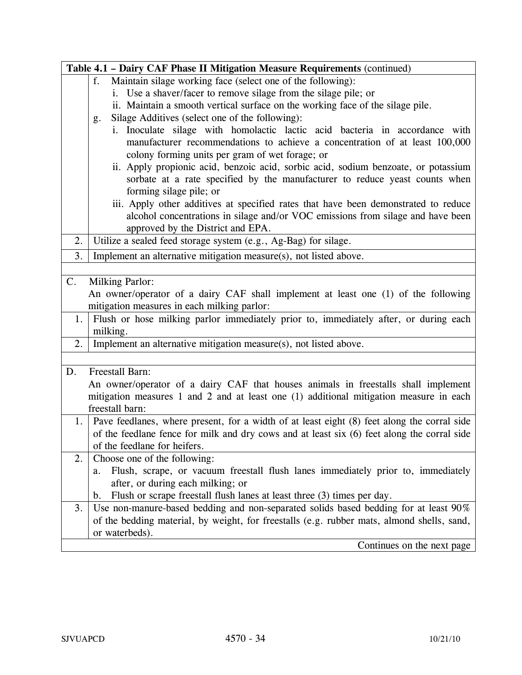| Table 4.1 - Dairy CAF Phase II Mitigation Measure Requirements (continued)                        |  |  |
|---------------------------------------------------------------------------------------------------|--|--|
| Maintain silage working face (select one of the following):<br>f.                                 |  |  |
| i. Use a shaver/facer to remove silage from the silage pile; or                                   |  |  |
| ii. Maintain a smooth vertical surface on the working face of the silage pile.                    |  |  |
| Silage Additives (select one of the following):<br>g.                                             |  |  |
| Inoculate silage with homolactic lactic acid bacteria in accordance with<br>i.                    |  |  |
| manufacturer recommendations to achieve a concentration of at least 100,000                       |  |  |
| colony forming units per gram of wet forage; or                                                   |  |  |
| ii. Apply propionic acid, benzoic acid, sorbic acid, sodium benzoate, or potassium                |  |  |
| sorbate at a rate specified by the manufacturer to reduce yeast counts when                       |  |  |
| forming silage pile; or                                                                           |  |  |
| iii. Apply other additives at specified rates that have been demonstrated to reduce               |  |  |
| alcohol concentrations in silage and/or VOC emissions from silage and have been                   |  |  |
| approved by the District and EPA.                                                                 |  |  |
| 2.<br>Utilize a sealed feed storage system (e.g., Ag-Bag) for silage.                             |  |  |
| Implement an alternative mitigation measure(s), not listed above.<br>3.                           |  |  |
|                                                                                                   |  |  |
| <b>Milking Parlor:</b><br>C.                                                                      |  |  |
| An owner/operator of a dairy CAF shall implement at least one (1) of the following                |  |  |
| mitigation measures in each milking parlor:                                                       |  |  |
| Flush or hose milking parlor immediately prior to, immediately after, or during each<br>1.        |  |  |
| milking.                                                                                          |  |  |
| Implement an alternative mitigation measure(s), not listed above.<br>2.                           |  |  |
|                                                                                                   |  |  |
| Freestall Barn:<br>D.                                                                             |  |  |
| An owner/operator of a dairy CAF that houses animals in freestalls shall implement                |  |  |
| mitigation measures 1 and 2 and at least one (1) additional mitigation measure in each            |  |  |
| freestall barn:                                                                                   |  |  |
| Pave feedlanes, where present, for a width of at least eight (8) feet along the corral side<br>1. |  |  |
| of the feedlane fence for milk and dry cows and at least six (6) feet along the corral side       |  |  |
| of the feedlane for heifers.                                                                      |  |  |
| 2.<br>Choose one of the following:                                                                |  |  |
| Flush, scrape, or vacuum freestall flush lanes immediately prior to, immediately<br>a.            |  |  |
| after, or during each milking; or                                                                 |  |  |
| Flush or scrape freestall flush lanes at least three (3) times per day.<br>$\mathbf b$ .          |  |  |
| Use non-manure-based bedding and non-separated solids based bedding for at least 90%<br>3.        |  |  |
| of the bedding material, by weight, for freestalls (e.g. rubber mats, almond shells, sand,        |  |  |
| or waterbeds).                                                                                    |  |  |
| Continues on the next page                                                                        |  |  |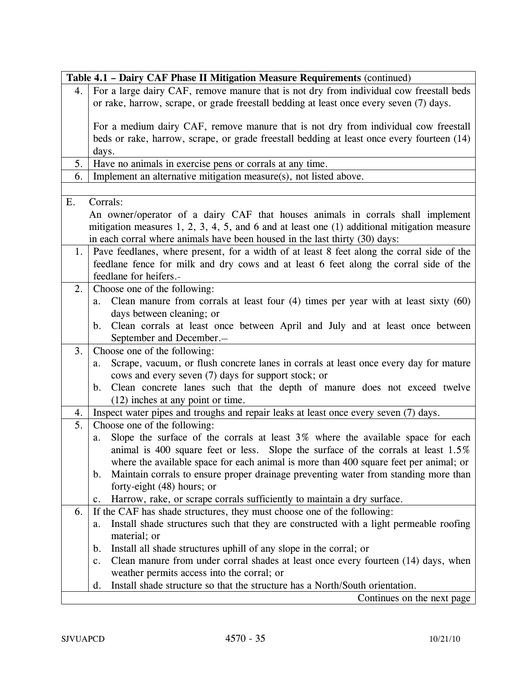|     | Table 4.1 - Dairy CAF Phase II Mitigation Measure Requirements (continued)                            |
|-----|-------------------------------------------------------------------------------------------------------|
| 4.  | For a large dairy CAF, remove manure that is not dry from individual cow freestall beds               |
|     | or rake, harrow, scrape, or grade freestall bedding at least once every seven (7) days.               |
|     |                                                                                                       |
|     | For a medium dairy CAF, remove manure that is not dry from individual cow freestall                   |
|     | beds or rake, harrow, scrape, or grade freestall bedding at least once every fourteen (14)            |
|     | days.                                                                                                 |
| 5.  | Have no animals in exercise pens or corrals at any time.                                              |
| 6.  | Implement an alternative mitigation measure(s), not listed above.                                     |
|     |                                                                                                       |
| Ε.  | Corrals:                                                                                              |
|     | An owner/operator of a dairy CAF that houses animals in corrals shall implement                       |
|     | mitigation measures $1, 2, 3, 4, 5$ , and 6 and at least one (1) additional mitigation measure        |
|     | in each corral where animals have been housed in the last thirty (30) days:                           |
| 1.  | Pave feedlanes, where present, for a width of at least 8 feet along the corral side of the            |
|     | feedlane fence for milk and dry cows and at least 6 feet along the corral side of the                 |
|     | feedlane for heifers.-                                                                                |
| 2.1 | Choose one of the following:                                                                          |
|     | Clean manure from corrals at least four $(4)$ times per year with at least sixty $(60)$<br>a.         |
|     | days between cleaning; or                                                                             |
|     | Clean corrals at least once between April and July and at least once between<br>$\mathbf b$ .         |
|     | September and December.-                                                                              |
| 3.  | Choose one of the following:                                                                          |
|     | Scrape, vacuum, or flush concrete lanes in corrals at least once every day for mature<br>a.           |
|     | cows and every seven (7) days for support stock; or                                                   |
|     | Clean concrete lanes such that the depth of manure does not exceed twelve<br>$\mathbf{b}$ .           |
|     | (12) inches at any point or time.                                                                     |
| 4.  | Inspect water pipes and troughs and repair leaks at least once every seven (7) days.                  |
| 5.  | Choose one of the following:                                                                          |
|     | Slope the surface of the corrals at least 3% where the available space for each<br>a.                 |
|     | animal is 400 square feet or less. Slope the surface of the corrals at least 1.5%                     |
|     | where the available space for each animal is more than 400 square feet per animal; or                 |
|     | Maintain corrals to ensure proper drainage preventing water from standing more than<br>$\mathbf{b}$ . |
|     | forty-eight (48) hours; or                                                                            |
|     | Harrow, rake, or scrape corrals sufficiently to maintain a dry surface.<br>c.                         |
| 6.  | If the CAF has shade structures, they must choose one of the following:                               |
|     | Install shade structures such that they are constructed with a light permeable roofing<br>a.          |
|     | material; or                                                                                          |
|     | Install all shade structures uphill of any slope in the corral; or<br>$\mathbf b$ .                   |
|     | Clean manure from under corral shades at least once every fourteen (14) days, when<br>c.              |
|     | weather permits access into the corral; or                                                            |
|     | Install shade structure so that the structure has a North/South orientation.<br>d.                    |
|     | Continues on the next page                                                                            |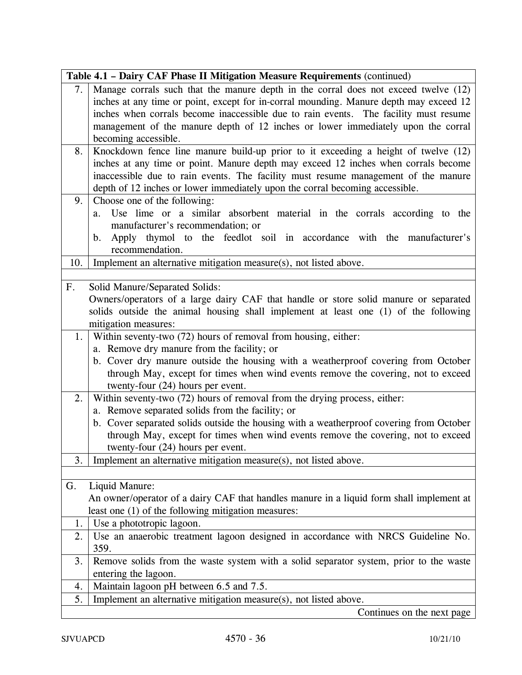|                | Table 4.1 - Dairy CAF Phase II Mitigation Measure Requirements (continued)               |
|----------------|------------------------------------------------------------------------------------------|
| 7.             | Manage corrals such that the manure depth in the corral does not exceed twelve (12)      |
|                | inches at any time or point, except for in-corral mounding. Manure depth may exceed 12   |
|                | inches when corrals become inaccessible due to rain events. The facility must resume     |
|                | management of the manure depth of 12 inches or lower immediately upon the corral         |
|                | becoming accessible.                                                                     |
| 8.             | Knockdown fence line manure build-up prior to it exceeding a height of twelve (12)       |
|                | inches at any time or point. Manure depth may exceed 12 inches when corrals become       |
|                | inaccessible due to rain events. The facility must resume management of the manure       |
|                | depth of 12 inches or lower immediately upon the corral becoming accessible.             |
| 9.1            | Choose one of the following:                                                             |
|                | Use lime or a similar absorbent material in the corrals according to the<br>a.           |
|                | manufacturer's recommendation; or                                                        |
|                | Apply thymol to the feedlot soil in accordance with the manufacturer's<br>b.             |
|                | recommendation.                                                                          |
| 10.            | Implement an alternative mitigation measure(s), not listed above.                        |
|                |                                                                                          |
| F <sub>1</sub> | Solid Manure/Separated Solids:                                                           |
|                | Owners/operators of a large dairy CAF that handle or store solid manure or separated     |
|                | solids outside the animal housing shall implement at least one (1) of the following      |
|                | mitigation measures:                                                                     |
|                | 1. Within seventy-two (72) hours of removal from housing, either:                        |
|                | a. Remove dry manure from the facility; or                                               |
|                | b. Cover dry manure outside the housing with a weatherproof covering from October        |
|                | through May, except for times when wind events remove the covering, not to exceed        |
|                | twenty-four (24) hours per event.                                                        |
| 2.1            | Within seventy-two (72) hours of removal from the drying process, either:                |
|                | a. Remove separated solids from the facility; or                                         |
|                | b. Cover separated solids outside the housing with a weatherproof covering from October  |
|                | through May, except for times when wind events remove the covering, not to exceed        |
|                | twenty-four (24) hours per event.                                                        |
| 3.             | Implement an alternative mitigation measure(s), not listed above.                        |
|                |                                                                                          |
| G.             | Liquid Manure:                                                                           |
|                | An owner/operator of a dairy CAF that handles manure in a liquid form shall implement at |
|                | least one (1) of the following mitigation measures:                                      |
| 1.             | Use a phototropic lagoon.                                                                |
| 2.             | Use an anaerobic treatment lagoon designed in accordance with NRCS Guideline No.         |
|                | 359.                                                                                     |
| 3.             | Remove solids from the waste system with a solid separator system, prior to the waste    |
|                | entering the lagoon.                                                                     |
| 4.             | Maintain lagoon pH between 6.5 and 7.5.                                                  |
| 5.             | Implement an alternative mitigation measure(s), not listed above.                        |
|                | Continues on the next page                                                               |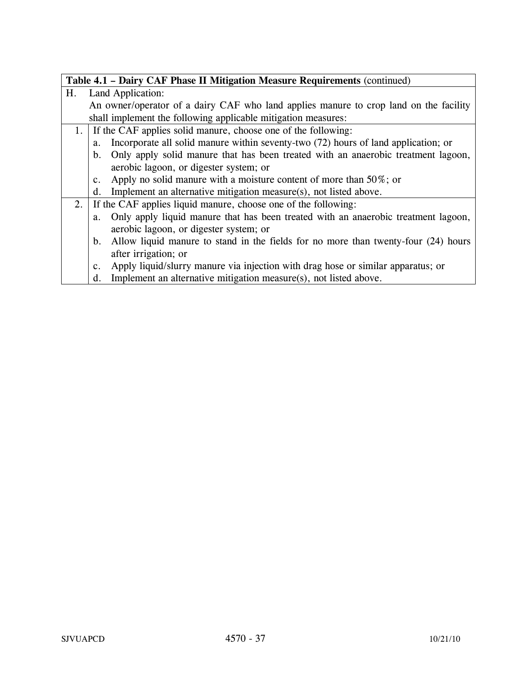|    | Table 4.1 - Dairy CAF Phase II Mitigation Measure Requirements (continued) |                                                                                       |  |
|----|----------------------------------------------------------------------------|---------------------------------------------------------------------------------------|--|
| Η. | Land Application:                                                          |                                                                                       |  |
|    |                                                                            | An owner/operator of a dairy CAF who land applies manure to crop land on the facility |  |
|    |                                                                            | shall implement the following applicable mitigation measures:                         |  |
| 1. | If the CAF applies solid manure, choose one of the following:              |                                                                                       |  |
|    | a.                                                                         | Incorporate all solid manure within seventy-two (72) hours of land application; or    |  |
|    | $\mathbf{b}$ .                                                             | Only apply solid manure that has been treated with an anaerobic treatment lagoon,     |  |
|    |                                                                            | aerobic lagoon, or digester system; or                                                |  |
|    | c.                                                                         | Apply no solid manure with a moisture content of more than $50\%$ ; or                |  |
|    | d.                                                                         | Implement an alternative mitigation measure(s), not listed above.                     |  |
|    |                                                                            | 2. If the CAF applies liquid manure, choose one of the following:                     |  |
|    | a.                                                                         | Only apply liquid manure that has been treated with an anaerobic treatment lagoon,    |  |
|    |                                                                            | aerobic lagoon, or digester system; or                                                |  |
|    | $b_{\cdot}$                                                                | Allow liquid manure to stand in the fields for no more than twenty-four (24) hours    |  |
|    |                                                                            | after irrigation; or                                                                  |  |
|    | c.                                                                         | Apply liquid/slurry manure via injection with drag hose or similar apparatus; or      |  |
|    | d.                                                                         | Implement an alternative mitigation measure(s), not listed above.                     |  |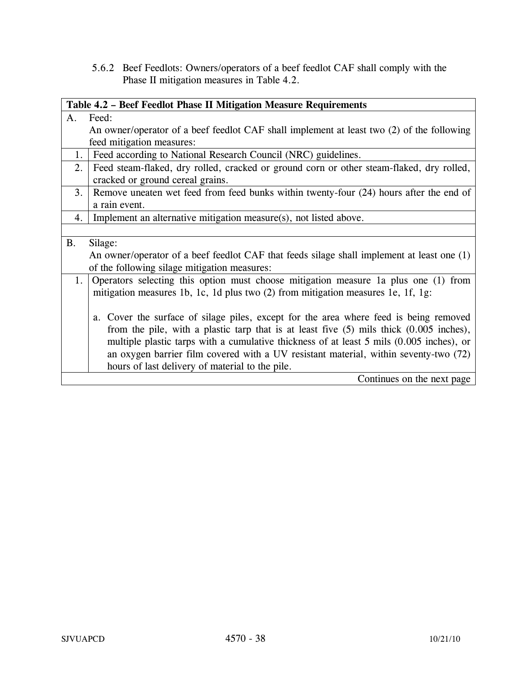5.6.2 Beef Feedlots: Owners/operators of a beef feedlot CAF shall comply with the Phase II mitigation measures in Table 4.2.

|           | Table 4.2 - Beef Feedlot Phase II Mitigation Measure Requirements                           |  |  |
|-----------|---------------------------------------------------------------------------------------------|--|--|
| A.        | Feed:                                                                                       |  |  |
|           | An owner/operator of a beef feedlot CAF shall implement at least two (2) of the following   |  |  |
|           | feed mitigation measures:                                                                   |  |  |
| 1.        | Feed according to National Research Council (NRC) guidelines.                               |  |  |
| 2.        | Feed steam-flaked, dry rolled, cracked or ground corn or other steam-flaked, dry rolled,    |  |  |
|           | cracked or ground cereal grains.                                                            |  |  |
| 3.        | Remove uneaten wet feed from feed bunks within twenty-four (24) hours after the end of      |  |  |
|           | a rain event.                                                                               |  |  |
| 4.        | Implement an alternative mitigation measure(s), not listed above.                           |  |  |
|           |                                                                                             |  |  |
| <b>B.</b> | Silage:                                                                                     |  |  |
|           | An owner/operator of a beef feedlot CAF that feeds silage shall implement at least one (1)  |  |  |
|           | of the following silage mitigation measures:                                                |  |  |
| 1.        | Operators selecting this option must choose mitigation measure 1a plus one (1) from         |  |  |
|           | mitigation measures 1b, 1c, 1d plus two (2) from mitigation measures 1e, 1f, 1g:            |  |  |
|           |                                                                                             |  |  |
|           | Cover the surface of silage piles, except for the area where feed is being removed<br>a.    |  |  |
|           | from the pile, with a plastic tarp that is at least five $(5)$ mils thick $(0.005$ inches), |  |  |
|           | multiple plastic tarps with a cumulative thickness of at least 5 mils (0.005 inches), or    |  |  |
|           | an oxygen barrier film covered with a UV resistant material, within seventy-two (72)        |  |  |
|           | hours of last delivery of material to the pile.                                             |  |  |
|           | Continues on the next page                                                                  |  |  |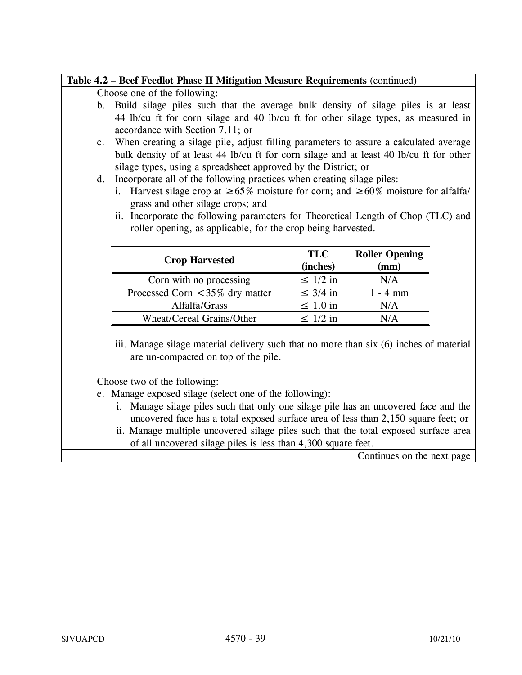# **Table 4.2 – Beef Feedlot Phase II Mitigation Measure Requirements** (continued)

Choose one of the following:

- b. Build silage piles such that the average bulk density of silage piles is at least 44 lb/cu ft for corn silage and 40 lb/cu ft for other silage types, as measured in accordance with Section 7.11; or
- c. When creating a silage pile, adjust filling parameters to assure a calculated average bulk density of at least 44 lb/cu ft for corn silage and at least 40 lb/cu ft for other silage types, using a spreadsheet approved by the District; or
- d. Incorporate all of the following practices when creating silage piles:
	- i. Harvest silage crop at  $\geq 65\%$  moisture for corn; and  $\geq 60\%$  moisture for alfalfa/ grass and other silage crops; and
	- ii. Incorporate the following parameters for Theoretical Length of Chop (TLC) and roller opening, as applicable, for the crop being harvested.

|                                     | <b>TLC</b>    | <b>Roller Opening</b> |
|-------------------------------------|---------------|-----------------------|
| <b>Crop Harvested</b>               | (inches)      | (mm)                  |
| Corn with no processing             | $\leq 1/2$ in | N/A                   |
| Processed Corn $\lt$ 35% dry matter | $\leq$ 3/4 in | $1 - 4$ mm            |
| Alfalfa/Grass                       | $\leq 1.0$ in | N/A                   |
| Wheat/Cereal Grains/Other           | $\leq 1/2$ in | N/A                   |

iii. Manage silage material delivery such that no more than six (6) inches of material are un-compacted on top of the pile.

Choose two of the following:

e. Manage exposed silage (select one of the following):

- i. Manage silage piles such that only one silage pile has an uncovered face and the uncovered face has a total exposed surface area of less than 2,150 square feet; or
- ii. Manage multiple uncovered silage piles such that the total exposed surface area of all uncovered silage piles is less than 4,300 square feet.

Continues on the next page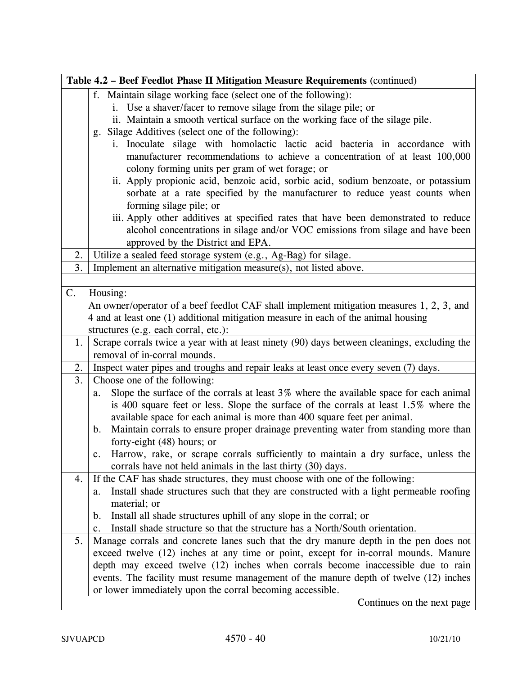|    | Table 4.2 – Beef Feedlot Phase II Mitigation Measure Requirements (continued)                                                                                                                                                                                                                       |  |
|----|-----------------------------------------------------------------------------------------------------------------------------------------------------------------------------------------------------------------------------------------------------------------------------------------------------|--|
|    | f. Maintain silage working face (select one of the following):                                                                                                                                                                                                                                      |  |
|    | i. Use a shaver/facer to remove silage from the silage pile; or                                                                                                                                                                                                                                     |  |
|    | ii. Maintain a smooth vertical surface on the working face of the silage pile.                                                                                                                                                                                                                      |  |
|    | Silage Additives (select one of the following):<br>g.                                                                                                                                                                                                                                               |  |
|    | i. Inoculate silage with homolactic lactic acid bacteria in accordance with<br>manufacturer recommendations to achieve a concentration of at least 100,000<br>colony forming units per gram of wet forage; or<br>ii. Apply propionic acid, benzoic acid, sorbic acid, sodium benzoate, or potassium |  |
|    | sorbate at a rate specified by the manufacturer to reduce yeast counts when                                                                                                                                                                                                                         |  |
|    | forming silage pile; or                                                                                                                                                                                                                                                                             |  |
|    | iii. Apply other additives at specified rates that have been demonstrated to reduce                                                                                                                                                                                                                 |  |
|    | alcohol concentrations in silage and/or VOC emissions from silage and have been                                                                                                                                                                                                                     |  |
|    | approved by the District and EPA.                                                                                                                                                                                                                                                                   |  |
| 2. | Utilize a sealed feed storage system (e.g., Ag-Bag) for silage.                                                                                                                                                                                                                                     |  |
| 3. | Implement an alternative mitigation measure(s), not listed above.                                                                                                                                                                                                                                   |  |
|    |                                                                                                                                                                                                                                                                                                     |  |
| C. | Housing:                                                                                                                                                                                                                                                                                            |  |
|    | An owner/operator of a beef feedlot CAF shall implement mitigation measures 1, 2, 3, and                                                                                                                                                                                                            |  |
|    | 4 and at least one (1) additional mitigation measure in each of the animal housing                                                                                                                                                                                                                  |  |
|    | structures (e.g. each corral, etc.):                                                                                                                                                                                                                                                                |  |
| 1. | Scrape corrals twice a year with at least ninety (90) days between cleanings, excluding the                                                                                                                                                                                                         |  |
|    | removal of in-corral mounds.                                                                                                                                                                                                                                                                        |  |
| 2. | Inspect water pipes and troughs and repair leaks at least once every seven (7) days.                                                                                                                                                                                                                |  |
| 3. | Choose one of the following:                                                                                                                                                                                                                                                                        |  |
|    | Slope the surface of the corrals at least $3\%$ where the available space for each animal<br>a.                                                                                                                                                                                                     |  |
|    | is 400 square feet or less. Slope the surface of the corrals at least 1.5% where the                                                                                                                                                                                                                |  |
|    | available space for each animal is more than 400 square feet per animal.                                                                                                                                                                                                                            |  |
|    | Maintain corrals to ensure proper drainage preventing water from standing more than<br>$\mathbf{b}$ .                                                                                                                                                                                               |  |
|    | forty-eight $(48)$ hours; or                                                                                                                                                                                                                                                                        |  |
|    | Harrow, rake, or scrape corrals sufficiently to maintain a dry surface, unless the<br>c.                                                                                                                                                                                                            |  |
|    | corrals have not held animals in the last thirty (30) days.                                                                                                                                                                                                                                         |  |
| 4. | If the CAF has shade structures, they must choose with one of the following:                                                                                                                                                                                                                        |  |
|    | Install shade structures such that they are constructed with a light permeable roofing<br>a.                                                                                                                                                                                                        |  |
|    | material; or                                                                                                                                                                                                                                                                                        |  |
|    | Install all shade structures uphill of any slope in the corral; or<br>b.                                                                                                                                                                                                                            |  |
|    | Install shade structure so that the structure has a North/South orientation.<br>c.                                                                                                                                                                                                                  |  |
| 5. | Manage corrals and concrete lanes such that the dry manure depth in the pen does not                                                                                                                                                                                                                |  |
|    | exceed twelve (12) inches at any time or point, except for in-corral mounds. Manure                                                                                                                                                                                                                 |  |
|    | depth may exceed twelve (12) inches when corrals become inaccessible due to rain                                                                                                                                                                                                                    |  |
|    | events. The facility must resume management of the manure depth of twelve (12) inches                                                                                                                                                                                                               |  |
|    | or lower immediately upon the corral becoming accessible.                                                                                                                                                                                                                                           |  |
|    | Continues on the next page                                                                                                                                                                                                                                                                          |  |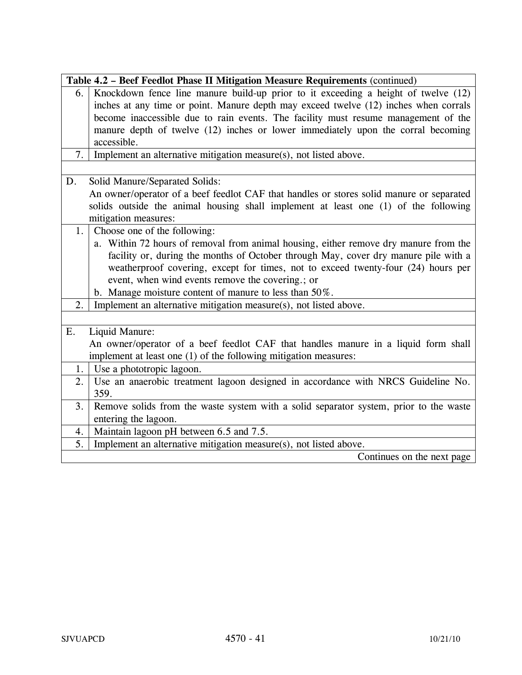| Table 4.2 - Beef Feedlot Phase II Mitigation Measure Requirements (continued)               |
|---------------------------------------------------------------------------------------------|
| Knockdown fence line manure build-up prior to it exceeding a height of twelve (12)<br>6.    |
| inches at any time or point. Manure depth may exceed twelve (12) inches when corrals        |
| become inaccessible due to rain events. The facility must resume management of the          |
| manure depth of twelve (12) inches or lower immediately upon the corral becoming            |
| accessible.                                                                                 |
| Implement an alternative mitigation measure(s), not listed above.<br>7.                     |
|                                                                                             |
| Solid Manure/Separated Solids:<br>D.                                                        |
| An owner/operator of a beef feedlot CAF that handles or stores solid manure or separated    |
| solids outside the animal housing shall implement at least one (1) of the following         |
| mitigation measures:                                                                        |
| Choose one of the following:<br>1.                                                          |
| a. Within 72 hours of removal from animal housing, either remove dry manure from the        |
| facility or, during the months of October through May, cover dry manure pile with a         |
| weatherproof covering, except for times, not to exceed twenty-four (24) hours per           |
| event, when wind events remove the covering.; or                                            |
| b. Manage moisture content of manure to less than 50%.                                      |
| Implement an alternative mitigation measure(s), not listed above.<br>2.                     |
|                                                                                             |
| E.<br>Liquid Manure:                                                                        |
| An owner/operator of a beef feedlot CAF that handles manure in a liquid form shall          |
| implement at least one (1) of the following mitigation measures:                            |
| Use a phototropic lagoon.<br>1.                                                             |
| Use an anaerobic treatment lagoon designed in accordance with NRCS Guideline No.<br>2.      |
| 359.                                                                                        |
| Remove solids from the waste system with a solid separator system, prior to the waste<br>3. |
| entering the lagoon.                                                                        |
| Maintain lagoon pH between 6.5 and 7.5.<br>4.                                               |
| Implement an alternative mitigation measure(s), not listed above.<br>5.                     |
| Continues on the next page                                                                  |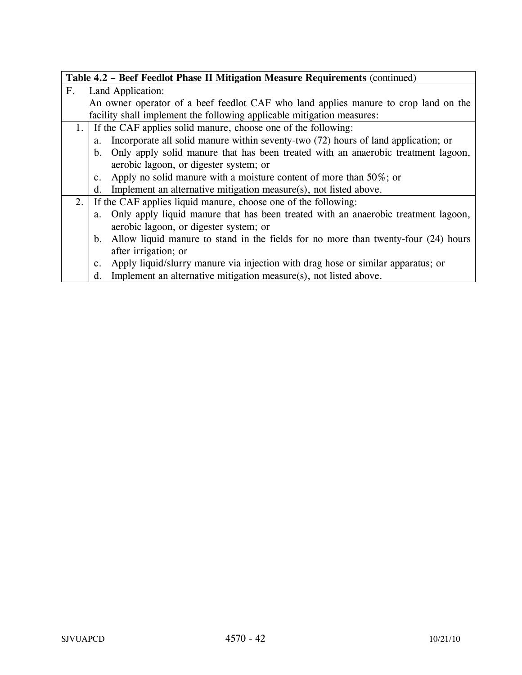|                |                                                                  | Table 4.2 - Beef Feedlot Phase II Mitigation Measure Requirements (continued)         |
|----------------|------------------------------------------------------------------|---------------------------------------------------------------------------------------|
| F <sub>1</sub> |                                                                  | Land Application:                                                                     |
|                |                                                                  | An owner operator of a beef feedlot CAF who land applies manure to crop land on the   |
|                |                                                                  | facility shall implement the following applicable mitigation measures:                |
|                | 1. If the CAF applies solid manure, choose one of the following: |                                                                                       |
|                | a.                                                               | Incorporate all solid manure within seventy-two (72) hours of land application; or    |
|                | $b_{\cdot}$                                                      | Only apply solid manure that has been treated with an anaerobic treatment lagoon,     |
|                |                                                                  | aerobic lagoon, or digester system; or                                                |
|                | $c_{\cdot}$                                                      | Apply no solid manure with a moisture content of more than $50\%$ ; or                |
|                | $d_{\cdot}$                                                      | Implement an alternative mitigation measure(s), not listed above.                     |
|                |                                                                  | 2. If the CAF applies liquid manure, choose one of the following:                     |
|                |                                                                  | a. Only apply liquid manure that has been treated with an anaerobic treatment lagoon, |
|                |                                                                  | aerobic lagoon, or digester system; or                                                |
|                | b.                                                               | Allow liquid manure to stand in the fields for no more than twenty-four (24) hours    |
|                |                                                                  | after irrigation; or                                                                  |
|                | c.                                                               | Apply liquid/slurry manure via injection with drag hose or similar apparatus; or      |
|                | d.                                                               | Implement an alternative mitigation measure(s), not listed above.                     |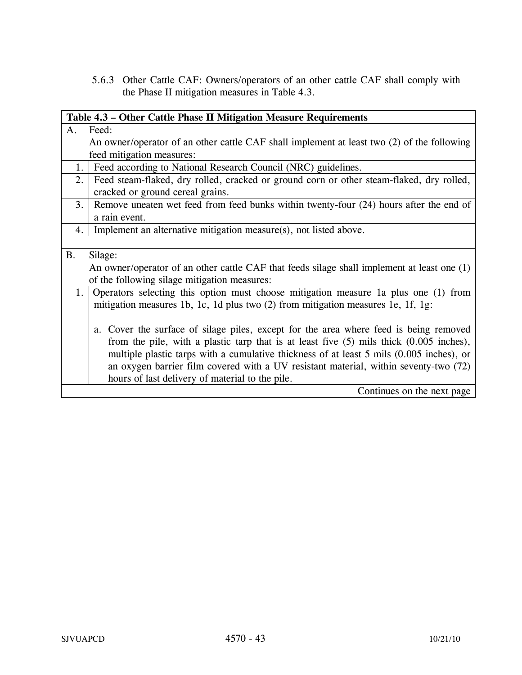5.6.3 Other Cattle CAF: Owners/operators of an other cattle CAF shall comply with the Phase II mitigation measures in Table 4.3.

|           | Table 4.3 – Other Cattle Phase II Mitigation Measure Requirements                           |  |  |
|-----------|---------------------------------------------------------------------------------------------|--|--|
| A.        | Feed:                                                                                       |  |  |
|           | An owner/operator of an other cattle CAF shall implement at least two (2) of the following  |  |  |
|           | feed mitigation measures:                                                                   |  |  |
| 1.        | Feed according to National Research Council (NRC) guidelines.                               |  |  |
| 2.        | Feed steam-flaked, dry rolled, cracked or ground corn or other steam-flaked, dry rolled,    |  |  |
|           | cracked or ground cereal grains.                                                            |  |  |
| 3.        | Remove uneaten wet feed from feed bunks within twenty-four (24) hours after the end of      |  |  |
|           | a rain event.                                                                               |  |  |
| 4.        | Implement an alternative mitigation measure(s), not listed above.                           |  |  |
|           |                                                                                             |  |  |
| <b>B.</b> | Silage:                                                                                     |  |  |
|           | An owner/operator of an other cattle CAF that feeds silage shall implement at least one (1) |  |  |
|           | of the following silage mitigation measures:                                                |  |  |
| 1.        | Operators selecting this option must choose mitigation measure 1a plus one (1) from         |  |  |
|           | mitigation measures 1b, 1c, 1d plus two (2) from mitigation measures 1e, 1f, 1g:            |  |  |
|           |                                                                                             |  |  |
|           | a. Cover the surface of silage piles, except for the area where feed is being removed       |  |  |
|           | from the pile, with a plastic tarp that is at least five $(5)$ mils thick $(0.005$ inches), |  |  |
|           | multiple plastic tarps with a cumulative thickness of at least 5 mils (0.005 inches), or    |  |  |
|           | an oxygen barrier film covered with a UV resistant material, within seventy-two (72)        |  |  |
|           | hours of last delivery of material to the pile.                                             |  |  |
|           | Continues on the next page                                                                  |  |  |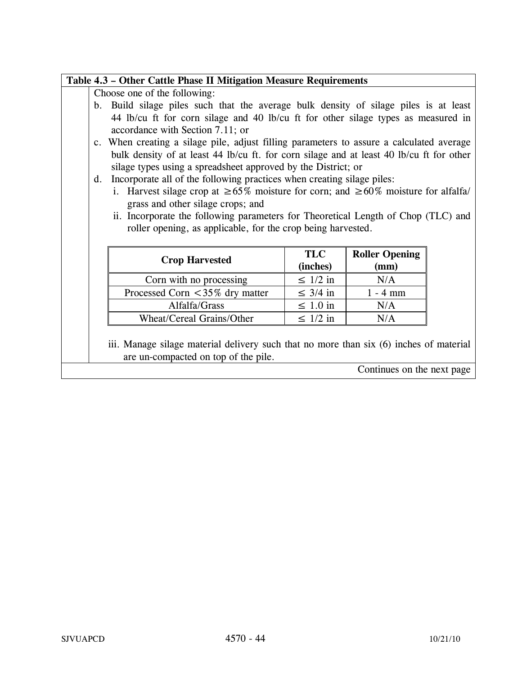# **Table 4.3 – Other Cattle Phase II Mitigation Measure Requirements**

Choose one of the following:

- b. Build silage piles such that the average bulk density of silage piles is at least 44 lb/cu ft for corn silage and 40 lb/cu ft for other silage types as measured in accordance with Section 7.11; or
- c. When creating a silage pile, adjust filling parameters to assure a calculated average bulk density of at least 44 lb/cu ft. for corn silage and at least 40 lb/cu ft for other silage types using a spreadsheet approved by the District; or
- d. Incorporate all of the following practices when creating silage piles:
	- i. Harvest silage crop at  $\geq 65\%$  moisture for corn; and  $\geq 60\%$  moisture for alfalfa/ grass and other silage crops; and
	- ii. Incorporate the following parameters for Theoretical Length of Chop (TLC) and roller opening, as applicable, for the crop being harvested.

| <b>Crop Harvested</b>               | <b>TLC</b><br>(inches) | <b>Roller Opening</b><br>(mm) |
|-------------------------------------|------------------------|-------------------------------|
| Corn with no processing             | $\leq 1/2$ in          | N/A                           |
| Processed Corn $\lt$ 35% dry matter | $\leq$ 3/4 in          | $1 - 4$ mm                    |
| Alfalfa/Grass                       | $\leq 1.0$ in          | N/A                           |
| Wheat/Cereal Grains/Other           | $\leq 1/2$ in          | N/A                           |

 $i$ iii. Manage silage material delivery such that no more than six  $(6)$  inches of material are un-compacted on top of the pile.

Continues on the next page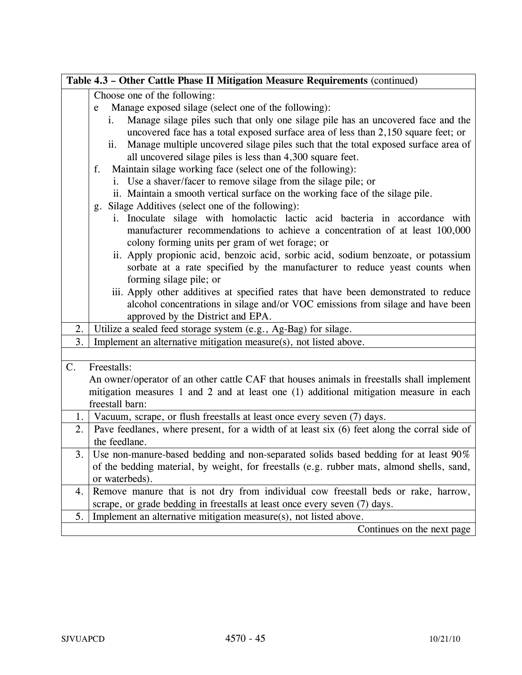|             | Table 4.3 - Other Cattle Phase II Mitigation Measure Requirements (continued)                             |  |  |
|-------------|-----------------------------------------------------------------------------------------------------------|--|--|
|             | Choose one of the following:                                                                              |  |  |
|             | Manage exposed silage (select one of the following):<br>e                                                 |  |  |
|             | Manage silage piles such that only one silage pile has an uncovered face and the<br>i.                    |  |  |
|             | uncovered face has a total exposed surface area of less than 2,150 square feet; or                        |  |  |
|             | Manage multiple uncovered silage piles such that the total exposed surface area of<br>ii.                 |  |  |
|             | all uncovered silage piles is less than 4,300 square feet.                                                |  |  |
|             | Maintain silage working face (select one of the following):<br>f.                                         |  |  |
|             | i. Use a shaver/facer to remove silage from the silage pile; or                                           |  |  |
|             | ii. Maintain a smooth vertical surface on the working face of the silage pile.                            |  |  |
|             | Silage Additives (select one of the following):<br>g.                                                     |  |  |
|             | i. Inoculate silage with homolactic lactic acid bacteria in accordance with                               |  |  |
|             | manufacturer recommendations to achieve a concentration of at least 100,000                               |  |  |
|             | colony forming units per gram of wet forage; or                                                           |  |  |
|             | ii. Apply propionic acid, benzoic acid, sorbic acid, sodium benzoate, or potassium                        |  |  |
|             | sorbate at a rate specified by the manufacturer to reduce yeast counts when                               |  |  |
|             | forming silage pile; or                                                                                   |  |  |
|             | iii. Apply other additives at specified rates that have been demonstrated to reduce                       |  |  |
|             | alcohol concentrations in silage and/or VOC emissions from silage and have been                           |  |  |
|             | approved by the District and EPA.                                                                         |  |  |
| 2.          | Utilize a sealed feed storage system (e.g., Ag-Bag) for silage.                                           |  |  |
| 3.          | Implement an alternative mitigation measure(s), not listed above.                                         |  |  |
|             |                                                                                                           |  |  |
| $C_{\cdot}$ | Freestalls:                                                                                               |  |  |
|             | An owner/operator of an other cattle CAF that houses animals in freestalls shall implement                |  |  |
|             | mitigation measures 1 and 2 and at least one (1) additional mitigation measure in each<br>freestall barn: |  |  |
| 1.          | Vacuum, scrape, or flush freestalls at least once every seven (7) days.                                   |  |  |
| 2.          | Pave feedlanes, where present, for a width of at least six (6) feet along the corral side of              |  |  |
|             | the feedlane.                                                                                             |  |  |
| 3.          | Use non-manure-based bedding and non-separated solids based bedding for at least 90%                      |  |  |
|             | of the bedding material, by weight, for freestalls (e.g. rubber mats, almond shells, sand,                |  |  |
|             | or waterbeds).                                                                                            |  |  |
| 4.          | Remove manure that is not dry from individual cow freestall beds or rake, harrow,                         |  |  |
|             | scrape, or grade bedding in freestalls at least once every seven (7) days.                                |  |  |
| 5.          | Implement an alternative mitigation measure(s), not listed above.                                         |  |  |
|             | Continues on the next page                                                                                |  |  |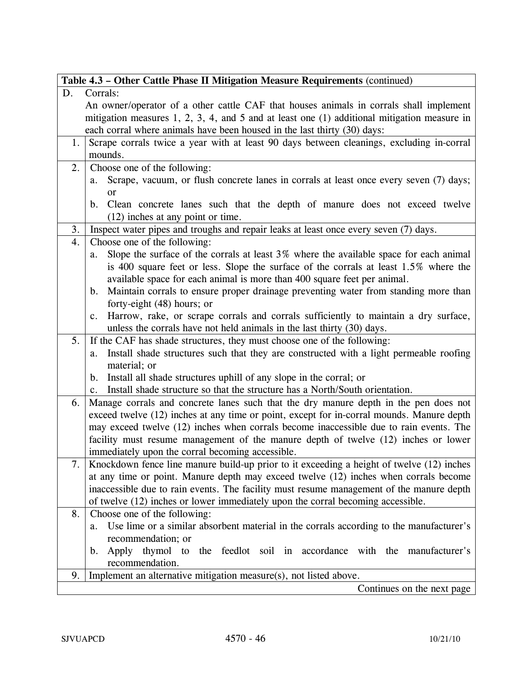|    | Table 4.3 – Other Cattle Phase II Mitigation Measure Requirements (continued)                                                          |
|----|----------------------------------------------------------------------------------------------------------------------------------------|
| D. | Corrals:                                                                                                                               |
|    | An owner/operator of a other cattle CAF that houses animals in corrals shall implement                                                 |
|    | mitigation measures $1, 2, 3, 4$ , and $5$ and at least one $(1)$ additional mitigation measure in                                     |
|    | each corral where animals have been housed in the last thirty (30) days:                                                               |
| 1. | Scrape corrals twice a year with at least 90 days between cleanings, excluding in-corral                                               |
|    | mounds.                                                                                                                                |
| 2. | Choose one of the following:                                                                                                           |
|    | Scrape, vacuum, or flush concrete lanes in corrals at least once every seven (7) days;<br>a.                                           |
|    | <sub>or</sub>                                                                                                                          |
|    | Clean concrete lanes such that the depth of manure does not exceed twelve<br>$\mathbf{b}$ .                                            |
|    | $(12)$ inches at any point or time.                                                                                                    |
| 3. | Inspect water pipes and troughs and repair leaks at least once every seven (7) days.                                                   |
| 4. | Choose one of the following:                                                                                                           |
|    | Slope the surface of the corrals at least 3% where the available space for each animal<br>a.                                           |
|    | is 400 square feet or less. Slope the surface of the corrals at least 1.5% where the                                                   |
|    | available space for each animal is more than 400 square feet per animal.                                                               |
|    | Maintain corrals to ensure proper drainage preventing water from standing more than<br>$\mathbf{b}$ .                                  |
|    | forty-eight (48) hours; or                                                                                                             |
|    | Harrow, rake, or scrape corrals and corrals sufficiently to maintain a dry surface,<br>c.                                              |
|    | unless the corrals have not held animals in the last thirty (30) days.                                                                 |
| 5. | If the CAF has shade structures, they must choose one of the following:                                                                |
|    | Install shade structures such that they are constructed with a light permeable roofing<br>a.                                           |
|    | material; or                                                                                                                           |
|    | Install all shade structures uphill of any slope in the corral; or<br>$\mathbf b$ .                                                    |
|    | Install shade structure so that the structure has a North/South orientation.<br>$c_{\cdot}$                                            |
| 6. | Manage corrals and concrete lanes such that the dry manure depth in the pen does not                                                   |
|    | exceed twelve (12) inches at any time or point, except for in-corral mounds. Manure depth                                              |
|    | may exceed twelve (12) inches when corrals become inaccessible due to rain events. The                                                 |
|    | facility must resume management of the manure depth of twelve (12) inches or lower<br>immediately upon the corral becoming accessible. |
| 7. | Knockdown fence line manure build-up prior to it exceeding a height of twelve (12) inches                                              |
|    | at any time or point. Manure depth may exceed twelve (12) inches when corrals become                                                   |
|    | inaccessible due to rain events. The facility must resume management of the manure depth                                               |
|    | of twelve (12) inches or lower immediately upon the corral becoming accessible.                                                        |
| 8. | Choose one of the following:                                                                                                           |
|    | Use lime or a similar absorbent material in the corrals according to the manufacturer's<br>a.                                          |
|    | recommendation; or                                                                                                                     |
|    | Apply thymol to the feedlot soil in accordance with the manufacturer's<br>b.                                                           |
|    | recommendation.                                                                                                                        |
| 9. | Implement an alternative mitigation measure(s), not listed above.                                                                      |
|    | Continues on the next page                                                                                                             |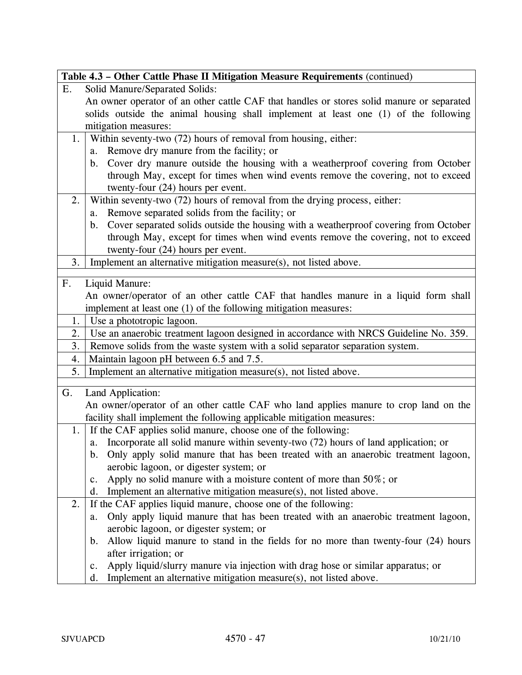|                | Table 4.3 - Other Cattle Phase II Mitigation Measure Requirements (continued)                                                                                                                                                                                                                                                                                                                                                                                                                                                                                                                                                                                                                                                                                                                                                                                                                                                                                                                                                                         |
|----------------|-------------------------------------------------------------------------------------------------------------------------------------------------------------------------------------------------------------------------------------------------------------------------------------------------------------------------------------------------------------------------------------------------------------------------------------------------------------------------------------------------------------------------------------------------------------------------------------------------------------------------------------------------------------------------------------------------------------------------------------------------------------------------------------------------------------------------------------------------------------------------------------------------------------------------------------------------------------------------------------------------------------------------------------------------------|
| Ε.             | Solid Manure/Separated Solids:                                                                                                                                                                                                                                                                                                                                                                                                                                                                                                                                                                                                                                                                                                                                                                                                                                                                                                                                                                                                                        |
|                | An owner operator of an other cattle CAF that handles or stores solid manure or separated                                                                                                                                                                                                                                                                                                                                                                                                                                                                                                                                                                                                                                                                                                                                                                                                                                                                                                                                                             |
|                | solids outside the animal housing shall implement at least one (1) of the following                                                                                                                                                                                                                                                                                                                                                                                                                                                                                                                                                                                                                                                                                                                                                                                                                                                                                                                                                                   |
|                | mitigation measures:                                                                                                                                                                                                                                                                                                                                                                                                                                                                                                                                                                                                                                                                                                                                                                                                                                                                                                                                                                                                                                  |
| 1.             | Within seventy-two (72) hours of removal from housing, either:                                                                                                                                                                                                                                                                                                                                                                                                                                                                                                                                                                                                                                                                                                                                                                                                                                                                                                                                                                                        |
|                | Remove dry manure from the facility; or<br>a.                                                                                                                                                                                                                                                                                                                                                                                                                                                                                                                                                                                                                                                                                                                                                                                                                                                                                                                                                                                                         |
|                | b. Cover dry manure outside the housing with a weatherproof covering from October                                                                                                                                                                                                                                                                                                                                                                                                                                                                                                                                                                                                                                                                                                                                                                                                                                                                                                                                                                     |
|                | through May, except for times when wind events remove the covering, not to exceed                                                                                                                                                                                                                                                                                                                                                                                                                                                                                                                                                                                                                                                                                                                                                                                                                                                                                                                                                                     |
|                | twenty-four (24) hours per event.                                                                                                                                                                                                                                                                                                                                                                                                                                                                                                                                                                                                                                                                                                                                                                                                                                                                                                                                                                                                                     |
| 2.             | Within seventy-two (72) hours of removal from the drying process, either:                                                                                                                                                                                                                                                                                                                                                                                                                                                                                                                                                                                                                                                                                                                                                                                                                                                                                                                                                                             |
|                | Remove separated solids from the facility; or<br>a.                                                                                                                                                                                                                                                                                                                                                                                                                                                                                                                                                                                                                                                                                                                                                                                                                                                                                                                                                                                                   |
|                | b. Cover separated solids outside the housing with a weatherproof covering from October                                                                                                                                                                                                                                                                                                                                                                                                                                                                                                                                                                                                                                                                                                                                                                                                                                                                                                                                                               |
|                | through May, except for times when wind events remove the covering, not to exceed                                                                                                                                                                                                                                                                                                                                                                                                                                                                                                                                                                                                                                                                                                                                                                                                                                                                                                                                                                     |
|                | twenty-four (24) hours per event.                                                                                                                                                                                                                                                                                                                                                                                                                                                                                                                                                                                                                                                                                                                                                                                                                                                                                                                                                                                                                     |
| 3.             | Implement an alternative mitigation measure(s), not listed above.                                                                                                                                                                                                                                                                                                                                                                                                                                                                                                                                                                                                                                                                                                                                                                                                                                                                                                                                                                                     |
|                |                                                                                                                                                                                                                                                                                                                                                                                                                                                                                                                                                                                                                                                                                                                                                                                                                                                                                                                                                                                                                                                       |
| F <sub>r</sub> | Liquid Manure:                                                                                                                                                                                                                                                                                                                                                                                                                                                                                                                                                                                                                                                                                                                                                                                                                                                                                                                                                                                                                                        |
|                | An owner/operator of an other cattle CAF that handles manure in a liquid form shall                                                                                                                                                                                                                                                                                                                                                                                                                                                                                                                                                                                                                                                                                                                                                                                                                                                                                                                                                                   |
|                | implement at least one (1) of the following mitigation measures:                                                                                                                                                                                                                                                                                                                                                                                                                                                                                                                                                                                                                                                                                                                                                                                                                                                                                                                                                                                      |
| 1.             | Use a phototropic lagoon.                                                                                                                                                                                                                                                                                                                                                                                                                                                                                                                                                                                                                                                                                                                                                                                                                                                                                                                                                                                                                             |
| 2.             | Use an anaerobic treatment lagoon designed in accordance with NRCS Guideline No. 359.                                                                                                                                                                                                                                                                                                                                                                                                                                                                                                                                                                                                                                                                                                                                                                                                                                                                                                                                                                 |
| 3.             | Remove solids from the waste system with a solid separator separation system.                                                                                                                                                                                                                                                                                                                                                                                                                                                                                                                                                                                                                                                                                                                                                                                                                                                                                                                                                                         |
| 4.             | Maintain lagoon pH between 6.5 and 7.5.                                                                                                                                                                                                                                                                                                                                                                                                                                                                                                                                                                                                                                                                                                                                                                                                                                                                                                                                                                                                               |
| 5.             | Implement an alternative mitigation measure(s), not listed above.                                                                                                                                                                                                                                                                                                                                                                                                                                                                                                                                                                                                                                                                                                                                                                                                                                                                                                                                                                                     |
| G.             | Land Application:                                                                                                                                                                                                                                                                                                                                                                                                                                                                                                                                                                                                                                                                                                                                                                                                                                                                                                                                                                                                                                     |
|                | An owner/operator of an other cattle CAF who land applies manure to crop land on the                                                                                                                                                                                                                                                                                                                                                                                                                                                                                                                                                                                                                                                                                                                                                                                                                                                                                                                                                                  |
|                |                                                                                                                                                                                                                                                                                                                                                                                                                                                                                                                                                                                                                                                                                                                                                                                                                                                                                                                                                                                                                                                       |
|                |                                                                                                                                                                                                                                                                                                                                                                                                                                                                                                                                                                                                                                                                                                                                                                                                                                                                                                                                                                                                                                                       |
|                |                                                                                                                                                                                                                                                                                                                                                                                                                                                                                                                                                                                                                                                                                                                                                                                                                                                                                                                                                                                                                                                       |
|                |                                                                                                                                                                                                                                                                                                                                                                                                                                                                                                                                                                                                                                                                                                                                                                                                                                                                                                                                                                                                                                                       |
|                |                                                                                                                                                                                                                                                                                                                                                                                                                                                                                                                                                                                                                                                                                                                                                                                                                                                                                                                                                                                                                                                       |
|                |                                                                                                                                                                                                                                                                                                                                                                                                                                                                                                                                                                                                                                                                                                                                                                                                                                                                                                                                                                                                                                                       |
|                |                                                                                                                                                                                                                                                                                                                                                                                                                                                                                                                                                                                                                                                                                                                                                                                                                                                                                                                                                                                                                                                       |
|                |                                                                                                                                                                                                                                                                                                                                                                                                                                                                                                                                                                                                                                                                                                                                                                                                                                                                                                                                                                                                                                                       |
|                |                                                                                                                                                                                                                                                                                                                                                                                                                                                                                                                                                                                                                                                                                                                                                                                                                                                                                                                                                                                                                                                       |
|                |                                                                                                                                                                                                                                                                                                                                                                                                                                                                                                                                                                                                                                                                                                                                                                                                                                                                                                                                                                                                                                                       |
|                |                                                                                                                                                                                                                                                                                                                                                                                                                                                                                                                                                                                                                                                                                                                                                                                                                                                                                                                                                                                                                                                       |
|                |                                                                                                                                                                                                                                                                                                                                                                                                                                                                                                                                                                                                                                                                                                                                                                                                                                                                                                                                                                                                                                                       |
|                |                                                                                                                                                                                                                                                                                                                                                                                                                                                                                                                                                                                                                                                                                                                                                                                                                                                                                                                                                                                                                                                       |
|                |                                                                                                                                                                                                                                                                                                                                                                                                                                                                                                                                                                                                                                                                                                                                                                                                                                                                                                                                                                                                                                                       |
| 1.<br>2.       | facility shall implement the following applicable mitigation measures:<br>If the CAF applies solid manure, choose one of the following:<br>a. Incorporate all solid manure within seventy-two (72) hours of land application; or<br>b. Only apply solid manure that has been treated with an anaerobic treatment lagoon,<br>aerobic lagoon, or digester system; or<br>Apply no solid manure with a moisture content of more than $50\%$ ; or<br>c.<br>Implement an alternative mitigation measure(s), not listed above.<br>d.<br>If the CAF applies liquid manure, choose one of the following:<br>Only apply liquid manure that has been treated with an anaerobic treatment lagoon,<br>a.<br>aerobic lagoon, or digester system; or<br>Allow liquid manure to stand in the fields for no more than twenty-four (24) hours<br>$\mathbf b$ .<br>after irrigation; or<br>Apply liquid/slurry manure via injection with drag hose or similar apparatus; or<br>$\mathbf{c}$ .<br>Implement an alternative mitigation measure(s), not listed above.<br>d. |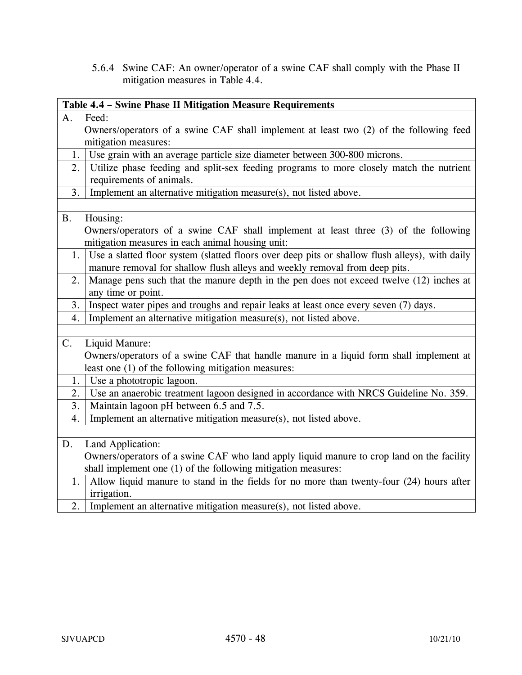5.6.4 Swine CAF: An owner/operator of a swine CAF shall comply with the Phase II mitigation measures in Table 4.4.

|                                                     | Table 4.4 - Swine Phase II Mitigation Measure Requirements                                                          |  |
|-----------------------------------------------------|---------------------------------------------------------------------------------------------------------------------|--|
| A.                                                  | Feed:                                                                                                               |  |
|                                                     | Owners/operators of a swine CAF shall implement at least two (2) of the following feed                              |  |
|                                                     | mitigation measures:                                                                                                |  |
| 1.                                                  | Use grain with an average particle size diameter between 300-800 microns.                                           |  |
| 2.                                                  | Utilize phase feeding and split-sex feeding programs to more closely match the nutrient<br>requirements of animals. |  |
| 3.                                                  | Implement an alternative mitigation measure(s), not listed above.                                                   |  |
|                                                     |                                                                                                                     |  |
| <b>B.</b>                                           | Housing:                                                                                                            |  |
|                                                     | Owners/operators of a swine CAF shall implement at least three (3) of the following                                 |  |
|                                                     | mitigation measures in each animal housing unit:                                                                    |  |
|                                                     | 1. Use a slatted floor system (slatted floors over deep pits or shallow flush alleys), with daily                   |  |
|                                                     | manure removal for shallow flush alleys and weekly removal from deep pits.                                          |  |
| 2.                                                  | Manage pens such that the manure depth in the pen does not exceed twelve (12) inches at                             |  |
|                                                     | any time or point.                                                                                                  |  |
| 3.                                                  | Inspect water pipes and troughs and repair leaks at least once every seven (7) days.                                |  |
| 4.                                                  | Implement an alternative mitigation measure(s), not listed above.                                                   |  |
|                                                     |                                                                                                                     |  |
| C.                                                  | Liquid Manure:                                                                                                      |  |
|                                                     | Owners/operators of a swine CAF that handle manure in a liquid form shall implement at                              |  |
| least one (1) of the following mitigation measures: |                                                                                                                     |  |
| 1.                                                  | Use a phototropic lagoon.                                                                                           |  |
| 2.                                                  | Use an anaerobic treatment lagoon designed in accordance with NRCS Guideline No. 359.                               |  |
| 3.                                                  | Maintain lagoon pH between 6.5 and 7.5.                                                                             |  |
| 4.                                                  | Implement an alternative mitigation measure(s), not listed above.                                                   |  |
|                                                     |                                                                                                                     |  |
| D.                                                  | Land Application:                                                                                                   |  |
|                                                     | Owners/operators of a swine CAF who land apply liquid manure to crop land on the facility                           |  |
|                                                     | shall implement one (1) of the following mitigation measures:                                                       |  |
| 1.                                                  | Allow liquid manure to stand in the fields for no more than twenty-four (24) hours after<br>irrigation.             |  |
| 2.                                                  | Implement an alternative mitigation measure(s), not listed above.                                                   |  |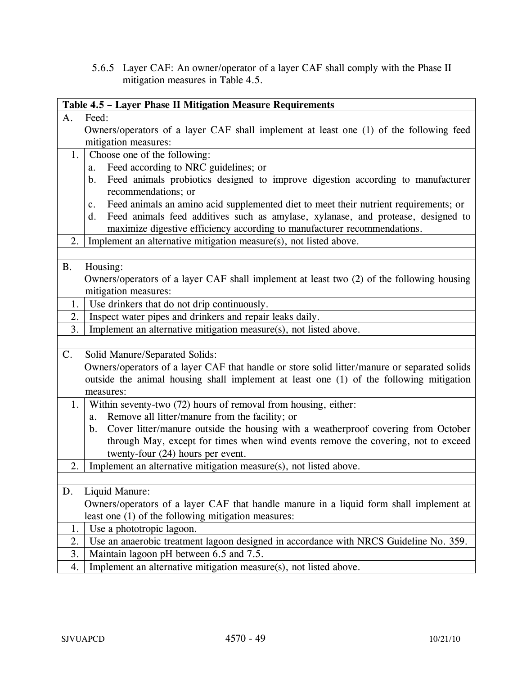5.6.5 Layer CAF: An owner/operator of a layer CAF shall comply with the Phase II mitigation measures in Table 4.5.

| Table 4.5 - Layer Phase II Mitigation Measure Requirements                                   |  |  |
|----------------------------------------------------------------------------------------------|--|--|
| A.<br>Feed:                                                                                  |  |  |
| Owners/operators of a layer CAF shall implement at least one (1) of the following feed       |  |  |
| mitigation measures:                                                                         |  |  |
| Choose one of the following:<br>1.                                                           |  |  |
| Feed according to NRC guidelines; or<br>a.                                                   |  |  |
| Feed animals probiotics designed to improve digestion according to manufacturer<br>b.        |  |  |
| recommendations; or                                                                          |  |  |
| Feed animals an amino acid supplemented diet to meet their nutrient requirements; or<br>c.   |  |  |
| Feed animals feed additives such as amylase, xylanase, and protease, designed to<br>d.       |  |  |
| maximize digestive efficiency according to manufacturer recommendations.                     |  |  |
| Implement an alternative mitigation measure(s), not listed above.<br>2.                      |  |  |
|                                                                                              |  |  |
| Housing:<br><b>B.</b>                                                                        |  |  |
| Owners/operators of a layer CAF shall implement at least two (2) of the following housing    |  |  |
| mitigation measures:                                                                         |  |  |
| Use drinkers that do not drip continuously.<br>1.                                            |  |  |
| Inspect water pipes and drinkers and repair leaks daily.<br>2.                               |  |  |
| 3.<br>Implement an alternative mitigation measure(s), not listed above.                      |  |  |
|                                                                                              |  |  |
| Solid Manure/Separated Solids:<br>C.                                                         |  |  |
| Owners/operators of a layer CAF that handle or store solid litter/manure or separated solids |  |  |
| outside the animal housing shall implement at least one (1) of the following mitigation      |  |  |
| measures:                                                                                    |  |  |
| Within seventy-two (72) hours of removal from housing, either:<br>1.                         |  |  |
| Remove all litter/manure from the facility; or<br>a.                                         |  |  |
| Cover litter/manure outside the housing with a weatherproof covering from October<br>b.      |  |  |
| through May, except for times when wind events remove the covering, not to exceed            |  |  |
| twenty-four (24) hours per event.                                                            |  |  |
| Implement an alternative mitigation measure(s), not listed above.<br>2.                      |  |  |
|                                                                                              |  |  |
| Liquid Manure:<br>D.                                                                         |  |  |
| Owners/operators of a layer CAF that handle manure in a liquid form shall implement at       |  |  |
| least one (1) of the following mitigation measures:                                          |  |  |
| Use a phototropic lagoon.<br>1.                                                              |  |  |
| Use an anaerobic treatment lagoon designed in accordance with NRCS Guideline No. 359.<br>2.  |  |  |
| Maintain lagoon pH between 6.5 and 7.5.<br>3.                                                |  |  |
| Implement an alternative mitigation measure(s), not listed above.<br>4.                      |  |  |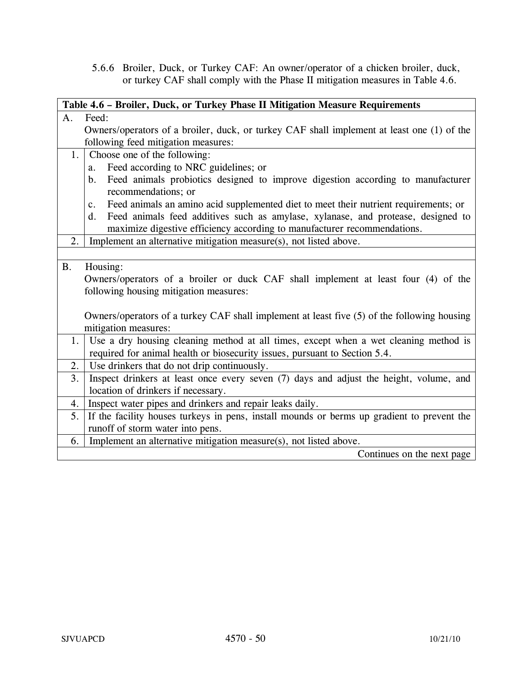5.6.6 Broiler, Duck, or Turkey CAF: An owner/operator of a chicken broiler, duck, or turkey CAF shall comply with the Phase II mitigation measures in Table 4.6.

| Table 4.6 - Broiler, Duck, or Turkey Phase II Mitigation Measure Requirements |                                                                                                        |  |
|-------------------------------------------------------------------------------|--------------------------------------------------------------------------------------------------------|--|
| A.                                                                            | Feed:                                                                                                  |  |
|                                                                               | Owners/operators of a broiler, duck, or turkey CAF shall implement at least one (1) of the             |  |
|                                                                               | following feed mitigation measures:                                                                    |  |
| 1.                                                                            | Choose one of the following:                                                                           |  |
|                                                                               | Feed according to NRC guidelines; or<br>a.                                                             |  |
|                                                                               | Feed animals probiotics designed to improve digestion according to manufacturer<br>b.                  |  |
|                                                                               | recommendations; or                                                                                    |  |
|                                                                               | Feed animals an amino acid supplemented diet to meet their nutrient requirements; or<br>$\mathbf{c}$ . |  |
|                                                                               | Feed animals feed additives such as amylase, xylanase, and protease, designed to<br>d.                 |  |
|                                                                               | maximize digestive efficiency according to manufacturer recommendations.                               |  |
| 2.                                                                            | Implement an alternative mitigation measure(s), not listed above.                                      |  |
|                                                                               |                                                                                                        |  |
| <b>B.</b>                                                                     | Housing:                                                                                               |  |
|                                                                               | Owners/operators of a broiler or duck CAF shall implement at least four (4) of the                     |  |
|                                                                               | following housing mitigation measures:                                                                 |  |
|                                                                               |                                                                                                        |  |
|                                                                               | Owners/operators of a turkey CAF shall implement at least five (5) of the following housing            |  |
|                                                                               | mitigation measures:                                                                                   |  |
| 1.                                                                            | Use a dry housing cleaning method at all times, except when a wet cleaning method is                   |  |
|                                                                               | required for animal health or biosecurity issues, pursuant to Section 5.4.                             |  |
| 2.                                                                            | Use drinkers that do not drip continuously.                                                            |  |
| 3.                                                                            | Inspect drinkers at least once every seven (7) days and adjust the height, volume, and                 |  |
|                                                                               | location of drinkers if necessary.                                                                     |  |
| 4.                                                                            | Inspect water pipes and drinkers and repair leaks daily.                                               |  |
| 5.                                                                            | If the facility houses turkeys in pens, install mounds or berms up gradient to prevent the             |  |
|                                                                               | runoff of storm water into pens.                                                                       |  |
| 6.                                                                            | Implement an alternative mitigation measure(s), not listed above.                                      |  |
|                                                                               | Continues on the next page                                                                             |  |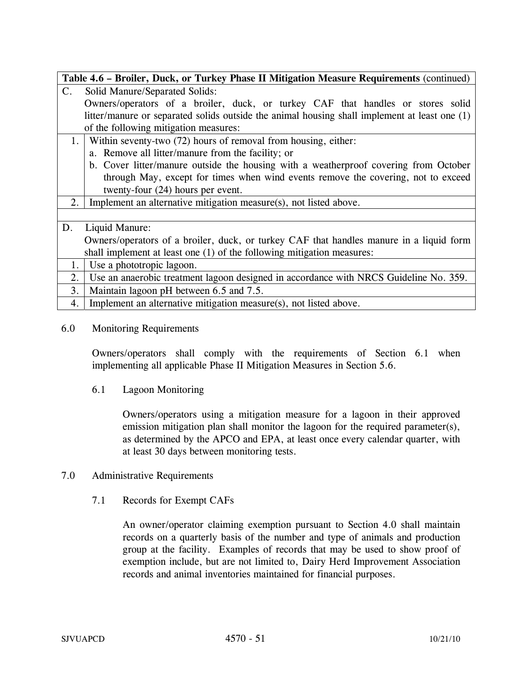| Table 4.6 - Broiler, Duck, or Turkey Phase II Mitigation Measure Requirements (continued) |                                                                                               |  |
|-------------------------------------------------------------------------------------------|-----------------------------------------------------------------------------------------------|--|
| $\mathbf{C}$ .                                                                            | Solid Manure/Separated Solids:                                                                |  |
|                                                                                           | Owners/operators of a broiler, duck, or turkey CAF that handles or stores solid               |  |
|                                                                                           | litter/manure or separated solids outside the animal housing shall implement at least one (1) |  |
|                                                                                           | of the following mitigation measures:                                                         |  |
| 1.                                                                                        | Within seventy-two (72) hours of removal from housing, either:                                |  |
|                                                                                           | a. Remove all litter/manure from the facility; or                                             |  |
|                                                                                           | b. Cover litter/manure outside the housing with a weatherproof covering from October          |  |
|                                                                                           | through May, except for times when wind events remove the covering, not to exceed             |  |
|                                                                                           | twenty-four (24) hours per event.                                                             |  |
| 2.                                                                                        | Implement an alternative mitigation measure(s), not listed above.                             |  |
|                                                                                           |                                                                                               |  |
| D.                                                                                        | Liquid Manure:                                                                                |  |
|                                                                                           | Owners/operators of a broiler, duck, or turkey CAF that handles manure in a liquid form       |  |
|                                                                                           | shall implement at least one (1) of the following mitigation measures:                        |  |
| 1.                                                                                        | Use a phototropic lagoon.                                                                     |  |
| 2.                                                                                        | Use an anaerobic treatment lagoon designed in accordance with NRCS Guideline No. 359.         |  |
| 3.                                                                                        | Maintain lagoon pH between 6.5 and 7.5.                                                       |  |
| 4.                                                                                        | Implement an alternative mitigation measure(s), not listed above.                             |  |

### 6.0 Monitoring Requirements

Owners/operators shall comply with the requirements of Section 6.1 when implementing all applicable Phase II Mitigation Measures in Section 5.6.

6.1 Lagoon Monitoring

Owners/operators using a mitigation measure for a lagoon in their approved emission mitigation plan shall monitor the lagoon for the required parameter(s), as determined by the APCO and EPA, at least once every calendar quarter, with at least 30 days between monitoring tests.

### 7.0 Administrative Requirements

7.1 Records for Exempt CAFs

An owner/operator claiming exemption pursuant to Section 4.0 shall maintain records on a quarterly basis of the number and type of animals and production group at the facility. Examples of records that may be used to show proof of exemption include, but are not limited to, Dairy Herd Improvement Association records and animal inventories maintained for financial purposes.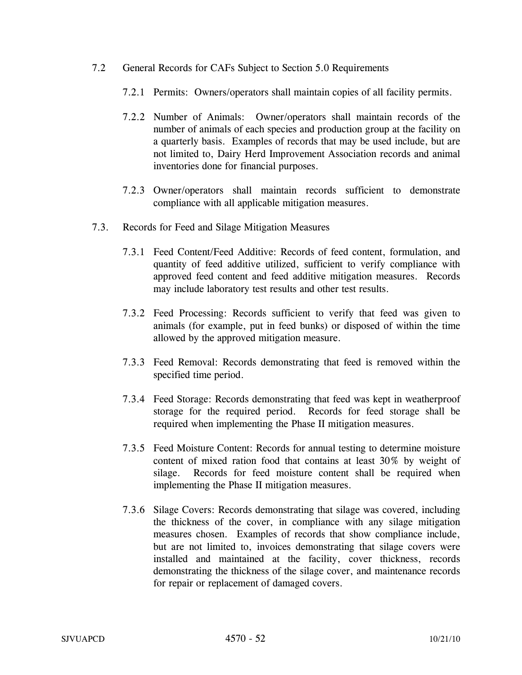- 7.2 General Records for CAFs Subject to Section 5.0 Requirements
	- 7.2.1 Permits: Owners/operators shall maintain copies of all facility permits.
	- 7.2.2 Number of Animals: Owner/operators shall maintain records of the number of animals of each species and production group at the facility on a quarterly basis. Examples of records that may be used include, but are not limited to, Dairy Herd Improvement Association records and animal inventories done for financial purposes.
	- 7.2.3 Owner/operators shall maintain records sufficient to demonstrate compliance with all applicable mitigation measures.
- 7.3. Records for Feed and Silage Mitigation Measures
	- 7.3.1 Feed Content/Feed Additive: Records of feed content, formulation, and quantity of feed additive utilized, sufficient to verify compliance with approved feed content and feed additive mitigation measures. Records may include laboratory test results and other test results.
	- 7.3.2 Feed Processing: Records sufficient to verify that feed was given to animals (for example, put in feed bunks) or disposed of within the time allowed by the approved mitigation measure.
	- 7.3.3 Feed Removal: Records demonstrating that feed is removed within the specified time period.
	- 7.3.4 Feed Storage: Records demonstrating that feed was kept in weatherproof storage for the required period. Records for feed storage shall be required when implementing the Phase II mitigation measures.
	- 7.3.5 Feed Moisture Content: Records for annual testing to determine moisture content of mixed ration food that contains at least 30% by weight of silage. Records for feed moisture content shall be required when implementing the Phase II mitigation measures.
	- 7.3.6 Silage Covers: Records demonstrating that silage was covered, including the thickness of the cover, in compliance with any silage mitigation measures chosen. Examples of records that show compliance include, but are not limited to, invoices demonstrating that silage covers were installed and maintained at the facility, cover thickness, records demonstrating the thickness of the silage cover, and maintenance records for repair or replacement of damaged covers.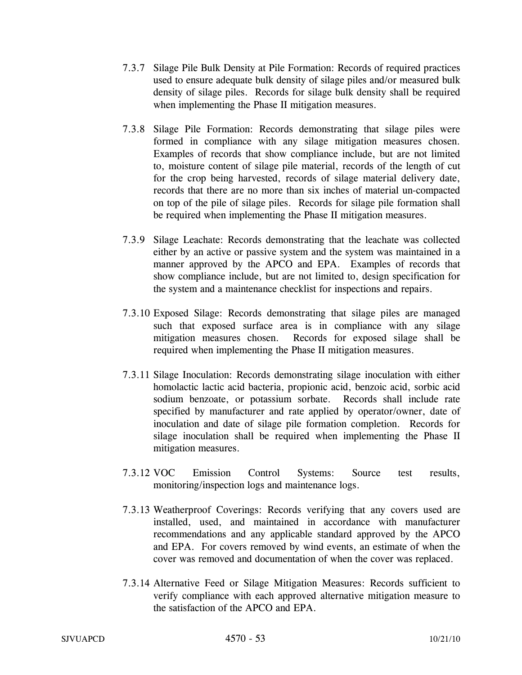- 7.3.7 Silage Pile Bulk Density at Pile Formation: Records of required practices used to ensure adequate bulk density of silage piles and/or measured bulk density of silage piles. Records for silage bulk density shall be required when implementing the Phase II mitigation measures.
- 7.3.8 Silage Pile Formation: Records demonstrating that silage piles were formed in compliance with any silage mitigation measures chosen. Examples of records that show compliance include, but are not limited to, moisture content of silage pile material, records of the length of cut for the crop being harvested, records of silage material delivery date, records that there are no more than six inches of material un-compacted on top of the pile of silage piles. Records for silage pile formation shall be required when implementing the Phase II mitigation measures.
- 7.3.9 Silage Leachate: Records demonstrating that the leachate was collected either by an active or passive system and the system was maintained in a manner approved by the APCO and EPA. Examples of records that show compliance include, but are not limited to, design specification for the system and a maintenance checklist for inspections and repairs.
- 7.3.10 Exposed Silage: Records demonstrating that silage piles are managed such that exposed surface area is in compliance with any silage mitigation measures chosen. Records for exposed silage shall be required when implementing the Phase II mitigation measures.
- 7.3.11 Silage Inoculation: Records demonstrating silage inoculation with either homolactic lactic acid bacteria, propionic acid, benzoic acid, sorbic acid sodium benzoate, or potassium sorbate. Records shall include rate specified by manufacturer and rate applied by operator/owner, date of inoculation and date of silage pile formation completion. Records for silage inoculation shall be required when implementing the Phase II mitigation measures.
- 7.3.12 VOC Emission Control Systems: Source test results, monitoring/inspection logs and maintenance logs.
- 7.3.13 Weatherproof Coverings: Records verifying that any covers used are installed, used, and maintained in accordance with manufacturer recommendations and any applicable standard approved by the APCO and EPA. For covers removed by wind events, an estimate of when the cover was removed and documentation of when the cover was replaced.
- 7.3.14 Alternative Feed or Silage Mitigation Measures: Records sufficient to verify compliance with each approved alternative mitigation measure to the satisfaction of the APCO and EPA.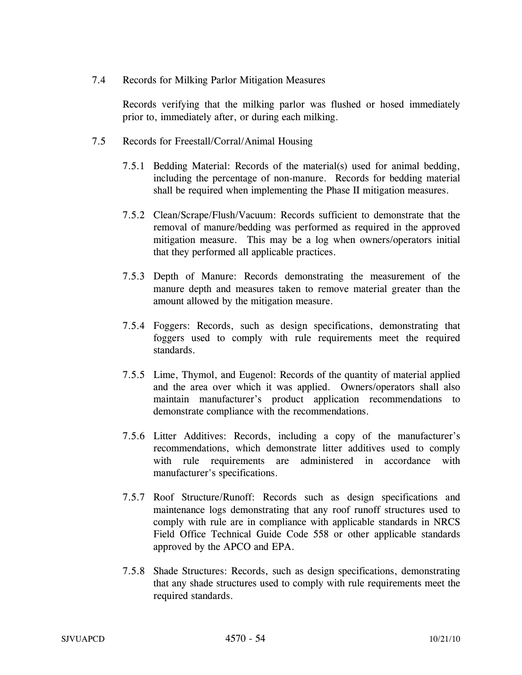7.4 Records for Milking Parlor Mitigation Measures

Records verifying that the milking parlor was flushed or hosed immediately prior to, immediately after, or during each milking.

- 7.5 Records for Freestall/Corral/Animal Housing
	- 7.5.1 Bedding Material: Records of the material(s) used for animal bedding, including the percentage of non-manure. Records for bedding material shall be required when implementing the Phase II mitigation measures.
	- 7.5.2 Clean/Scrape/Flush/Vacuum: Records sufficient to demonstrate that the removal of manure/bedding was performed as required in the approved mitigation measure. This may be a log when owners/operators initial that they performed all applicable practices.
	- 7.5.3 Depth of Manure: Records demonstrating the measurement of the manure depth and measures taken to remove material greater than the amount allowed by the mitigation measure.
	- 7.5.4 Foggers: Records, such as design specifications, demonstrating that foggers used to comply with rule requirements meet the required standards.
	- 7.5.5 Lime, Thymol, and Eugenol: Records of the quantity of material applied and the area over which it was applied. Owners/operators shall also maintain manufacturer's product application recommendations to demonstrate compliance with the recommendations.
	- 7.5.6 Litter Additives: Records, including a copy of the manufacturer's recommendations, which demonstrate litter additives used to comply with rule requirements are administered in accordance with manufacturer's specifications.
	- 7.5.7 Roof Structure/Runoff: Records such as design specifications and maintenance logs demonstrating that any roof runoff structures used to comply with rule are in compliance with applicable standards in NRCS Field Office Technical Guide Code 558 or other applicable standards approved by the APCO and EPA.
	- 7.5.8 Shade Structures: Records, such as design specifications, demonstrating that any shade structures used to comply with rule requirements meet the required standards.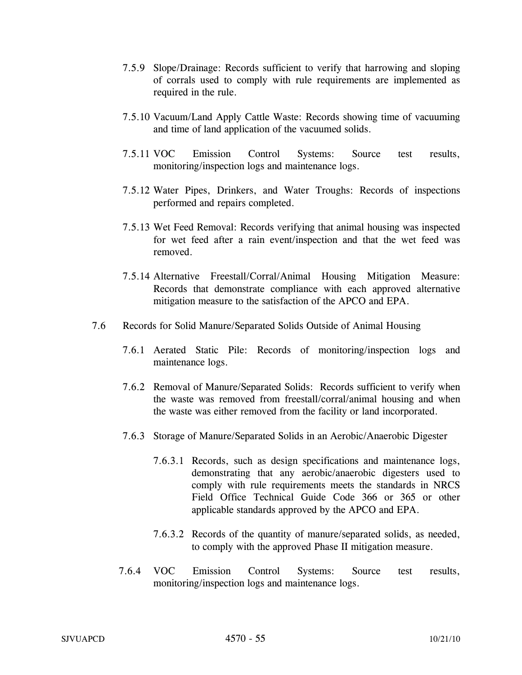- 7.5.9 Slope/Drainage: Records sufficient to verify that harrowing and sloping of corrals used to comply with rule requirements are implemented as required in the rule.
- 7.5.10 Vacuum/Land Apply Cattle Waste: Records showing time of vacuuming and time of land application of the vacuumed solids.
- 7.5.11 VOC Emission Control Systems: Source test results, monitoring/inspection logs and maintenance logs.
- 7.5.12 Water Pipes, Drinkers, and Water Troughs: Records of inspections performed and repairs completed.
- 7.5.13 Wet Feed Removal: Records verifying that animal housing was inspected for wet feed after a rain event/inspection and that the wet feed was removed.
- 7.5.14 Alternative Freestall/Corral/Animal Housing Mitigation Measure: Records that demonstrate compliance with each approved alternative mitigation measure to the satisfaction of the APCO and EPA.
- 7.6 Records for Solid Manure/Separated Solids Outside of Animal Housing
	- 7.6.1 Aerated Static Pile: Records of monitoring/inspection logs and maintenance logs.
	- 7.6.2 Removal of Manure/Separated Solids: Records sufficient to verify when the waste was removed from freestall/corral/animal housing and when the waste was either removed from the facility or land incorporated.
	- 7.6.3 Storage of Manure/Separated Solids in an Aerobic/Anaerobic Digester
		- 7.6.3.1 Records, such as design specifications and maintenance logs, demonstrating that any aerobic/anaerobic digesters used to comply with rule requirements meets the standards in NRCS Field Office Technical Guide Code 366 or 365 or other applicable standards approved by the APCO and EPA.
		- 7.6.3.2 Records of the quantity of manure/separated solids, as needed, to comply with the approved Phase II mitigation measure.
	- 7.6.4 VOC Emission Control Systems: Source test results, monitoring/inspection logs and maintenance logs.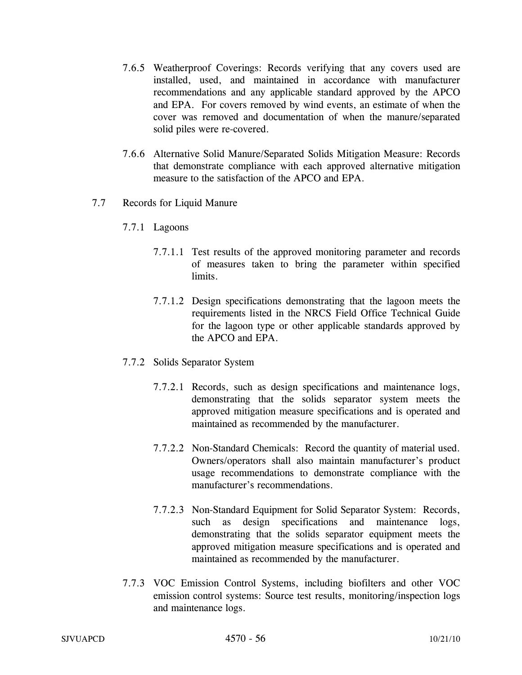- 7.6.5 Weatherproof Coverings: Records verifying that any covers used are installed, used, and maintained in accordance with manufacturer recommendations and any applicable standard approved by the APCO and EPA. For covers removed by wind events, an estimate of when the cover was removed and documentation of when the manure/separated solid piles were re-covered.
- 7.6.6 Alternative Solid Manure/Separated Solids Mitigation Measure: Records that demonstrate compliance with each approved alternative mitigation measure to the satisfaction of the APCO and EPA.
- 7.7 Records for Liquid Manure
	- 7.7.1 Lagoons
		- 7.7.1.1 Test results of the approved monitoring parameter and records of measures taken to bring the parameter within specified limits.
		- 7.7.1.2 Design specifications demonstrating that the lagoon meets the requirements listed in the NRCS Field Office Technical Guide for the lagoon type or other applicable standards approved by the APCO and EPA.
	- 7.7.2 Solids Separator System
		- 7.7.2.1 Records, such as design specifications and maintenance logs, demonstrating that the solids separator system meets the approved mitigation measure specifications and is operated and maintained as recommended by the manufacturer.
		- 7.7.2.2 Non-Standard Chemicals: Record the quantity of material used. Owners/operators shall also maintain manufacturer's product usage recommendations to demonstrate compliance with the manufacturer's recommendations.
		- 7.7.2.3 Non-Standard Equipment for Solid Separator System: Records, such as design specifications and maintenance logs, demonstrating that the solids separator equipment meets the approved mitigation measure specifications and is operated and maintained as recommended by the manufacturer.
	- 7.7.3 VOC Emission Control Systems, including biofilters and other VOC emission control systems: Source test results, monitoring/inspection logs and maintenance logs.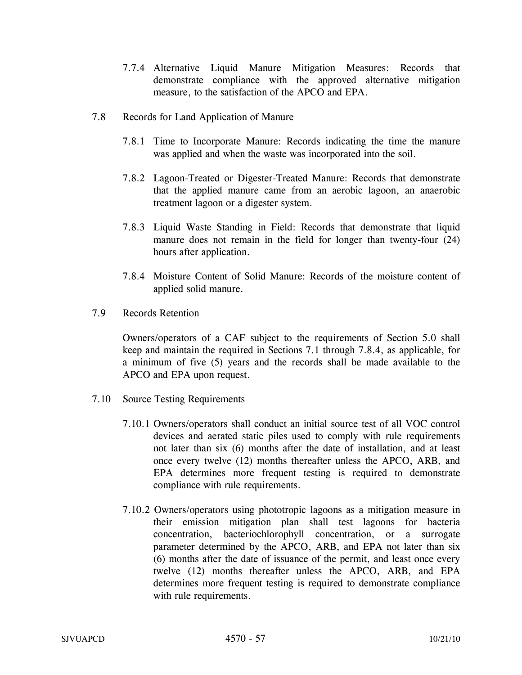- 7.7.4 Alternative Liquid Manure Mitigation Measures: Records that demonstrate compliance with the approved alternative mitigation measure, to the satisfaction of the APCO and EPA.
- 7.8 Records for Land Application of Manure
	- 7.8.1 Time to Incorporate Manure: Records indicating the time the manure was applied and when the waste was incorporated into the soil.
	- 7.8.2 Lagoon-Treated or Digester-Treated Manure: Records that demonstrate that the applied manure came from an aerobic lagoon, an anaerobic treatment lagoon or a digester system.
	- 7.8.3 Liquid Waste Standing in Field: Records that demonstrate that liquid manure does not remain in the field for longer than twenty-four (24) hours after application.
	- 7.8.4 Moisture Content of Solid Manure: Records of the moisture content of applied solid manure.
- 7.9 Records Retention

Owners/operators of a CAF subject to the requirements of Section 5.0 shall keep and maintain the required in Sections 7.1 through 7.8.4, as applicable, for a minimum of five (5) years and the records shall be made available to the APCO and EPA upon request.

- 7.10 Source Testing Requirements
	- 7.10.1 Owners/operators shall conduct an initial source test of all VOC control devices and aerated static piles used to comply with rule requirements not later than six (6) months after the date of installation, and at least once every twelve (12) months thereafter unless the APCO, ARB, and EPA determines more frequent testing is required to demonstrate compliance with rule requirements.
	- 7.10.2 Owners/operators using phototropic lagoons as a mitigation measure in their emission mitigation plan shall test lagoons for bacteria concentration, bacteriochlorophyll concentration, or a surrogate parameter determined by the APCO, ARB, and EPA not later than six (6) months after the date of issuance of the permit, and least once every twelve (12) months thereafter unless the APCO, ARB, and EPA determines more frequent testing is required to demonstrate compliance with rule requirements.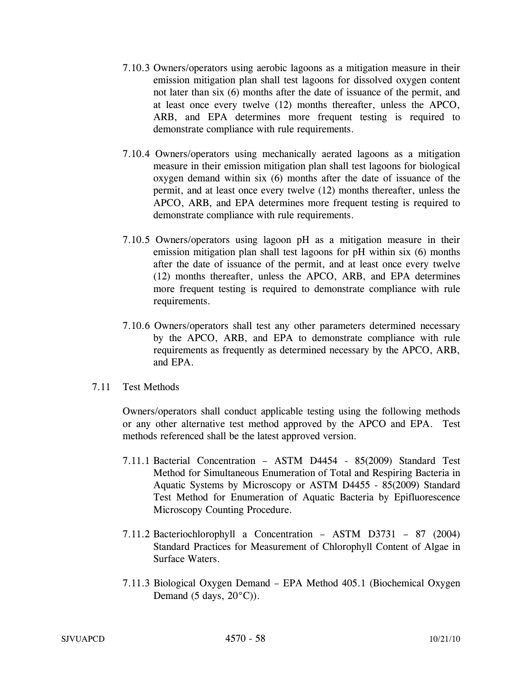- 7.10.3 Owners/operators using aerobic lagoons as a mitigation measure in their emission mitigation plan shall test lagoons for dissolved oxygen content not later than six (6) months after the date of issuance of the permit, and at least once every twelve (12) months thereafter, unless the APCO, ARB, and EPA determines more frequent testing is required to demonstrate compliance with rule requirements.
- 7.10.4 Owners/operators using mechanically aerated lagoons as a mitigation measure in their emission mitigation plan shall test lagoons for biological oxygen demand within six (6) months after the date of issuance of the permit, and at least once every twelve (12) months thereafter, unless the APCO, ARB, and EPA determines more frequent testing is required to demonstrate compliance with rule requirements.
- 7.10.5 Owners/operators using lagoon pH as a mitigation measure in their emission mitigation plan shall test lagoons for pH within six (6) months after the date of issuance of the permit, and at least once every twelve (12) months thereafter, unless the APCO, ARB, and EPA determines more frequent testing is required to demonstrate compliance with rule requirements.
- 7.10.6 Owners/operators shall test any other parameters determined necessary by the APCO, ARB, and EPA to demonstrate compliance with rule requirements as frequently as determined necessary by the APCO, ARB, and EPA.
- 7.11 Test Methods

 Owners/operators shall conduct applicable testing using the following methods or any other alternative test method approved by the APCO and EPA. Test methods referenced shall be the latest approved version.

- 7.11.1 Bacterial Concentration ASTM D4454 85(2009) Standard Test Method for Simultaneous Enumeration of Total and Respiring Bacteria in Aquatic Systems by Microscopy or ASTM D4455 - 85(2009) Standard Test Method for Enumeration of Aquatic Bacteria by Epifluorescence Microscopy Counting Procedure.
- 7.11.2 Bacteriochlorophyll a Concentration ASTM D3731 87 (2004) Standard Practices for Measurement of Chlorophyll Content of Algae in Surface Waters.
- 7.11.3 Biological Oxygen Demand EPA Method 405.1 (Biochemical Oxygen Demand (5 days,  $20^{\circ}$ C)).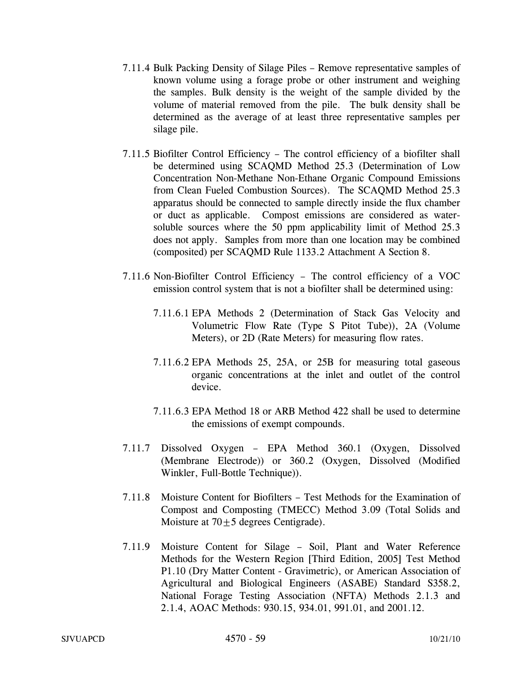- 7.11.4 Bulk Packing Density of Silage Piles Remove representative samples of known volume using a forage probe or other instrument and weighing the samples. Bulk density is the weight of the sample divided by the volume of material removed from the pile. The bulk density shall be determined as the average of at least three representative samples per silage pile.
- 7.11.5 Biofilter Control Efficiency The control efficiency of a biofilter shall be determined using SCAQMD Method 25.3 (Determination of Low Concentration Non-Methane Non-Ethane Organic Compound Emissions from Clean Fueled Combustion Sources). The SCAQMD Method 25.3 apparatus should be connected to sample directly inside the flux chamber or duct as applicable. Compost emissions are considered as watersoluble sources where the 50 ppm applicability limit of Method 25.3 does not apply. Samples from more than one location may be combined (composited) per SCAQMD Rule 1133.2 Attachment A Section 8.
- 7.11.6 Non-Biofilter Control Efficiency The control efficiency of a VOC emission control system that is not a biofilter shall be determined using:
	- 7.11.6.1 EPA Methods 2 (Determination of Stack Gas Velocity and Volumetric Flow Rate (Type S Pitot Tube)), 2A (Volume Meters), or 2D (Rate Meters) for measuring flow rates.
	- 7.11.6.2 EPA Methods 25, 25A, or 25B for measuring total gaseous organic concentrations at the inlet and outlet of the control device.
	- 7.11.6.3 EPA Method 18 or ARB Method 422 shall be used to determine the emissions of exempt compounds.
- 7.11.7 Dissolved Oxygen EPA Method 360.1 (Oxygen, Dissolved (Membrane Electrode)) or 360.2 (Oxygen, Dissolved (Modified Winkler, Full-Bottle Technique)).
- 7.11.8 Moisture Content for Biofilters Test Methods for the Examination of Compost and Composting (TMECC) Method 3.09 (Total Solids and Moisture at  $70 \pm 5$  degrees Centigrade).
- 7.11.9 Moisture Content for Silage Soil, Plant and Water Reference Methods for the Western Region [Third Edition, 2005] Test Method P1.10 (Dry Matter Content - Gravimetric), or American Association of Agricultural and Biological Engineers (ASABE) Standard S358.2, National Forage Testing Association (NFTA) Methods 2.1.3 and 2.1.4, AOAC Methods: 930.15, 934.01, 991.01, and 2001.12.